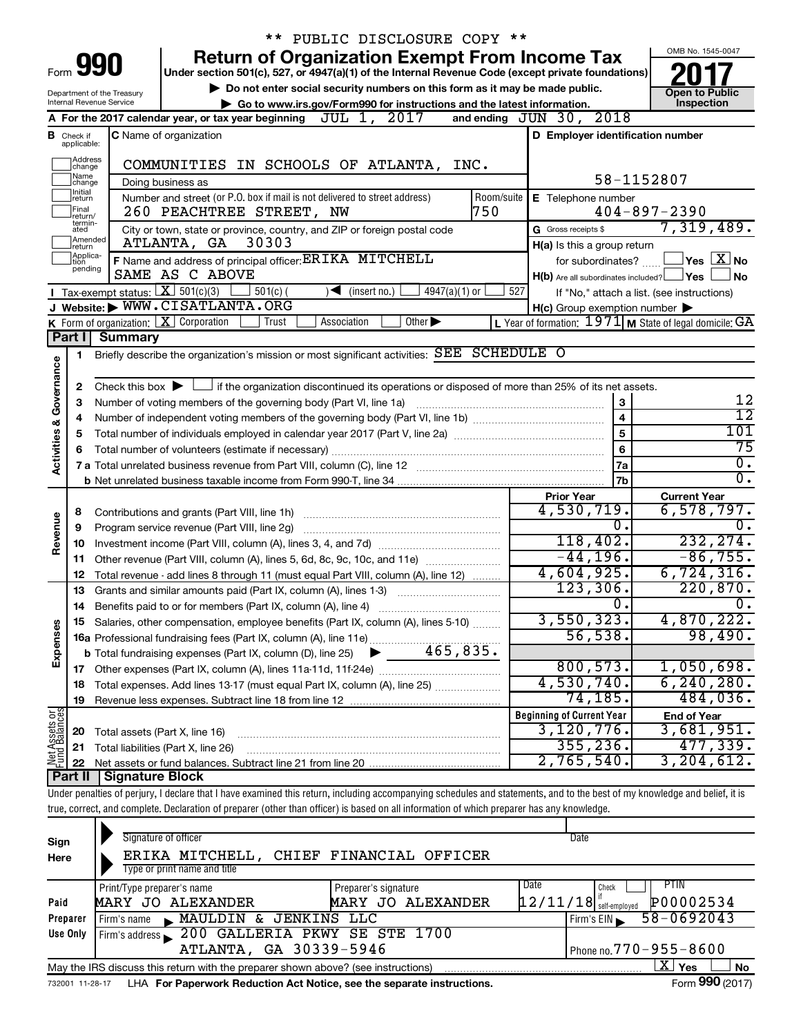|                         |                               |                                 | ** PUBLIC DISCLOSURE COPY **                                                                                                                                               |                                                             |                                            |
|-------------------------|-------------------------------|---------------------------------|----------------------------------------------------------------------------------------------------------------------------------------------------------------------------|-------------------------------------------------------------|--------------------------------------------|
|                         |                               |                                 | <b>Return of Organization Exempt From Income Tax</b>                                                                                                                       |                                                             | OMB No. 1545-0047                          |
|                         |                               | Form <b>990</b>                 | Under section 501(c), 527, or 4947(a)(1) of the Internal Revenue Code (except private foundations)                                                                         |                                                             |                                            |
|                         |                               | Department of the Treasury      | Do not enter social security numbers on this form as it may be made public.                                                                                                |                                                             | <b>Open to Public</b>                      |
|                         |                               | <b>Internal Revenue Service</b> | Go to www.irs.gov/Form990 for instructions and the latest information.                                                                                                     |                                                             | Inspection                                 |
|                         |                               |                                 | JUL 1, 2017<br>A For the 2017 calendar year, or tax year beginning                                                                                                         | and ending $JUN$ $30$ , $2018$                              |                                            |
|                         | <b>B</b> Check if applicable: |                                 | <b>C</b> Name of organization                                                                                                                                              | D Employer identification number                            |                                            |
|                         | ]Address<br>]change           |                                 | COMMUNITIES IN SCHOOLS OF ATLANTA, INC.                                                                                                                                    |                                                             |                                            |
|                         | ]Name<br>]change              |                                 | Doing business as                                                                                                                                                          |                                                             | 58-1152807                                 |
|                         | Initial<br>]return<br>Final   |                                 | Number and street (or P.O. box if mail is not delivered to street address)<br>Room/suite<br>750<br>260 PEACHTREE STREET, NW                                                | E Telephone number                                          | $404 - 897 - 2390$                         |
|                         | return/<br>termin-<br>ated    |                                 | City or town, state or province, country, and ZIP or foreign postal code                                                                                                   | G Gross receipts \$                                         | 7,319,489.                                 |
|                         | Amended<br>Ireturn            |                                 | 30303<br>ATLANTA, GA                                                                                                                                                       | H(a) Is this a group return                                 |                                            |
|                         | Applica-<br>tion              |                                 | F Name and address of principal officer: ERIKA MITCHELL                                                                                                                    | for subordinates?                                           | $\Box$ Yes $\Box$ No                       |
|                         | pending                       |                                 | SAME AS C ABOVE                                                                                                                                                            | $H(b)$ Are all subordinates included? $\Box$ Yes            | ⊥No                                        |
|                         |                               |                                 | Tax-exempt status: $X \over 301(c)(3)$<br>$501(c)$ (<br>$\sqrt{\frac{1}{1}}$ (insert no.)<br>$4947(a)(1)$ or                                                               | 527                                                         | If "No," attach a list. (see instructions) |
|                         |                               |                                 | J Website: WWW.CISATLANTA.ORG                                                                                                                                              | $H(c)$ Group exemption number $\blacktriangleright$         |                                            |
|                         |                               |                                 | K Form of organization: $X$ Corporation<br>Other $\blacktriangleright$<br>Association<br>Trust                                                                             | L Year of formation: $1971$ M State of legal domicile: $GA$ |                                            |
|                         | Part I                        | <b>Summary</b>                  |                                                                                                                                                                            |                                                             |                                            |
|                         | 1                             |                                 | Briefly describe the organization's mission or most significant activities: SEE SCHEDULE O                                                                                 |                                                             |                                            |
| Governance              |                               |                                 |                                                                                                                                                                            |                                                             |                                            |
|                         | 2                             |                                 | Check this box $\blacktriangleright$ $\Box$ if the organization discontinued its operations or disposed of more than 25% of its net assets.                                |                                                             |                                            |
|                         | з                             |                                 | Number of voting members of the governing body (Part VI, line 1a)                                                                                                          | 3                                                           | 12                                         |
|                         | 4                             |                                 | $\overline{12}$                                                                                                                                                            |                                                             |                                            |
| <b>Activities &amp;</b> | 5                             |                                 |                                                                                                                                                                            | 5                                                           | 101                                        |
|                         | 6                             |                                 | Total number of volunteers (estimate if necessary)                                                                                                                         | 6                                                           | 75                                         |
|                         |                               |                                 |                                                                                                                                                                            | 7a                                                          | $\overline{0}$ .                           |
|                         |                               |                                 |                                                                                                                                                                            | 7 <sub>b</sub>                                              | $\overline{0}$ .                           |
|                         |                               |                                 |                                                                                                                                                                            | <b>Prior Year</b>                                           | <b>Current Year</b>                        |
|                         | 8                             |                                 | Contributions and grants (Part VIII, line 1h)                                                                                                                              | 4,530,719.                                                  | 6,578,797.                                 |
| Revenue                 | 9                             |                                 | Program service revenue (Part VIII, line 2g)                                                                                                                               | ο.<br>118,402.                                              | Ο.<br>232, 274.                            |
|                         | 10                            |                                 |                                                                                                                                                                            | $-44, 196.$                                                 | $-86,755.$                                 |
|                         | 11                            |                                 | Other revenue (Part VIII, column (A), lines 5, 6d, 8c, 9c, 10c, and 11e)                                                                                                   | 4,604,925.                                                  | 6,724,316.                                 |
|                         | 12                            |                                 | Total revenue - add lines 8 through 11 (must equal Part VIII, column (A), line 12)                                                                                         | 123,306.                                                    | 220,870.                                   |
|                         | 13                            |                                 | Grants and similar amounts paid (Part IX, column (A), lines 1-3)                                                                                                           | о.                                                          | 0.                                         |
|                         |                               |                                 | Salaries, other compensation, employee benefits (Part IX, column (A), lines 5-10)                                                                                          | 3,550,323.                                                  | 4,870,222.                                 |
| Expenses                |                               |                                 |                                                                                                                                                                            | 56, 538.                                                    | 98,490.                                    |
|                         |                               |                                 |                                                                                                                                                                            |                                                             |                                            |
|                         |                               |                                 |                                                                                                                                                                            | 800, 573.                                                   | 1,050,698.                                 |
|                         | 18                            |                                 | Total expenses. Add lines 13-17 (must equal Part IX, column (A), line 25)                                                                                                  | 4,530,740.                                                  | 6, 240, 280.                               |
|                         | 19                            |                                 |                                                                                                                                                                            | 74,185.                                                     | 484,036.                                   |
|                         |                               |                                 |                                                                                                                                                                            | <b>Beginning of Current Year</b>                            | <b>End of Year</b>                         |
| Net Assets or           | 20                            | Total assets (Part X, line 16)  |                                                                                                                                                                            | 3,120,776.                                                  | 3,681,951.                                 |
|                         | 21                            |                                 | Total liabilities (Part X, line 26)                                                                                                                                        | 355, 236.                                                   | 477,339.                                   |
|                         | 22                            |                                 |                                                                                                                                                                            | 2,765,540.                                                  | 3, 204, 612.                               |
|                         | Part II                       | <b>Signature Block</b>          |                                                                                                                                                                            |                                                             |                                            |
|                         |                               |                                 | Under penalties of perjury, I declare that I have examined this return, including accompanying schedules and statements, and to the best of my knowledge and belief, it is |                                                             |                                            |
|                         |                               |                                 | true, correct, and complete. Declaration of preparer (other than officer) is based on all information of which preparer has any knowledge.                                 |                                                             |                                            |
| Sign                    |                               |                                 | Signature of officer                                                                                                                                                       | Date                                                        |                                            |
|                         |                               |                                 |                                                                                                                                                                            |                                                             |                                            |

| Sign     | <b>Signature Of Officer</b>                                                       |                      | Dalt                                                 |
|----------|-----------------------------------------------------------------------------------|----------------------|------------------------------------------------------|
| Here     | ERIKA MITCHELL, CHIEF FINANCIAL OFFICER                                           |                      |                                                      |
|          | Type or print name and title                                                      |                      |                                                      |
|          | Print/Type preparer's name                                                        | Preparer's signature | Date<br>PTIN<br>Check                                |
| Paid     | MARY JO ALEXANDER                                                                 | MARY JO ALEXANDER    | P00002534<br>$\left[ 12/11/18 \right]$ self-employed |
| Preparer | MAULDIN & JENKINS LLC<br>Firm's name                                              |                      | 58-0692043<br>Firm's EIN                             |
| Use Only | Firm's address 200 GALLERIA PKWY SE STE 1700                                      |                      |                                                      |
|          | ATLANTA, GA 30339-5946                                                            |                      | Phone no. $770 - 955 - 8600$                         |
|          | May the IRS discuss this return with the preparer shown above? (see instructions) |                      | x<br><b>No</b><br>Yes                                |
|          |                                                                                   |                      | $000 \times 10^{-1}$<br>$\overline{\phantom{0}}$     |

732001 11-28-17 **For Paperwork Reduction Act Notice, see the separate instructions.** LHA Form (2017)

Form **990** (2017)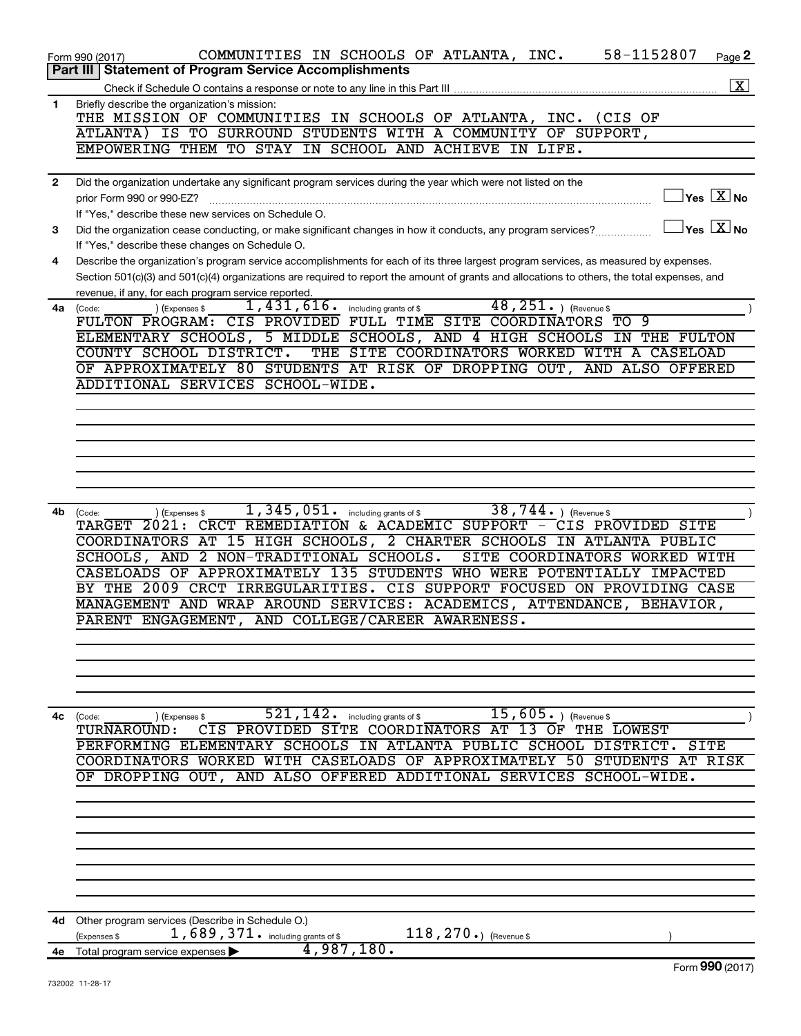|              | 58-1152807<br>COMMUNITIES IN SCHOOLS OF ATLANTA, INC.<br>Page 2<br>Form 990 (2017)                                                                       |
|--------------|----------------------------------------------------------------------------------------------------------------------------------------------------------|
|              | <b>Part III Statement of Program Service Accomplishments</b>                                                                                             |
|              | $\boxed{\text{X}}$                                                                                                                                       |
| 1            | Briefly describe the organization's mission:<br>THE MISSION OF COMMUNITIES IN SCHOOLS OF ATLANTA, INC.<br>(CIS OF                                        |
|              | ATLANTA) IS TO SURROUND STUDENTS WITH A COMMUNITY OF SUPPORT,                                                                                            |
|              | EMPOWERING THEM TO STAY IN SCHOOL AND ACHIEVE IN LIFE.                                                                                                   |
|              |                                                                                                                                                          |
| $\mathbf{2}$ | Did the organization undertake any significant program services during the year which were not listed on the                                             |
|              | $Yes$ $\boxed{\text{X}}$ No<br>prior Form 990 or 990-EZ?                                                                                                 |
|              | If "Yes," describe these new services on Schedule O.                                                                                                     |
| 3            | $\mathbb{I}$ Yes $\boxed{\mathrm{X}}$ No<br>Did the organization cease conducting, or make significant changes in how it conducts, any program services? |
|              | If "Yes," describe these changes on Schedule O.                                                                                                          |
| 4            | Describe the organization's program service accomplishments for each of its three largest program services, as measured by expenses.                     |
|              | Section 501(c)(3) and 501(c)(4) organizations are required to report the amount of grants and allocations to others, the total expenses, and             |
|              | revenue, if any, for each program service reported.                                                                                                      |
| 4a           | 48, $251.$ (Revenue \$<br>1,431,616.<br>including grants of \$<br>(Code:<br>(Expenses \$                                                                 |
|              | FULTON PROGRAM: CIS PROVIDED FULL TIME SITE COORDINATORS<br>TO 9                                                                                         |
|              | ELEMENTARY SCHOOLS, 5 MIDDLE SCHOOLS, AND 4 HIGH SCHOOLS IN THE FULTON<br>COUNTY SCHOOL DISTRICT.<br>THE SITE COORDINATORS WORKED WITH A CASELOAD        |
|              | OF APPROXIMATELY 80 STUDENTS AT RISK OF DROPPING OUT, AND ALSO OFFERED                                                                                   |
|              | ADDITIONAL SERVICES SCHOOL-WIDE.                                                                                                                         |
|              |                                                                                                                                                          |
|              |                                                                                                                                                          |
|              |                                                                                                                                                          |
|              |                                                                                                                                                          |
|              |                                                                                                                                                          |
|              |                                                                                                                                                          |
|              |                                                                                                                                                          |
| 4b           | 1, 345, 051. including grants of \$<br>$38, 744.$ (Revenue \$<br>(Expenses \$<br>(Code:                                                                  |
|              | CRCT REMEDIATION & ACADEMIC SUPPORT - CIS PROVIDED SITE<br>TARGET 2021:                                                                                  |
|              | COORDINATORS AT 15 HIGH SCHOOLS, 2 CHARTER SCHOOLS IN ATLANTA PUBLIC<br>SCHOOLS, AND 2 NON-TRADITIONAL SCHOOLS.<br>SITE COORDINATORS WORKED WITH         |
|              | CASELOADS OF APPROXIMATELY 135 STUDENTS WHO WERE POTENTIALLY IMPACTED                                                                                    |
|              | BY THE 2009 CRCT IRREGULARITIES. CIS SUPPORT FOCUSED ON PROVIDING CASE                                                                                   |
|              | MANAGEMENT AND WRAP AROUND SERVICES: ACADEMICS, ATTENDANCE, BEHAVIOR,                                                                                    |
|              | PARENT ENGAGEMENT, AND COLLEGE/CAREER AWARENESS.                                                                                                         |
|              |                                                                                                                                                          |
|              |                                                                                                                                                          |
|              |                                                                                                                                                          |
|              |                                                                                                                                                          |
|              |                                                                                                                                                          |
| 4с           | $\overline{521}$ , $142$ . including grants of \$<br>$15,605.$ (Revenue \$)<br>(Code:<br>(Expenses \$                                                    |
|              | CIS PROVIDED SITE COORDINATORS AT 13 OF THE LOWEST<br>TURNAROUND:                                                                                        |
|              | PERFORMING ELEMENTARY SCHOOLS IN ATLANTA PUBLIC SCHOOL DISTRICT. SITE<br>COORDINATORS WORKED WITH CASELOADS OF APPROXIMATELY 50 STUDENTS AT RISK         |
|              | OF DROPPING OUT, AND ALSO OFFERED ADDITIONAL SERVICES SCHOOL-WIDE.                                                                                       |
|              |                                                                                                                                                          |
|              |                                                                                                                                                          |
|              |                                                                                                                                                          |
|              |                                                                                                                                                          |
|              |                                                                                                                                                          |
|              |                                                                                                                                                          |
|              |                                                                                                                                                          |
|              |                                                                                                                                                          |
| 4d           | Other program services (Describe in Schedule O.)                                                                                                         |
|              | 1,689,371. including grants of \$<br>118, 270.) (Revenue \$<br>(Expenses \$                                                                              |
|              | 4,987,180.<br>4e Total program service expenses<br>$F_{\text{OCD}}$ 990 (2017)                                                                           |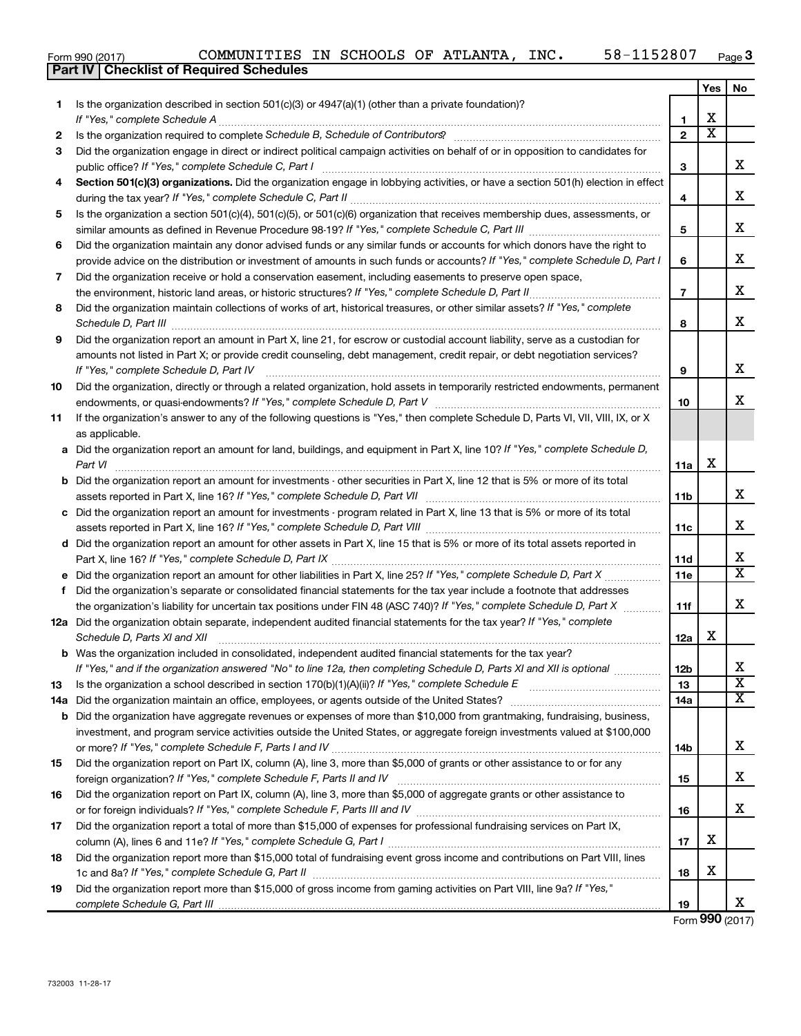732003 11-28-17

|     | 58-1152807<br>COMMUNITIES IN SCHOOLS OF ATLANTA, INC.<br>Form 990 (2017)<br><b>Part IV   Checklist of Required Schedules</b>                    |                |                             | Page                                               |
|-----|-------------------------------------------------------------------------------------------------------------------------------------------------|----------------|-----------------------------|----------------------------------------------------|
|     |                                                                                                                                                 |                | Yes                         | No                                                 |
| 1.  | Is the organization described in section 501(c)(3) or 4947(a)(1) (other than a private foundation)?                                             |                |                             |                                                    |
|     |                                                                                                                                                 | $\mathbf{1}$   | x                           |                                                    |
| 2   |                                                                                                                                                 | $\mathbf{2}$   | $\overline{\textnormal{x}}$ |                                                    |
| 3   | Did the organization engage in direct or indirect political campaign activities on behalf of or in opposition to candidates for                 |                |                             |                                                    |
|     |                                                                                                                                                 | 3              |                             | х                                                  |
| 4   | Section 501(c)(3) organizations. Did the organization engage in lobbying activities, or have a section 501(h) election in effect                |                |                             |                                                    |
|     |                                                                                                                                                 | 4              |                             | х                                                  |
| 5   | Is the organization a section 501(c)(4), 501(c)(5), or 501(c)(6) organization that receives membership dues, assessments, or                    |                |                             |                                                    |
|     |                                                                                                                                                 | 5              |                             | х                                                  |
| 6   | Did the organization maintain any donor advised funds or any similar funds or accounts for which donors have the right to                       |                |                             |                                                    |
|     | provide advice on the distribution or investment of amounts in such funds or accounts? If "Yes," complete Schedule D, Part I                    | 6              |                             | х                                                  |
| 7   | Did the organization receive or hold a conservation easement, including easements to preserve open space,                                       |                |                             |                                                    |
|     |                                                                                                                                                 | $\overline{7}$ |                             | X                                                  |
| 8   | Did the organization maintain collections of works of art, historical treasures, or other similar assets? If "Yes," complete                    |                |                             |                                                    |
|     |                                                                                                                                                 | 8              |                             | х                                                  |
| 9   | Did the organization report an amount in Part X, line 21, for escrow or custodial account liability, serve as a custodian for                   |                |                             |                                                    |
|     | amounts not listed in Part X; or provide credit counseling, debt management, credit repair, or debt negotiation services?                       |                |                             |                                                    |
|     |                                                                                                                                                 | 9              |                             | х                                                  |
| 10  | Did the organization, directly or through a related organization, hold assets in temporarily restricted endowments, permanent                   |                |                             |                                                    |
|     |                                                                                                                                                 | 10             |                             | х                                                  |
| 11  | If the organization's answer to any of the following questions is "Yes," then complete Schedule D, Parts VI, VII, VIII, IX, or X                |                |                             |                                                    |
|     | as applicable.<br>a Did the organization report an amount for land, buildings, and equipment in Part X, line 10? If "Yes," complete Schedule D, |                |                             |                                                    |
|     | Part VI                                                                                                                                         | 11a            | х                           |                                                    |
|     | <b>b</b> Did the organization report an amount for investments - other securities in Part X, line 12 that is 5% or more of its total            |                |                             |                                                    |
|     |                                                                                                                                                 | 11b            |                             | х                                                  |
| c   | Did the organization report an amount for investments - program related in Part X, line 13 that is 5% or more of its total                      |                |                             |                                                    |
|     | assets reported in Part X, line 16? If "Yes," complete Schedule D, Part VIII                                                                    | 11c            |                             | X                                                  |
|     | d Did the organization report an amount for other assets in Part X, line 15 that is 5% or more of its total assets reported in                  |                |                             |                                                    |
|     |                                                                                                                                                 | 11d            |                             | х                                                  |
|     |                                                                                                                                                 | 11e            |                             | X                                                  |
| f.  | Did the organization's separate or consolidated financial statements for the tax year include a footnote that addresses                         |                |                             |                                                    |
|     | the organization's liability for uncertain tax positions under FIN 48 (ASC 740)? If "Yes," complete Schedule D, Part X                          | 11f            |                             | Χ                                                  |
|     | 12a Did the organization obtain separate, independent audited financial statements for the tax year? If "Yes," complete                         |                |                             |                                                    |
|     | Schedule D, Parts XI and XII                                                                                                                    | 12a            | x                           |                                                    |
|     | <b>b</b> Was the organization included in consolidated, independent audited financial statements for the tax year?                              |                |                             |                                                    |
|     | If "Yes," and if the organization answered "No" to line 12a, then completing Schedule D, Parts XI and XII is optional <i>maniming</i>           | <b>12b</b>     |                             | х                                                  |
| 13  | Is the organization a school described in section 170(b)(1)(A)(ii)? If "Yes," complete Schedule E [[[[[[[[[[[[                                  | 13             |                             | $\overline{\textbf{x}}$<br>$\overline{\textbf{x}}$ |
| 14a | Did the organization maintain an office, employees, or agents outside of the United States?                                                     | 14a            |                             |                                                    |
|     | <b>b</b> Did the organization have aggregate revenues or expenses of more than \$10,000 from grantmaking, fundraising, business,                |                |                             |                                                    |
|     | investment, and program service activities outside the United States, or aggregate foreign investments valued at \$100,000                      |                |                             | Χ                                                  |
| 15  | Did the organization report on Part IX, column (A), line 3, more than \$5,000 of grants or other assistance to or for any                       | 14b            |                             |                                                    |
|     |                                                                                                                                                 | 15             |                             | х                                                  |
| 16  | Did the organization report on Part IX, column (A), line 3, more than \$5,000 of aggregate grants or other assistance to                        |                |                             |                                                    |
|     |                                                                                                                                                 | 16             |                             | Χ                                                  |
| 17  | Did the organization report a total of more than \$15,000 of expenses for professional fundraising services on Part IX,                         |                |                             |                                                    |
|     | column (A), lines 6 and 11e? If "Yes," complete Schedule G, Part I                                                                              | 17             | х                           |                                                    |

**19** Did the organization report more than \$15,000 of gross income from gaming activities on Part VIII, line 9a? If "Yes," *complete Schedule G, Part III* 

1c and 8a? If "Yes," complete Schedule G, Part II **mature complete out and the set of the set of the set of the s** 

Did the organization report more than \$15,000 total of fundraising event gross income and contributions on Part VIII, lines

Form (2017) **990**

X

**18**

**19**

**3**

**Yes No**

X

X

X

X

X

X

X

X

X

X

X X

X

X X X

X

X

X

X

| orm 990 (2017) |  |
|----------------|--|

**18**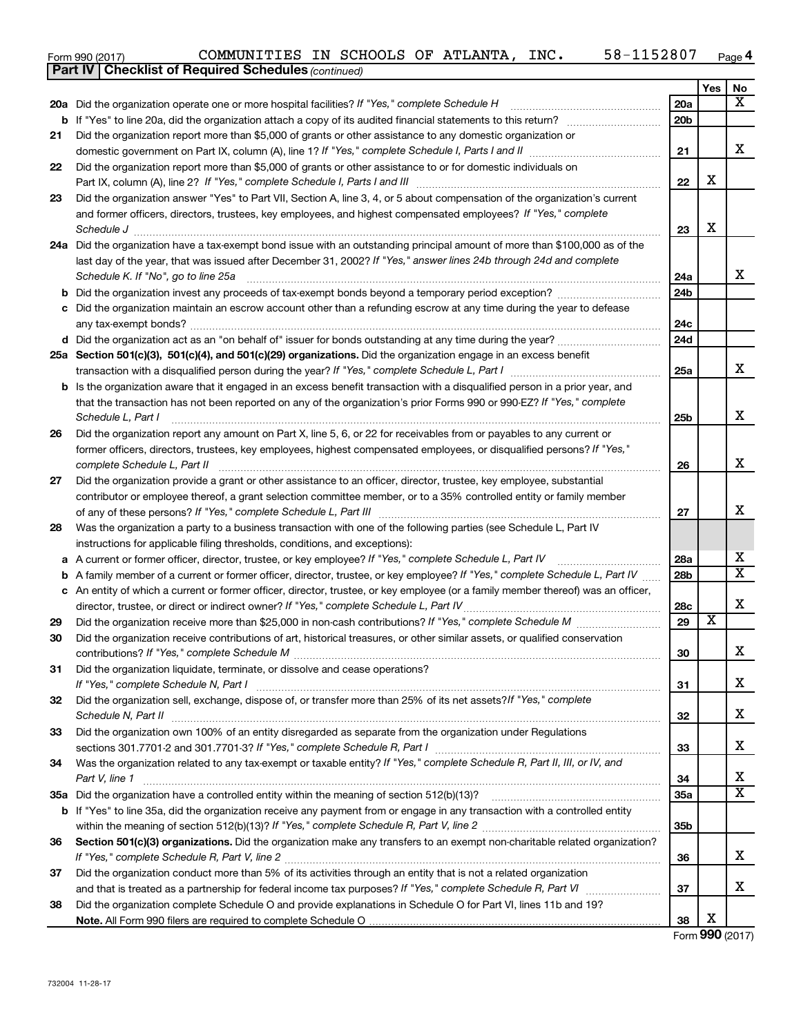|    | 58-1152807<br>COMMUNITIES IN SCHOOLS OF ATLANTA, INC.<br>Form 990 (2017)                                                            |                 |                         | Page 4                  |
|----|-------------------------------------------------------------------------------------------------------------------------------------|-----------------|-------------------------|-------------------------|
|    | <b>Part IV   Checklist of Required Schedules (continued)</b>                                                                        |                 |                         |                         |
|    |                                                                                                                                     |                 | Yes                     | No                      |
|    | 20a Did the organization operate one or more hospital facilities? If "Yes," complete Schedule H                                     | 20a             |                         | х                       |
|    | <b>b</b> If "Yes" to line 20a, did the organization attach a copy of its audited financial statements to this return?               | 20 <sub>b</sub> |                         |                         |
| 21 | Did the organization report more than \$5,000 of grants or other assistance to any domestic organization or                         |                 |                         |                         |
|    |                                                                                                                                     | 21              |                         | х                       |
| 22 | Did the organization report more than \$5,000 of grants or other assistance to or for domestic individuals on                       |                 |                         |                         |
|    |                                                                                                                                     | 22              | х                       |                         |
| 23 | Did the organization answer "Yes" to Part VII, Section A, line 3, 4, or 5 about compensation of the organization's current          |                 |                         |                         |
|    | and former officers, directors, trustees, key employees, and highest compensated employees? If "Yes," complete                      |                 |                         |                         |
|    | Schedule J                                                                                                                          | 23              | X                       |                         |
|    | 24a Did the organization have a tax-exempt bond issue with an outstanding principal amount of more than \$100,000 as of the         |                 |                         |                         |
|    | last day of the year, that was issued after December 31, 2002? If "Yes," answer lines 24b through 24d and complete                  |                 |                         |                         |
|    | Schedule K. If "No", go to line 25a                                                                                                 | 24a             |                         | x                       |
|    | <b>b</b> Did the organization invest any proceeds of tax-exempt bonds beyond a temporary period exception?                          | 24 <sub>b</sub> |                         |                         |
|    | c Did the organization maintain an escrow account other than a refunding escrow at any time during the year to defease              |                 |                         |                         |
|    |                                                                                                                                     | 24c             |                         |                         |
|    |                                                                                                                                     | 24d             |                         |                         |
|    | 25a Section 501(c)(3), 501(c)(4), and 501(c)(29) organizations. Did the organization engage in an excess benefit                    |                 |                         |                         |
|    |                                                                                                                                     | 25a             |                         | x                       |
|    | <b>b</b> Is the organization aware that it engaged in an excess benefit transaction with a disqualified person in a prior year, and |                 |                         |                         |
|    | that the transaction has not been reported on any of the organization's prior Forms 990 or 990-EZ? If "Yes," complete               |                 |                         |                         |
|    | Schedule L, Part I                                                                                                                  | 25 <sub>b</sub> |                         | х                       |
| 26 | Did the organization report any amount on Part X, line 5, 6, or 22 for receivables from or payables to any current or               |                 |                         |                         |
|    | former officers, directors, trustees, key employees, highest compensated employees, or disqualified persons? If "Yes,"              |                 |                         |                         |
|    | complete Schedule L, Part II                                                                                                        | 26              |                         | х                       |
| 27 | Did the organization provide a grant or other assistance to an officer, director, trustee, key employee, substantial                |                 |                         |                         |
|    | contributor or employee thereof, a grant selection committee member, or to a 35% controlled entity or family member                 |                 |                         |                         |
|    |                                                                                                                                     | 27              |                         | х                       |
| 28 | Was the organization a party to a business transaction with one of the following parties (see Schedule L, Part IV                   |                 |                         |                         |
|    | instructions for applicable filing thresholds, conditions, and exceptions):                                                         |                 |                         |                         |
|    | a A current or former officer, director, trustee, or key employee? If "Yes," complete Schedule L, Part IV                           | 28a             |                         | х                       |
|    | <b>b</b> A family member of a current or former officer, director, trustee, or key employee? If "Yes," complete Schedule L, Part IV | 28 <sub>b</sub> |                         | $\overline{\mathbf{x}}$ |
|    | c An entity of which a current or former officer, director, trustee, or key employee (or a family member thereof) was an officer,   |                 |                         |                         |
|    | director, trustee, or direct or indirect owner? If "Yes," complete Schedule L, Part IV                                              | 28c             |                         | X                       |
| 29 |                                                                                                                                     | 29              | $\overline{\textbf{x}}$ |                         |
| 30 | Did the organization receive contributions of art, historical treasures, or other similar assets, or qualified conservation         |                 |                         |                         |
|    |                                                                                                                                     | 30              |                         | х                       |
| 31 | Did the organization liquidate, terminate, or dissolve and cease operations?                                                        |                 |                         |                         |
|    |                                                                                                                                     | 31              |                         | x                       |
| 32 | Did the organization sell, exchange, dispose of, or transfer more than 25% of its net assets? If "Yes," complete                    |                 |                         |                         |
|    | Schedule N, Part II                                                                                                                 | 32              |                         | x                       |
| 33 | Did the organization own 100% of an entity disregarded as separate from the organization under Regulations                          |                 |                         |                         |
|    |                                                                                                                                     | 33              |                         | x                       |
| 34 | Was the organization related to any tax-exempt or taxable entity? If "Yes," complete Schedule R, Part II, III, or IV, and           |                 |                         |                         |
|    | Part V, line 1                                                                                                                      | 34              |                         | x                       |
|    |                                                                                                                                     | 35a             |                         | $\overline{\mathbf{x}}$ |
|    | b If "Yes" to line 35a, did the organization receive any payment from or engage in any transaction with a controlled entity         |                 |                         |                         |
|    |                                                                                                                                     | 35 <sub>b</sub> |                         |                         |
| 36 | Section 501(c)(3) organizations. Did the organization make any transfers to an exempt non-charitable related organization?          |                 |                         |                         |
|    |                                                                                                                                     | 36              |                         | x.                      |
| 37 | Did the organization conduct more than 5% of its activities through an entity that is not a related organization                    |                 |                         |                         |
|    |                                                                                                                                     | 37              |                         | x.                      |
| 38 | Did the organization complete Schedule O and provide explanations in Schedule O for Part VI, lines 11b and 19?                      |                 |                         |                         |
|    |                                                                                                                                     | 38              | х                       |                         |
|    |                                                                                                                                     |                 |                         |                         |

Form (2017) **990**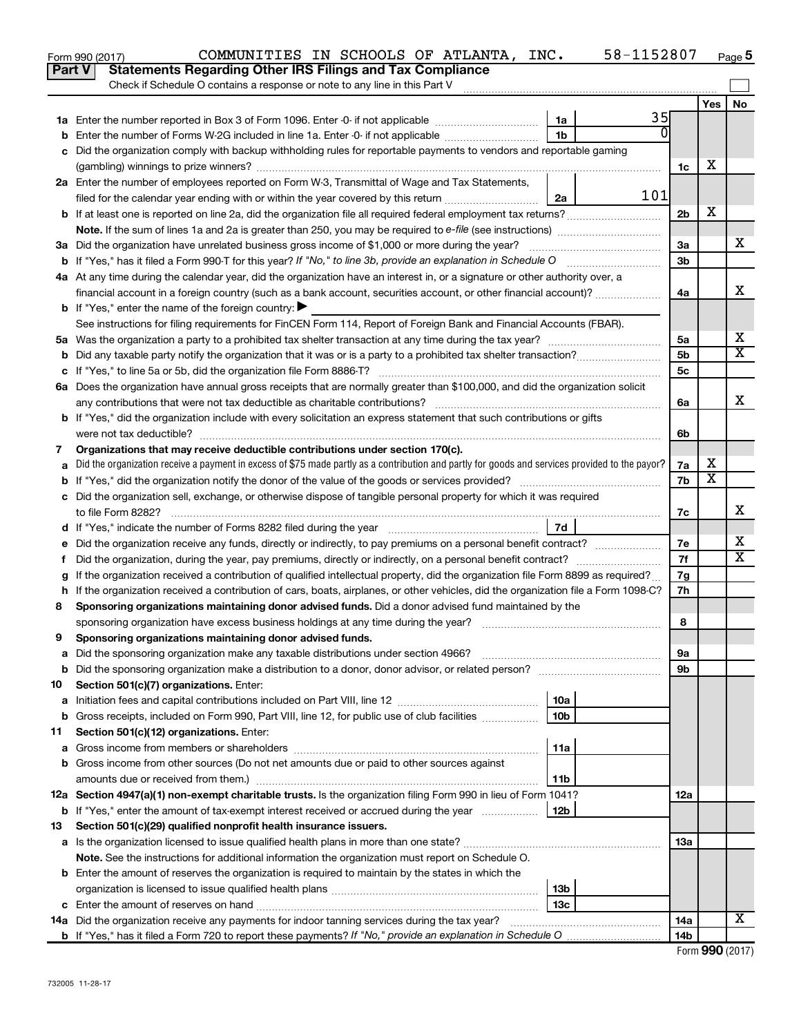|        | 58-1152807<br>COMMUNITIES IN SCHOOLS OF ATLANTA, INC.<br>Form 990 (2017)                                                                        |                 |     | Page 5                |
|--------|-------------------------------------------------------------------------------------------------------------------------------------------------|-----------------|-----|-----------------------|
|        | <b>Statements Regarding Other IRS Filings and Tax Compliance</b><br><b>Part V</b>                                                               |                 |     |                       |
|        | Check if Schedule O contains a response or note to any line in this Part V                                                                      |                 |     |                       |
|        |                                                                                                                                                 |                 | Yes | No                    |
|        | 35<br>1a                                                                                                                                        |                 |     |                       |
| b      | 1 <sub>b</sub><br>Enter the number of Forms W-2G included in line 1a. Enter -0- if not applicable                                               |                 |     |                       |
|        | c Did the organization comply with backup withholding rules for reportable payments to vendors and reportable gaming                            |                 |     |                       |
|        |                                                                                                                                                 | 1c              | х   |                       |
|        | 2a Enter the number of employees reported on Form W-3, Transmittal of Wage and Tax Statements,                                                  |                 |     |                       |
|        | 101<br>filed for the calendar year ending with or within the year covered by this return<br>2a                                                  |                 |     |                       |
|        |                                                                                                                                                 | 2 <sub>b</sub>  | X   |                       |
|        |                                                                                                                                                 |                 |     |                       |
|        | 3a Did the organization have unrelated business gross income of \$1,000 or more during the year?                                                | За              |     | х                     |
|        |                                                                                                                                                 | 3 <sub>b</sub>  |     |                       |
|        | 4a At any time during the calendar year, did the organization have an interest in, or a signature or other authority over, a                    |                 |     |                       |
|        | financial account in a foreign country (such as a bank account, securities account, or other financial account)?                                | 4a              |     | X                     |
|        | <b>b</b> If "Yes," enter the name of the foreign country: $\blacktriangleright$                                                                 |                 |     |                       |
|        | See instructions for filing requirements for FinCEN Form 114, Report of Foreign Bank and Financial Accounts (FBAR).                             |                 |     |                       |
|        |                                                                                                                                                 | 5a              |     | Х                     |
|        | <b>b</b> Did any taxable party notify the organization that it was or is a party to a prohibited tax shelter transaction?                       | 5 <sub>b</sub>  |     | $\overline{\text{X}}$ |
|        |                                                                                                                                                 | 5 <sub>c</sub>  |     |                       |
|        | 6a Does the organization have annual gross receipts that are normally greater than \$100,000, and did the organization solicit                  |                 |     |                       |
|        |                                                                                                                                                 | 6a              |     | X                     |
|        | <b>b</b> If "Yes," did the organization include with every solicitation an express statement that such contributions or gifts                   |                 |     |                       |
|        |                                                                                                                                                 | 6b              |     |                       |
| 7      | Organizations that may receive deductible contributions under section 170(c).                                                                   |                 |     |                       |
| a      | Did the organization receive a payment in excess of \$75 made partly as a contribution and partly for goods and services provided to the payor? | 7a              | X   |                       |
|        |                                                                                                                                                 | 7b              | X   |                       |
|        | c Did the organization sell, exchange, or otherwise dispose of tangible personal property for which it was required                             |                 |     | X                     |
|        |                                                                                                                                                 | 7c              |     |                       |
|        | 7d                                                                                                                                              |                 |     | Х                     |
| е      |                                                                                                                                                 | 7е              |     | $\overline{\text{X}}$ |
| f.     | Did the organization, during the year, pay premiums, directly or indirectly, on a personal benefit contract?                                    | 7f              |     |                       |
|        | If the organization received a contribution of qualified intellectual property, did the organization file Form 8899 as required?                | 7g              |     |                       |
|        | h If the organization received a contribution of cars, boats, airplanes, or other vehicles, did the organization file a Form 1098-C?            | 7h              |     |                       |
| 8      | Sponsoring organizations maintaining donor advised funds. Did a donor advised fund maintained by the                                            |                 |     |                       |
|        |                                                                                                                                                 | 8               |     |                       |
|        | Sponsoring organizations maintaining donor advised funds.                                                                                       |                 |     |                       |
| а      | Did the sponsoring organization make any taxable distributions under section 4966?                                                              | 9а              |     |                       |
| b      | Did the sponsoring organization make a distribution to a donor, donor advisor, or related person?                                               | 9b              |     |                       |
| 10     | Section 501(c)(7) organizations. Enter:<br>10a                                                                                                  |                 |     |                       |
| а<br>b | 10 <sub>b</sub><br>Gross receipts, included on Form 990, Part VIII, line 12, for public use of club facilities                                  |                 |     |                       |
| 11     | Section 501(c)(12) organizations. Enter:                                                                                                        |                 |     |                       |
|        | 11a                                                                                                                                             |                 |     |                       |
| а      | Gross income from other sources (Do not net amounts due or paid to other sources against                                                        |                 |     |                       |
| b      | 11b                                                                                                                                             |                 |     |                       |
|        | 12a Section 4947(a)(1) non-exempt charitable trusts. Is the organization filing Form 990 in lieu of Form 1041?                                  | 12a             |     |                       |
|        | 12b<br><b>b</b> If "Yes," enter the amount of tax-exempt interest received or accrued during the year                                           |                 |     |                       |
| 13     | Section 501(c)(29) qualified nonprofit health insurance issuers.                                                                                |                 |     |                       |
|        | a Is the organization licensed to issue qualified health plans in more than one state?                                                          | 1За             |     |                       |
|        | Note. See the instructions for additional information the organization must report on Schedule O.                                               |                 |     |                       |
|        | <b>b</b> Enter the amount of reserves the organization is required to maintain by the states in which the                                       |                 |     |                       |
|        | 13b                                                                                                                                             |                 |     |                       |
|        | 13с<br><b>c</b> Enter the amount of reserves on hand                                                                                            |                 |     |                       |
|        | 14a Did the organization receive any payments for indoor tanning services during the tax year?                                                  | <b>14a</b>      |     | x                     |
|        |                                                                                                                                                 | 14 <sub>b</sub> |     |                       |
|        |                                                                                                                                                 |                 |     |                       |

| Form 990 (2017) |  |
|-----------------|--|
|-----------------|--|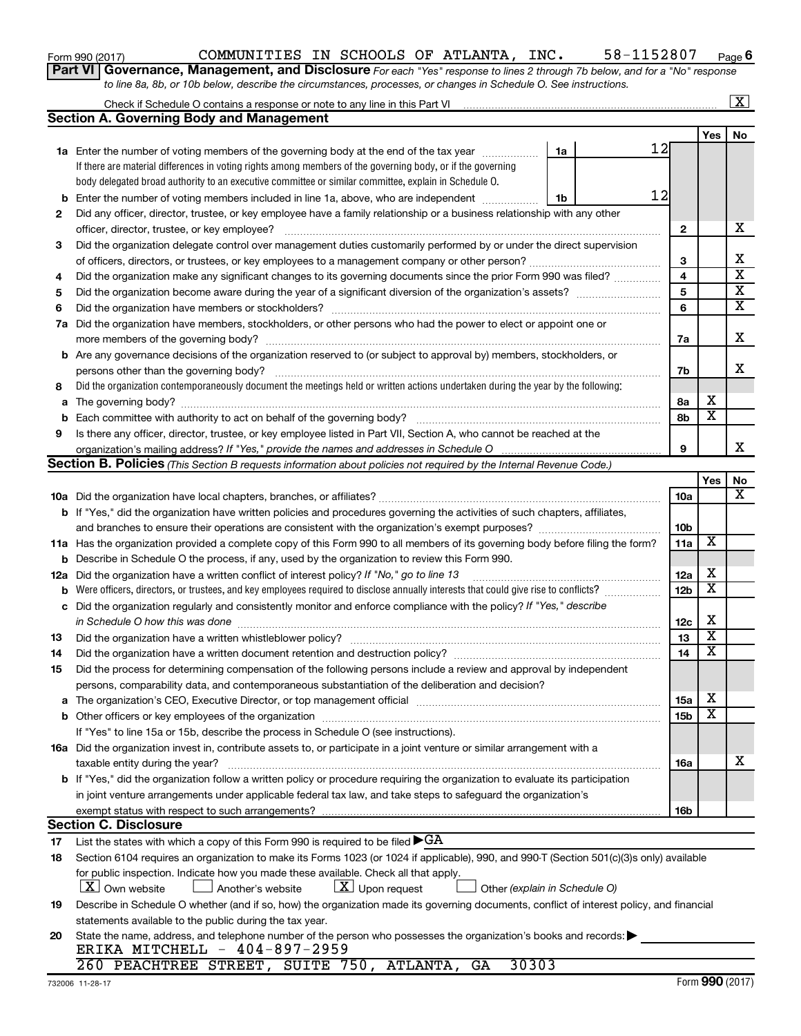| Form 990 (2017) |  |
|-----------------|--|
|-----------------|--|

### Form 990 (2017)  $\,$  COMMUNITIES IN SCHOOLS OF ATLANTA, INC.  $\,$  58-1152807  $\,$  Page

**6**

**Part VI** Governance, Management, and Disclosure For each "Yes" response to lines 2 through 7b below, and for a "No" response *to line 8a, 8b, or 10b below, describe the circumstances, processes, or changes in Schedule O. See instructions.*

|     | Check if Schedule O contains a response or note to any line in this Part VI                                                                                                                                                    |                 |                         | X                       |
|-----|--------------------------------------------------------------------------------------------------------------------------------------------------------------------------------------------------------------------------------|-----------------|-------------------------|-------------------------|
|     | <b>Section A. Governing Body and Management</b>                                                                                                                                                                                |                 |                         |                         |
|     |                                                                                                                                                                                                                                |                 | Yes                     | No                      |
|     | 12<br>1a<br><b>1a</b> Enter the number of voting members of the governing body at the end of the tax year                                                                                                                      |                 |                         |                         |
|     | If there are material differences in voting rights among members of the governing body, or if the governing                                                                                                                    |                 |                         |                         |
|     | body delegated broad authority to an executive committee or similar committee, explain in Schedule O.                                                                                                                          |                 |                         |                         |
| b   | 12<br>Enter the number of voting members included in line 1a, above, who are independent<br>1b                                                                                                                                 |                 |                         |                         |
| 2   | Did any officer, director, trustee, or key employee have a family relationship or a business relationship with any other                                                                                                       |                 |                         |                         |
|     | officer, director, trustee, or key employee?                                                                                                                                                                                   | $\mathbf{2}$    |                         | х                       |
| 3   | Did the organization delegate control over management duties customarily performed by or under the direct supervision                                                                                                          |                 |                         |                         |
|     |                                                                                                                                                                                                                                | 3               |                         | Х                       |
| 4   | Did the organization make any significant changes to its governing documents since the prior Form 990 was filed?                                                                                                               | 4               |                         | $\overline{\mathbf{x}}$ |
| 5   |                                                                                                                                                                                                                                | 5               |                         | $\overline{\mathbf{X}}$ |
| 6   |                                                                                                                                                                                                                                | 6               |                         | х                       |
| 7a  | Did the organization have members, stockholders, or other persons who had the power to elect or appoint one or                                                                                                                 |                 |                         |                         |
|     |                                                                                                                                                                                                                                | 7a              |                         | Х                       |
| b   | Are any governance decisions of the organization reserved to (or subject to approval by) members, stockholders, or                                                                                                             |                 |                         |                         |
|     | persons other than the governing body?                                                                                                                                                                                         | 7b              |                         | х                       |
| 8   | Did the organization contemporaneously document the meetings held or written actions undertaken during the year by the following:                                                                                              |                 |                         |                         |
| a   |                                                                                                                                                                                                                                | 8a              | х                       |                         |
| b   |                                                                                                                                                                                                                                | 8b              | $\overline{\textbf{x}}$ |                         |
| 9   | Is there any officer, director, trustee, or key employee listed in Part VII, Section A, who cannot be reached at the                                                                                                           |                 |                         |                         |
|     | organization's mailing address? If "Yes," provide the names and addresses in Schedule O                                                                                                                                        | 9               |                         | x                       |
|     | Section B. Policies (This Section B requests information about policies not required by the Internal Revenue Code.)                                                                                                            |                 |                         |                         |
|     |                                                                                                                                                                                                                                |                 | Yes                     | No                      |
|     |                                                                                                                                                                                                                                | 10a             |                         | х                       |
|     | b If "Yes," did the organization have written policies and procedures governing the activities of such chapters, affiliates,                                                                                                   |                 |                         |                         |
|     | and branches to ensure their operations are consistent with the organization's exempt purposes? www.www.www.www.                                                                                                               | 10 <sub>b</sub> |                         |                         |
|     | 11a Has the organization provided a complete copy of this Form 990 to all members of its governing body before filing the form?                                                                                                | 11a             | X                       |                         |
| b   | Describe in Schedule O the process, if any, used by the organization to review this Form 990.                                                                                                                                  |                 |                         |                         |
| 12a | Did the organization have a written conflict of interest policy? If "No," go to line 13                                                                                                                                        | 12a             | х                       |                         |
| b   | Were officers, directors, or trustees, and key employees required to disclose annually interests that could give rise to conflicts?                                                                                            | 12 <sub>b</sub> | $\overline{\textbf{x}}$ |                         |
| с   | Did the organization regularly and consistently monitor and enforce compliance with the policy? If "Yes," describe                                                                                                             |                 |                         |                         |
|     | in Schedule O how this was done                                                                                                                                                                                                | 12c             | X                       |                         |
| 13  | Did the organization have a written whistleblower policy?                                                                                                                                                                      | 13              | $\overline{\textbf{x}}$ |                         |
| 14  |                                                                                                                                                                                                                                | 14              | $\overline{\textbf{x}}$ |                         |
| 15  | Did the process for determining compensation of the following persons include a review and approval by independent                                                                                                             |                 |                         |                         |
|     | persons, comparability data, and contemporaneous substantiation of the deliberation and decision?                                                                                                                              |                 |                         |                         |
| а   | The organization's CEO, Executive Director, or top management official manufactured content of the organization's CEO, Executive Director, or top management official manufactured content of the state of the state of the st | 15a             | х                       |                         |
|     |                                                                                                                                                                                                                                | 15 <sub>b</sub> | х                       |                         |
|     | If "Yes" to line 15a or 15b, describe the process in Schedule O (see instructions).                                                                                                                                            |                 |                         |                         |
|     | 16a Did the organization invest in, contribute assets to, or participate in a joint venture or similar arrangement with a                                                                                                      |                 |                         |                         |
|     | taxable entity during the year?                                                                                                                                                                                                | <b>16a</b>      |                         | х                       |
|     | b If "Yes," did the organization follow a written policy or procedure requiring the organization to evaluate its participation                                                                                                 |                 |                         |                         |
|     | in joint venture arrangements under applicable federal tax law, and take steps to safeguard the organization's                                                                                                                 |                 |                         |                         |
|     | exempt status with respect to such arrangements?                                                                                                                                                                               | 16b             |                         |                         |
|     | <b>Section C. Disclosure</b>                                                                                                                                                                                                   |                 |                         |                         |
| 17  | List the states with which a copy of this Form 990 is required to be filed $\blacktriangleright$ GA                                                                                                                            |                 |                         |                         |
| 18  | Section 6104 requires an organization to make its Forms 1023 (or 1024 if applicable), 990, and 990-T (Section 501(c)(3)s only) available                                                                                       |                 |                         |                         |
|     | for public inspection. Indicate how you made these available. Check all that apply.                                                                                                                                            |                 |                         |                         |
|     | X   Own website<br>$ \underline{X} $ Upon request<br>Another's website<br>Other (explain in Schedule O)                                                                                                                        |                 |                         |                         |
| 19  | Describe in Schedule O whether (and if so, how) the organization made its governing documents, conflict of interest policy, and financial                                                                                      |                 |                         |                         |
|     | statements available to the public during the tax year.                                                                                                                                                                        |                 |                         |                         |
| 20  | State the name, address, and telephone number of the person who possesses the organization's books and records:                                                                                                                |                 |                         |                         |
|     | ERIKA MITCHELL - 404-897-2959                                                                                                                                                                                                  |                 |                         |                         |
|     | 30303<br>260 PEACHTREE STREET, SUITE 750, ATLANTA, GA                                                                                                                                                                          |                 |                         |                         |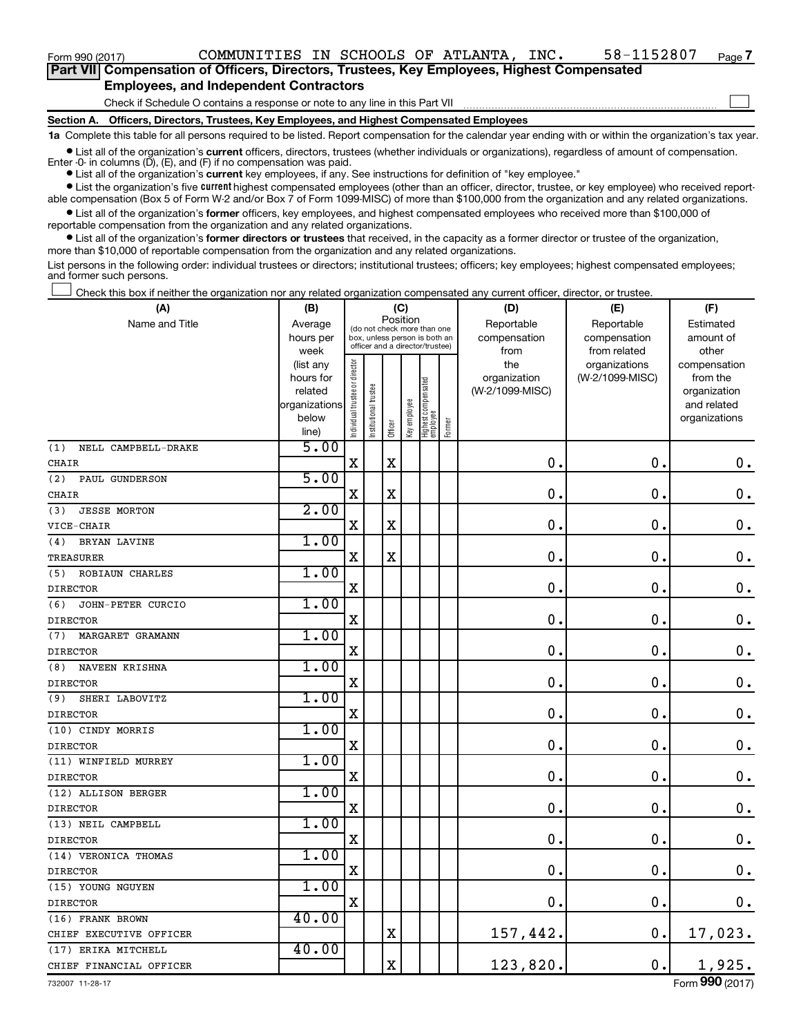$\Box$ 

| Part VII Compensation of Officers, Directors, Trustees, Key Employees, Highest Compensated |
|--------------------------------------------------------------------------------------------|
| <b>Employees, and Independent Contractors</b>                                              |

Check if Schedule O contains a response or note to any line in this Part VII

**Section A. Officers, Directors, Trustees, Key Employees, and Highest Compensated Employees**

**1a**  Complete this table for all persons required to be listed. Report compensation for the calendar year ending with or within the organization's tax year.

**•** List all of the organization's current officers, directors, trustees (whether individuals or organizations), regardless of amount of compensation.

**•** List all of the organization's **current** key employees, if any. See instructions for definition of "key employee." Enter -0- in columns  $(D)$ ,  $(E)$ , and  $(F)$  if no compensation was paid.

**•** List the organization's five current highest compensated employees (other than an officer, director, trustee, or key employee) who received reportable compensation (Box 5 of Form W-2 and/or Box 7 of Form 1099-MISC) of more than \$100,000 from the organization and any related organizations.

**•** List all of the organization's former officers, key employees, and highest compensated employees who received more than \$100,000 of reportable compensation from the organization and any related organizations.

**•** List all of the organization's former directors or trustees that received, in the capacity as a former director or trustee of the organization, more than \$10,000 of reportable compensation from the organization and any related organizations.

List persons in the following order: individual trustees or directors; institutional trustees; officers; key employees; highest compensated employees; and former such persons.

Check this box if neither the organization nor any related organization compensated any current officer, director, or trustee.  $\Box$ 

| (A)                           | (B)                                                                          |                                |                                                               | (C)         |              |                                   |        | (D)                                            | (E)                                              | (F)                                                                               |
|-------------------------------|------------------------------------------------------------------------------|--------------------------------|---------------------------------------------------------------|-------------|--------------|-----------------------------------|--------|------------------------------------------------|--------------------------------------------------|-----------------------------------------------------------------------------------|
| Name and Title                | Average<br>hours per                                                         |                                | (do not check more than one<br>box, unless person is both an  | Position    |              |                                   |        | Reportable<br>compensation                     | Reportable<br>compensation                       | Estimated<br>amount of                                                            |
|                               | week<br>(list any<br>hours for<br>related<br>organizations<br>below<br>line) | Individual trustee or director | officer and a director/trustee)<br>trustee<br>Institutional t | Officer     | Key employee | Highest compensated<br>  employee | Former | from<br>the<br>organization<br>(W-2/1099-MISC) | from related<br>organizations<br>(W-2/1099-MISC) | other<br>compensation<br>from the<br>organization<br>and related<br>organizations |
| NELL CAMPBELL-DRAKE<br>(1)    | 5.00                                                                         |                                |                                                               |             |              |                                   |        |                                                |                                                  |                                                                                   |
| <b>CHAIR</b>                  |                                                                              | X                              |                                                               | $\mathbf X$ |              |                                   |        | $\mathbf 0$ .                                  | $\mathbf 0$ .                                    | $\boldsymbol{0}$ .                                                                |
| (2)<br>PAUL GUNDERSON         | 5.00                                                                         |                                |                                                               |             |              |                                   |        |                                                |                                                  |                                                                                   |
| CHAIR                         |                                                                              | $\mathbf X$                    |                                                               | X           |              |                                   |        | 0.                                             | $\mathbf 0$ .                                    | $\mathbf 0$ .                                                                     |
| (3)<br><b>JESSE MORTON</b>    | 2.00                                                                         |                                |                                                               |             |              |                                   |        |                                                |                                                  |                                                                                   |
| VICE-CHAIR                    |                                                                              | $\mathbf X$                    |                                                               | X           |              |                                   |        | 0.                                             | $\mathbf 0$ .                                    | $\boldsymbol{0}$ .                                                                |
| (4)<br>BRYAN LAVINE           | 1.00                                                                         |                                |                                                               |             |              |                                   |        |                                                |                                                  |                                                                                   |
| <b>TREASURER</b>              |                                                                              | $\overline{\mathbf{X}}$        |                                                               | X           |              |                                   |        | $\mathbf 0$ .                                  | $\mathbf 0$ .                                    | $\mathbf 0$ .                                                                     |
| <b>ROBIAUN CHARLES</b><br>(5) | 1.00                                                                         |                                |                                                               |             |              |                                   |        |                                                |                                                  |                                                                                   |
| <b>DIRECTOR</b>               |                                                                              | $\mathbf X$                    |                                                               |             |              |                                   |        | $\mathbf 0$ .                                  | $\mathbf 0$ .                                    | $\boldsymbol{0}$ .                                                                |
| (6)<br>JOHN-PETER CURCIO      | 1.00                                                                         |                                |                                                               |             |              |                                   |        |                                                |                                                  |                                                                                   |
| <b>DIRECTOR</b>               |                                                                              | $\mathbf X$                    |                                                               |             |              |                                   |        | $\mathbf 0$ .                                  | $\mathbf 0$ .                                    | $\mathbf 0$ .                                                                     |
| (7)<br>MARGARET GRAMANN       | 1.00                                                                         |                                |                                                               |             |              |                                   |        |                                                |                                                  |                                                                                   |
| <b>DIRECTOR</b>               |                                                                              | $\mathbf X$                    |                                                               |             |              |                                   |        | $\mathbf 0$ .                                  | $\mathbf 0$ .                                    | $\mathbf 0$ .                                                                     |
| NAVEEN KRISHNA<br>(8)         | 1.00                                                                         |                                |                                                               |             |              |                                   |        |                                                |                                                  |                                                                                   |
| <b>DIRECTOR</b>               |                                                                              | $\mathbf X$                    |                                                               |             |              |                                   |        | 0.                                             | $\mathbf 0$ .                                    | $\mathbf 0$ .                                                                     |
| SHERI LABOVITZ<br>(9)         | 1.00                                                                         |                                |                                                               |             |              |                                   |        |                                                |                                                  |                                                                                   |
| <b>DIRECTOR</b>               |                                                                              | $\mathbf X$                    |                                                               |             |              |                                   |        | $\mathbf 0$ .                                  | $\mathbf 0$ .                                    | $\mathbf 0$ .                                                                     |
| (10) CINDY MORRIS             | 1.00                                                                         |                                |                                                               |             |              |                                   |        |                                                |                                                  |                                                                                   |
| <b>DIRECTOR</b>               |                                                                              | $\mathbf X$                    |                                                               |             |              |                                   |        | $\mathbf 0$ .                                  | $\mathbf 0$ .                                    | $\mathbf 0$ .                                                                     |
| (11) WINFIELD MURREY          | 1.00                                                                         |                                |                                                               |             |              |                                   |        |                                                |                                                  |                                                                                   |
| <b>DIRECTOR</b>               |                                                                              | $\mathbf X$                    |                                                               |             |              |                                   |        | $\mathbf 0$ .                                  | $\mathbf 0$ .                                    | 0.                                                                                |
| (12) ALLISON BERGER           | 1.00                                                                         |                                |                                                               |             |              |                                   |        |                                                |                                                  |                                                                                   |
| <b>DIRECTOR</b>               |                                                                              | $\overline{\mathbf{X}}$        |                                                               |             |              |                                   |        | $\mathbf 0$ .                                  | $\mathbf 0$ .                                    | $\mathbf 0$ .                                                                     |
| (13) NEIL CAMPBELL            | 1.00                                                                         |                                |                                                               |             |              |                                   |        |                                                |                                                  |                                                                                   |
| <b>DIRECTOR</b>               |                                                                              | X                              |                                                               |             |              |                                   |        | $\mathbf 0$ .                                  | $\mathbf 0$ .                                    | $\mathbf 0$ .                                                                     |
| (14) VERONICA THOMAS          | 1.00                                                                         |                                |                                                               |             |              |                                   |        |                                                |                                                  |                                                                                   |
| <b>DIRECTOR</b>               |                                                                              | $\mathbf X$                    |                                                               |             |              |                                   |        | $\mathbf 0$ .                                  | $\mathbf 0$                                      | 0.                                                                                |
| (15) YOUNG NGUYEN             | 1.00                                                                         |                                |                                                               |             |              |                                   |        |                                                |                                                  |                                                                                   |
| <b>DIRECTOR</b>               |                                                                              | $\mathbf X$                    |                                                               |             |              |                                   |        | $\mathbf 0$ .                                  | $\mathbf 0$ .                                    | 0.                                                                                |
| (16) FRANK BROWN              | 40.00                                                                        |                                |                                                               |             |              |                                   |        |                                                |                                                  |                                                                                   |
| CHIEF EXECUTIVE OFFICER       |                                                                              |                                |                                                               | $\mathbf X$ |              |                                   |        | 157,442.                                       | $\mathbf 0$ .                                    | 17,023.                                                                           |
| (17) ERIKA MITCHELL           | 40.00                                                                        |                                |                                                               |             |              |                                   |        |                                                |                                                  |                                                                                   |
| CHIEF FINANCIAL OFFICER       |                                                                              |                                |                                                               | X           |              |                                   |        | 123,820.                                       | $\mathbf 0$ .                                    | 1,925.                                                                            |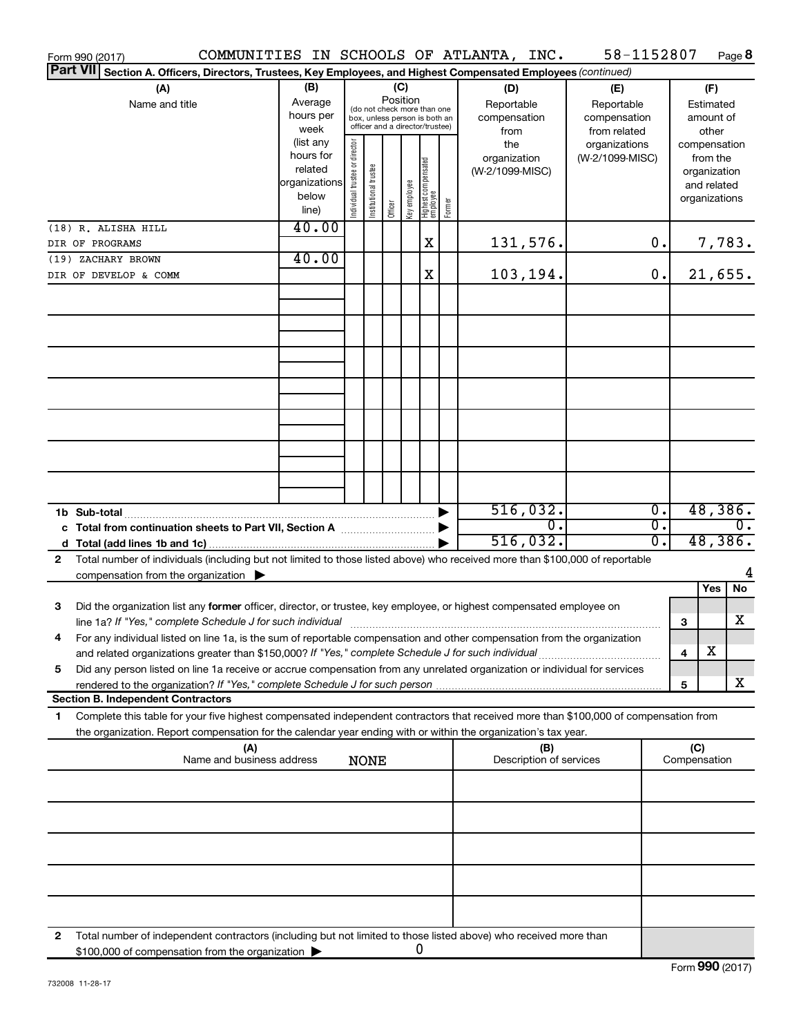| Form 990 (2017)                                                                                                                                                                                                                                             |                                                         |                                                                                                                    |                       |         |              |                                  |                       | COMMUNITIES IN SCHOOLS OF ATLANTA, INC.          |     | 58-1152807                                        |                                      |                                                        | Page 8                                                   |
|-------------------------------------------------------------------------------------------------------------------------------------------------------------------------------------------------------------------------------------------------------------|---------------------------------------------------------|--------------------------------------------------------------------------------------------------------------------|-----------------------|---------|--------------|----------------------------------|-----------------------|--------------------------------------------------|-----|---------------------------------------------------|--------------------------------------|--------------------------------------------------------|----------------------------------------------------------|
| <b>Part VII</b><br>Section A. Officers, Directors, Trustees, Key Employees, and Highest Compensated Employees (continued)                                                                                                                                   |                                                         |                                                                                                                    |                       |         |              |                                  |                       |                                                  |     |                                                   |                                      |                                                        |                                                          |
| (A)<br>Name and title                                                                                                                                                                                                                                       | (B)<br>Average<br>hours per<br>week<br>(list any        | (C)<br>Position<br>(do not check more than one<br>box, unless person is both an<br>officer and a director/trustee) |                       |         |              |                                  |                       | (D)<br>Reportable<br>compensation<br>from<br>the |     | (E)<br>Reportable<br>compensation<br>from related |                                      | (F)<br>Estimated<br>amount of<br>other<br>compensation |                                                          |
|                                                                                                                                                                                                                                                             | hours for<br>related<br>organizations<br>below<br>line) | ndividual trustee or director                                                                                      | Institutional trustee | Officer | Key employee | Highest compensated<br> employee | Former                | organization<br>(W-2/1099-MISC)                  |     | organizations<br>(W-2/1099-MISC)                  |                                      |                                                        | from the<br>organization<br>and related<br>organizations |
| (18) R. ALISHA HILL                                                                                                                                                                                                                                         | 40.00                                                   |                                                                                                                    |                       |         |              |                                  |                       |                                                  |     |                                                   |                                      |                                                        |                                                          |
| DIR OF PROGRAMS<br>(19) ZACHARY BROWN                                                                                                                                                                                                                       | 40.00                                                   |                                                                                                                    |                       |         |              | X                                |                       | 131,576.                                         |     |                                                   | 0.                                   |                                                        | 7,783.                                                   |
| DIR OF DEVELOP & COMM                                                                                                                                                                                                                                       |                                                         |                                                                                                                    |                       |         |              | X                                |                       | 103,194.                                         |     |                                                   | 0.                                   |                                                        | 21,655.                                                  |
|                                                                                                                                                                                                                                                             |                                                         |                                                                                                                    |                       |         |              |                                  |                       |                                                  |     |                                                   |                                      |                                                        |                                                          |
|                                                                                                                                                                                                                                                             |                                                         |                                                                                                                    |                       |         |              |                                  |                       |                                                  |     |                                                   |                                      |                                                        |                                                          |
|                                                                                                                                                                                                                                                             |                                                         |                                                                                                                    |                       |         |              |                                  |                       |                                                  |     |                                                   |                                      |                                                        |                                                          |
|                                                                                                                                                                                                                                                             |                                                         |                                                                                                                    |                       |         |              |                                  |                       |                                                  |     |                                                   |                                      |                                                        |                                                          |
|                                                                                                                                                                                                                                                             |                                                         |                                                                                                                    |                       |         |              |                                  |                       |                                                  |     |                                                   |                                      |                                                        |                                                          |
|                                                                                                                                                                                                                                                             |                                                         |                                                                                                                    |                       |         |              |                                  |                       |                                                  |     |                                                   |                                      |                                                        |                                                          |
|                                                                                                                                                                                                                                                             |                                                         |                                                                                                                    |                       |         |              |                                  |                       |                                                  |     |                                                   |                                      |                                                        |                                                          |
|                                                                                                                                                                                                                                                             |                                                         |                                                                                                                    |                       |         |              |                                  |                       |                                                  |     |                                                   |                                      |                                                        |                                                          |
| 1b Sub-total<br>c Total from continuation sheets to Part VII, Section A manuscription of the State of Total Total Co                                                                                                                                        |                                                         |                                                                                                                    |                       |         |              |                                  | $\blacktriangleright$ | 516,032.                                         | σ.  |                                                   | $\overline{0}$ .<br>$\overline{0}$ . |                                                        | 48,386.<br>$0$ .                                         |
|                                                                                                                                                                                                                                                             |                                                         |                                                                                                                    |                       |         |              |                                  |                       | 516,032.                                         |     |                                                   | $\overline{0}$ .                     |                                                        | 48,386.                                                  |
| Total number of individuals (including but not limited to those listed above) who received more than \$100,000 of reportable<br>$\mathbf{2}$                                                                                                                |                                                         |                                                                                                                    |                       |         |              |                                  |                       |                                                  |     |                                                   |                                      |                                                        | 4                                                        |
| compensation from the organization $\blacktriangleright$                                                                                                                                                                                                    |                                                         |                                                                                                                    |                       |         |              |                                  |                       |                                                  |     |                                                   |                                      |                                                        | No<br>Yes                                                |
| 3<br>Did the organization list any former officer, director, or trustee, key employee, or highest compensated employee on                                                                                                                                   |                                                         |                                                                                                                    |                       |         |              |                                  |                       |                                                  |     |                                                   |                                      | 3                                                      | X                                                        |
| For any individual listed on line 1a, is the sum of reportable compensation and other compensation from the organization<br>and related organizations greater than \$150,000? If "Yes," complete Schedule J for such individual                             |                                                         |                                                                                                                    |                       |         |              |                                  |                       |                                                  |     |                                                   |                                      | 4                                                      | X                                                        |
| Did any person listed on line 1a receive or accrue compensation from any unrelated organization or individual for services<br>5                                                                                                                             |                                                         |                                                                                                                    |                       |         |              |                                  |                       |                                                  |     |                                                   |                                      | 5                                                      | x                                                        |
| <b>Section B. Independent Contractors</b>                                                                                                                                                                                                                   |                                                         |                                                                                                                    |                       |         |              |                                  |                       |                                                  |     |                                                   |                                      |                                                        |                                                          |
| Complete this table for your five highest compensated independent contractors that received more than \$100,000 of compensation from<br>1<br>the organization. Report compensation for the calendar year ending with or within the organization's tax year. |                                                         |                                                                                                                    |                       |         |              |                                  |                       |                                                  |     |                                                   |                                      |                                                        |                                                          |
| (A)<br>Name and business address                                                                                                                                                                                                                            |                                                         |                                                                                                                    | <b>NONE</b>           |         |              |                                  |                       | Description of services                          | (B) |                                                   |                                      | (C)<br>Compensation                                    |                                                          |
|                                                                                                                                                                                                                                                             |                                                         |                                                                                                                    |                       |         |              |                                  |                       |                                                  |     |                                                   |                                      |                                                        |                                                          |
|                                                                                                                                                                                                                                                             |                                                         |                                                                                                                    |                       |         |              |                                  |                       |                                                  |     |                                                   |                                      |                                                        |                                                          |
|                                                                                                                                                                                                                                                             |                                                         |                                                                                                                    |                       |         |              |                                  |                       |                                                  |     |                                                   |                                      |                                                        |                                                          |
|                                                                                                                                                                                                                                                             |                                                         |                                                                                                                    |                       |         |              |                                  |                       |                                                  |     |                                                   |                                      |                                                        |                                                          |
|                                                                                                                                                                                                                                                             |                                                         |                                                                                                                    |                       |         |              |                                  |                       |                                                  |     |                                                   |                                      |                                                        |                                                          |
| Total number of independent contractors (including but not limited to those listed above) who received more than<br>2                                                                                                                                       |                                                         |                                                                                                                    |                       |         |              |                                  |                       |                                                  |     |                                                   |                                      |                                                        |                                                          |
| \$100,000 of compensation from the organization                                                                                                                                                                                                             |                                                         |                                                                                                                    |                       |         |              | 0                                |                       |                                                  |     |                                                   |                                      |                                                        |                                                          |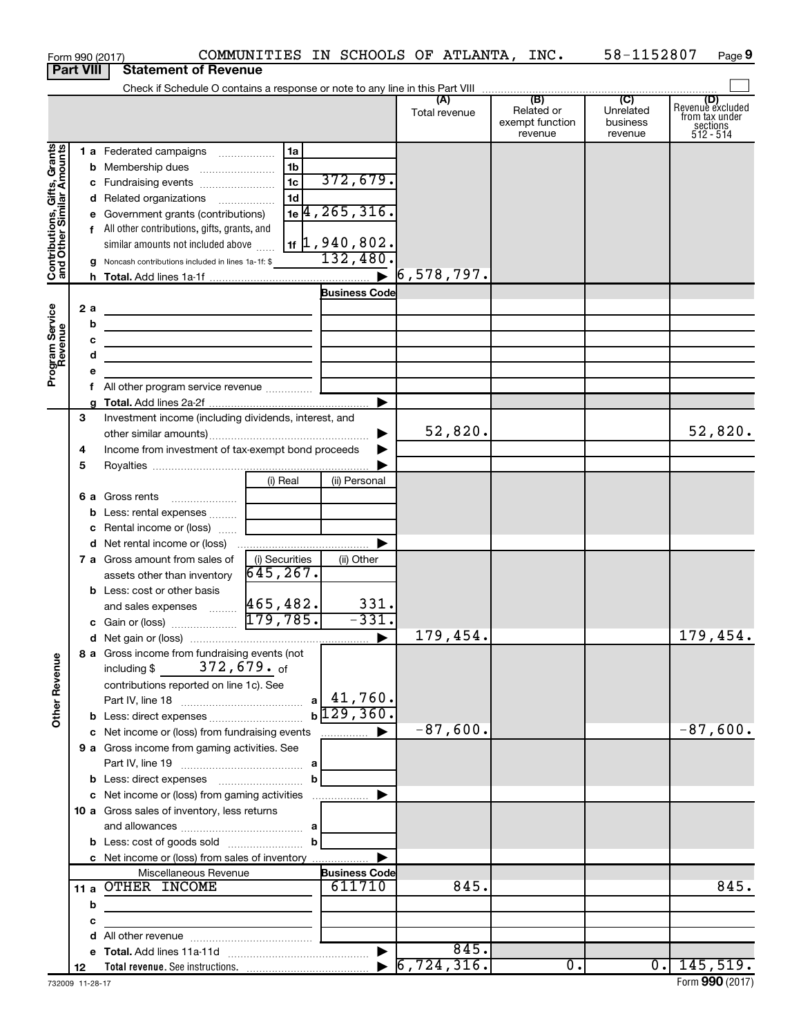|                                                           |                  | Form 990 (2017)                                                                                                        |                                |                               | COMMUNITIES IN SCHOOLS OF ATLANTA, INC. |                                                 | 58-1152807                                         | Page 9                                                      |
|-----------------------------------------------------------|------------------|------------------------------------------------------------------------------------------------------------------------|--------------------------------|-------------------------------|-----------------------------------------|-------------------------------------------------|----------------------------------------------------|-------------------------------------------------------------|
|                                                           | <b>Part VIII</b> | <b>Statement of Revenue</b>                                                                                            |                                |                               |                                         |                                                 |                                                    |                                                             |
|                                                           |                  |                                                                                                                        |                                |                               |                                         |                                                 |                                                    |                                                             |
|                                                           |                  |                                                                                                                        |                                |                               | (A)<br>Total revenue                    | (B)<br>Related or<br>exempt function<br>revenue | $\overline{C}$<br>Unrelated<br>business<br>revenue | Revenue excluded<br>from tax under<br>sections<br>512 - 514 |
|                                                           |                  | 1 a Federated campaigns                                                                                                | 1a                             |                               |                                         |                                                 |                                                    |                                                             |
| Contributions, Gifts, Grants<br>and Other Similar Amounts |                  |                                                                                                                        | 1b                             |                               |                                         |                                                 |                                                    |                                                             |
|                                                           |                  | c Fundraising events                                                                                                   | 1c                             | 372,679.                      |                                         |                                                 |                                                    |                                                             |
|                                                           |                  | d Related organizations                                                                                                | 1 <sub>d</sub>                 |                               |                                         |                                                 |                                                    |                                                             |
|                                                           |                  | e Government grants (contributions)                                                                                    |                                | $1e$ <sup>4</sup> , 265, 316. |                                         |                                                 |                                                    |                                                             |
|                                                           |                  | f All other contributions, gifts, grants, and                                                                          |                                |                               |                                         |                                                 |                                                    |                                                             |
|                                                           |                  | similar amounts not included above                                                                                     |                                | $1$ $\sharp$ 1, 940, 802.     |                                         |                                                 |                                                    |                                                             |
|                                                           |                  | <b>g</b> Noncash contributions included in lines 1a-1f: \$                                                             |                                | 132,480.                      |                                         |                                                 |                                                    |                                                             |
|                                                           |                  |                                                                                                                        |                                |                               | $\triangleright$ 6,578,797.             |                                                 |                                                    |                                                             |
|                                                           |                  |                                                                                                                        |                                | <b>Business Code</b>          |                                         |                                                 |                                                    |                                                             |
|                                                           | 2a               |                                                                                                                        |                                |                               |                                         |                                                 |                                                    |                                                             |
|                                                           | b                | <u> 1989 - Johann Stein, marwolaethau a bhann an t-Albann an t-Albann an t-Albann an t-Albann an t-Albann an t-Alb</u> |                                |                               |                                         |                                                 |                                                    |                                                             |
|                                                           | с                | the control of the control of the control of the control of the control of the control of                              |                                |                               |                                         |                                                 |                                                    |                                                             |
|                                                           | d                | the contract of the contract of the contract of the contract of the contract of                                        |                                |                               |                                         |                                                 |                                                    |                                                             |
| Program Service<br>Revenue                                |                  |                                                                                                                        |                                |                               |                                         |                                                 |                                                    |                                                             |
|                                                           |                  |                                                                                                                        |                                |                               |                                         |                                                 |                                                    |                                                             |
|                                                           |                  |                                                                                                                        |                                |                               |                                         |                                                 |                                                    |                                                             |
|                                                           | 3                | Investment income (including dividends, interest, and                                                                  |                                |                               |                                         |                                                 |                                                    |                                                             |
|                                                           |                  |                                                                                                                        |                                | ▶                             | 52,820.                                 |                                                 |                                                    | 52,820.                                                     |
|                                                           | 4                | Income from investment of tax-exempt bond proceeds                                                                     |                                |                               |                                         |                                                 |                                                    |                                                             |
|                                                           | 5                |                                                                                                                        |                                |                               |                                         |                                                 |                                                    |                                                             |
|                                                           |                  |                                                                                                                        | (i) Real                       | (ii) Personal                 |                                         |                                                 |                                                    |                                                             |
|                                                           |                  | 6 a Gross rents                                                                                                        |                                |                               |                                         |                                                 |                                                    |                                                             |
|                                                           |                  | <b>b</b> Less: rental expenses                                                                                         |                                |                               |                                         |                                                 |                                                    |                                                             |
|                                                           |                  | <b>c</b> Rental income or (loss)                                                                                       |                                |                               |                                         |                                                 |                                                    |                                                             |
|                                                           |                  |                                                                                                                        |                                |                               |                                         |                                                 |                                                    |                                                             |
|                                                           |                  | <b>7 a</b> Gross amount from sales of                                                                                  | (i) Securities<br>$645, 267$ . | (ii) Other                    |                                         |                                                 |                                                    |                                                             |
|                                                           |                  | assets other than inventory<br><b>b</b> Less: cost or other basis                                                      |                                |                               |                                         |                                                 |                                                    |                                                             |
|                                                           |                  | and sales expenses                                                                                                     |                                | 331.                          |                                         |                                                 |                                                    |                                                             |
|                                                           |                  | c Gain or (loss)                                                                                                       | $\frac{465,482}{179,785}$      | $-331.$                       |                                         |                                                 |                                                    |                                                             |
|                                                           |                  |                                                                                                                        |                                |                               | 179,454.                                |                                                 |                                                    | 179,454.                                                    |
|                                                           |                  | 8 a Gross income from fundraising events (not                                                                          |                                |                               |                                         |                                                 |                                                    |                                                             |
| <b>Other Revenue</b>                                      |                  | including \$ $372,679$ of                                                                                              |                                |                               |                                         |                                                 |                                                    |                                                             |
|                                                           |                  | contributions reported on line 1c). See                                                                                |                                |                               |                                         |                                                 |                                                    |                                                             |
|                                                           |                  |                                                                                                                        |                                | a   41, 760.                  |                                         |                                                 |                                                    |                                                             |
|                                                           |                  |                                                                                                                        |                                | $b\sqrt{129,360}$ .           |                                         |                                                 |                                                    |                                                             |
|                                                           |                  | c Net income or (loss) from fundraising events                                                                         |                                | ▶                             | $-87,600.$                              |                                                 |                                                    | $-87,600.$                                                  |
|                                                           |                  | 9 a Gross income from gaming activities. See                                                                           |                                |                               |                                         |                                                 |                                                    |                                                             |
|                                                           |                  |                                                                                                                        |                                |                               |                                         |                                                 |                                                    |                                                             |
|                                                           |                  | <b>b</b> Less: direct expenses <b>contained b</b>                                                                      |                                |                               |                                         |                                                 |                                                    |                                                             |
|                                                           |                  | c Net income or (loss) from gaming activities                                                                          |                                | ▶                             |                                         |                                                 |                                                    |                                                             |
|                                                           |                  | <b>10 a</b> Gross sales of inventory, less returns                                                                     |                                |                               |                                         |                                                 |                                                    |                                                             |
|                                                           |                  |                                                                                                                        |                                |                               |                                         |                                                 |                                                    |                                                             |
|                                                           |                  |                                                                                                                        | $\mathbf{b}$                   |                               |                                         |                                                 |                                                    |                                                             |
|                                                           |                  | c Net income or (loss) from sales of inventory                                                                         |                                |                               |                                         |                                                 |                                                    |                                                             |
|                                                           |                  | Miscellaneous Revenue                                                                                                  |                                | <b>Business Code</b>          |                                         |                                                 |                                                    |                                                             |
|                                                           |                  | 11 a OTHER INCOME                                                                                                      |                                | 611710                        | 845.                                    |                                                 |                                                    | 845.                                                        |
|                                                           | b                |                                                                                                                        |                                |                               |                                         |                                                 |                                                    |                                                             |
|                                                           | с                |                                                                                                                        |                                |                               |                                         |                                                 |                                                    |                                                             |
|                                                           | d                | All other revenue <i>communically contained</i>                                                                        |                                |                               | 845.                                    |                                                 |                                                    |                                                             |
|                                                           |                  |                                                                                                                        |                                |                               | $\triangleright$ 6,724,316.             | 0.                                              | $\overline{0}$ .                                   | 145,519.                                                    |
|                                                           | 12               |                                                                                                                        |                                |                               |                                         |                                                 |                                                    |                                                             |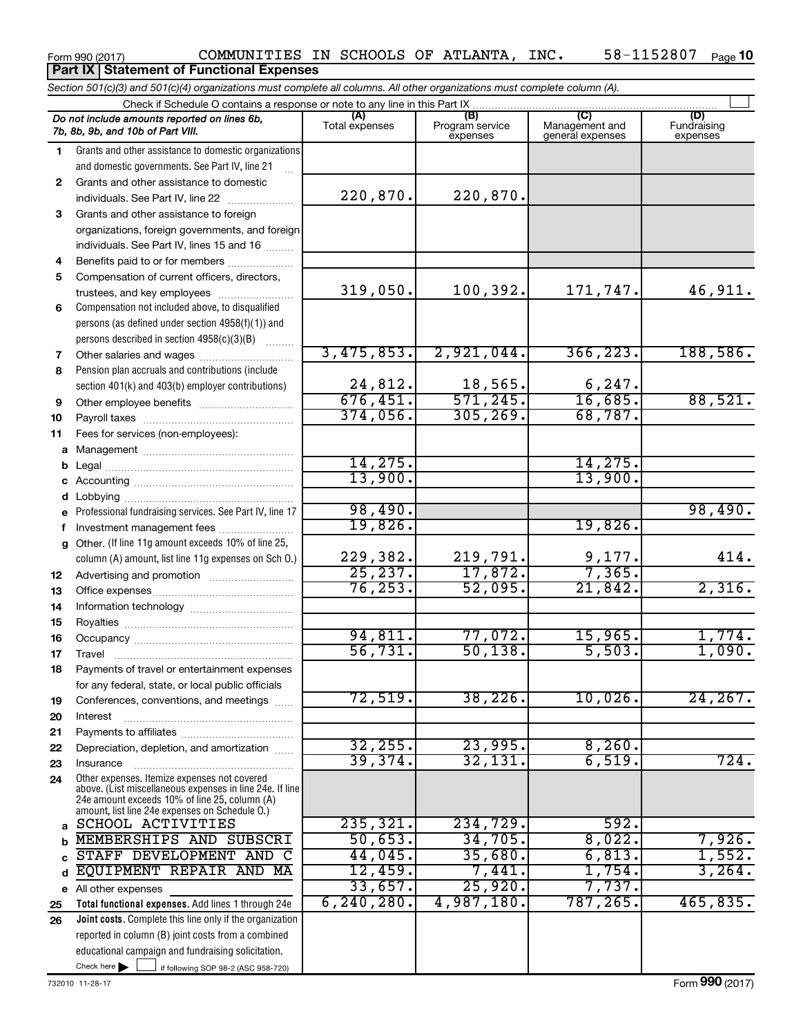#### Form 990 (2017) COMMUNITIES IN SCHOOLS OF ATLANTA, INC.  $58-1152807$  Page 58-1152807 Page 10 **Part IX Statement of Functional Expenses**

*Section 501(c)(3) and 501(c)(4) organizations must complete all columns. All other organizations must complete column (A).*

| Check if Schedule O contains a response or note to any line in this Part IX |                                                                                                                                                                                                             |                       |                                    |                                           |                                |  |  |
|-----------------------------------------------------------------------------|-------------------------------------------------------------------------------------------------------------------------------------------------------------------------------------------------------------|-----------------------|------------------------------------|-------------------------------------------|--------------------------------|--|--|
|                                                                             | Do not include amounts reported on lines 6b,<br>7b, 8b, 9b, and 10b of Part VIII.                                                                                                                           | (A)<br>Total expenses | (B)<br>Program service<br>expenses | (C)<br>Management and<br>general expenses | (D)<br>Fundraising<br>expenses |  |  |
| 1.                                                                          | Grants and other assistance to domestic organizations                                                                                                                                                       |                       |                                    |                                           |                                |  |  |
|                                                                             | and domestic governments. See Part IV, line 21                                                                                                                                                              |                       |                                    |                                           |                                |  |  |
| 2                                                                           | Grants and other assistance to domestic                                                                                                                                                                     |                       |                                    |                                           |                                |  |  |
|                                                                             | individuals. See Part IV, line 22                                                                                                                                                                           | 220,870.              | 220,870.                           |                                           |                                |  |  |
| 3.                                                                          | Grants and other assistance to foreign                                                                                                                                                                      |                       |                                    |                                           |                                |  |  |
|                                                                             | organizations, foreign governments, and foreign                                                                                                                                                             |                       |                                    |                                           |                                |  |  |
|                                                                             | individuals. See Part IV, lines 15 and 16                                                                                                                                                                   |                       |                                    |                                           |                                |  |  |
| 4                                                                           | Benefits paid to or for members                                                                                                                                                                             |                       |                                    |                                           |                                |  |  |
| 5                                                                           | Compensation of current officers, directors,                                                                                                                                                                |                       |                                    |                                           |                                |  |  |
|                                                                             | trustees, and key employees                                                                                                                                                                                 | 319,050.              | 100,392.                           | 171,747.                                  | 46,911.                        |  |  |
| 6                                                                           | Compensation not included above, to disqualified                                                                                                                                                            |                       |                                    |                                           |                                |  |  |
|                                                                             | persons (as defined under section 4958(f)(1)) and                                                                                                                                                           |                       |                                    |                                           |                                |  |  |
|                                                                             | persons described in section 4958(c)(3)(B)                                                                                                                                                                  |                       |                                    |                                           |                                |  |  |
| 7                                                                           | Other salaries and wages                                                                                                                                                                                    | 3,475,853.            | 2,921,044.                         | 366, 223.                                 | 188,586.                       |  |  |
| 8                                                                           | Pension plan accruals and contributions (include                                                                                                                                                            |                       |                                    |                                           |                                |  |  |
|                                                                             | section 401(k) and 403(b) employer contributions)                                                                                                                                                           | 24,812.               | $\frac{18,565}{571,245}$           | $\frac{6,247}{16,685}$                    |                                |  |  |
| 9                                                                           | Other employee benefits                                                                                                                                                                                     | 676, 451.             |                                    |                                           | 88,521.                        |  |  |
| 10                                                                          |                                                                                                                                                                                                             | 374,056.              | 305, 269.                          | 68,787.                                   |                                |  |  |
| 11                                                                          | Fees for services (non-employees):                                                                                                                                                                          |                       |                                    |                                           |                                |  |  |
| a                                                                           |                                                                                                                                                                                                             |                       |                                    |                                           |                                |  |  |
| b                                                                           |                                                                                                                                                                                                             | 14, 275.<br>13,900.   |                                    | 14,275<br>13,900.                         |                                |  |  |
| с                                                                           |                                                                                                                                                                                                             |                       |                                    |                                           |                                |  |  |
| d                                                                           |                                                                                                                                                                                                             | 98,490.               |                                    |                                           | 98,490.                        |  |  |
|                                                                             | Professional fundraising services. See Part IV, line 17                                                                                                                                                     | 19,826.               |                                    | 19,826.                                   |                                |  |  |
| f                                                                           | Investment management fees<br>Other. (If line 11g amount exceeds 10% of line 25,                                                                                                                            |                       |                                    |                                           |                                |  |  |
| g                                                                           | column (A) amount, list line 11g expenses on Sch O.)                                                                                                                                                        | 229,382.              |                                    |                                           | 414.                           |  |  |
| 12                                                                          |                                                                                                                                                                                                             | 25, 237.              | $\frac{219,791}{17,872}$           | $\frac{9,177}{7,365}$                     |                                |  |  |
| 13                                                                          |                                                                                                                                                                                                             | 76, 253.              | 52,095.                            | 21,842.                                   | 2,316.                         |  |  |
| 14                                                                          |                                                                                                                                                                                                             |                       |                                    |                                           |                                |  |  |
| 15                                                                          |                                                                                                                                                                                                             |                       |                                    |                                           |                                |  |  |
| 16                                                                          |                                                                                                                                                                                                             | 94,811.               | 77,072.                            | 15,965.                                   | 1,774.                         |  |  |
| 17                                                                          | Travel                                                                                                                                                                                                      | 56,731.               | 50, 138.                           | 5,503.                                    | 1,090.                         |  |  |
| 18                                                                          | Payments of travel or entertainment expenses                                                                                                                                                                |                       |                                    |                                           |                                |  |  |
|                                                                             | for any federal, state, or local public officials                                                                                                                                                           |                       |                                    |                                           |                                |  |  |
| 19                                                                          | Conferences, conventions, and meetings                                                                                                                                                                      | 72,519.               | 38, 226.                           | 10,026.                                   | 24, 267.                       |  |  |
| 20                                                                          | Interest                                                                                                                                                                                                    |                       |                                    |                                           |                                |  |  |
| 21                                                                          |                                                                                                                                                                                                             |                       |                                    |                                           |                                |  |  |
| 22                                                                          | Depreciation, depletion, and amortization                                                                                                                                                                   | 32, 255.              | 23,995.                            | 8,260.                                    |                                |  |  |
| 23                                                                          | Insurance                                                                                                                                                                                                   | 39,374.               | 32,131                             | 6,519.                                    | 724.                           |  |  |
| 24                                                                          | Other expenses. Itemize expenses not covered<br>above. (List miscellaneous expenses in line 24e. If line<br>24e amount exceeds 10% of line 25, column (A)<br>amount, list line 24e expenses on Schedule O.) |                       |                                    |                                           |                                |  |  |
| a                                                                           | SCHOOL ACTIVITIES                                                                                                                                                                                           | 235, 321.             | 234,729.                           | 592.                                      |                                |  |  |
| b                                                                           | MEMBERSHIPS AND SUBSCRI                                                                                                                                                                                     | 50,653.               | 34,705.                            | 8,022.                                    | 7,926.                         |  |  |
| C                                                                           | STAFF DEVELOPMENT AND C                                                                                                                                                                                     | 44,045.               | 35,680.                            | 6,813.                                    | 1,552.                         |  |  |
| d                                                                           | EQUIPMENT REPAIR AND MA                                                                                                                                                                                     | 12,459.               | 7,441.                             | $1,754$ .                                 | 3, 264.                        |  |  |
| е                                                                           | All other expenses                                                                                                                                                                                          | 33,657.               | 25,920.                            | 7,737.                                    |                                |  |  |
| 25                                                                          | Total functional expenses. Add lines 1 through 24e                                                                                                                                                          | 6, 240, 280.          | 4,987,180.                         | 787,265.                                  | 465,835.                       |  |  |
| 26                                                                          | Joint costs. Complete this line only if the organization                                                                                                                                                    |                       |                                    |                                           |                                |  |  |
|                                                                             | reported in column (B) joint costs from a combined                                                                                                                                                          |                       |                                    |                                           |                                |  |  |
|                                                                             | educational campaign and fundraising solicitation.                                                                                                                                                          |                       |                                    |                                           |                                |  |  |
|                                                                             | Check here $\blacktriangleright$<br>if following SOP 98-2 (ASC 958-720)                                                                                                                                     |                       |                                    |                                           |                                |  |  |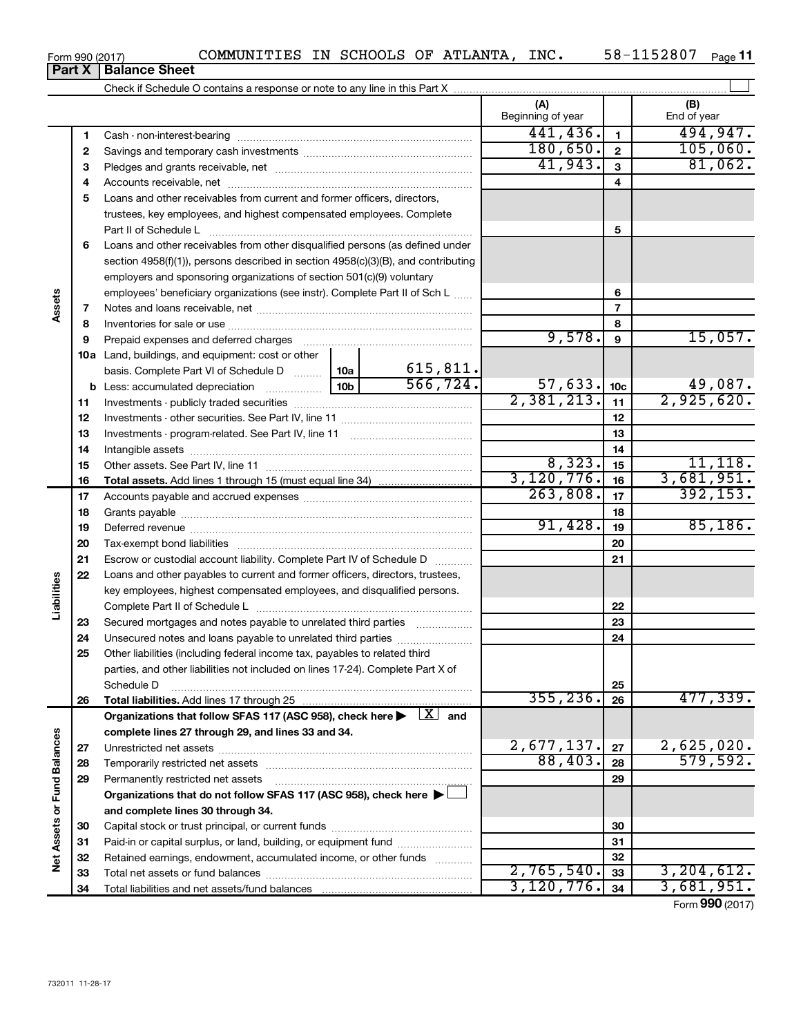| Form 990 (2017) |                               |  |
|-----------------|-------------------------------|--|
|                 | <b>Part X   Balance Sheet</b> |  |

|                             |    |                                                                                                                         |       |           | (A)<br>Beginning of year |                 | (B)<br>End of year |
|-----------------------------|----|-------------------------------------------------------------------------------------------------------------------------|-------|-----------|--------------------------|-----------------|--------------------|
|                             | 1  |                                                                                                                         |       |           | 441, 436.                | $\blacksquare$  | 494,947.           |
|                             | 2  |                                                                                                                         |       |           | 180,650.                 | $\mathbf{2}$    | 105,060.           |
|                             | З  |                                                                                                                         |       |           | 41,943.                  | 3               | 81,062.            |
|                             | 4  |                                                                                                                         |       |           |                          | 4               |                    |
|                             | 5  | Loans and other receivables from current and former officers, directors,                                                |       |           |                          |                 |                    |
|                             |    | trustees, key employees, and highest compensated employees. Complete                                                    |       |           |                          |                 |                    |
|                             |    | Part II of Schedule L                                                                                                   |       |           |                          | 5               |                    |
|                             | 6  | Loans and other receivables from other disqualified persons (as defined under                                           |       |           |                          |                 |                    |
|                             |    | section 4958(f)(1)), persons described in section 4958(c)(3)(B), and contributing                                       |       |           |                          |                 |                    |
|                             |    | employers and sponsoring organizations of section 501(c)(9) voluntary                                                   |       |           |                          |                 |                    |
|                             |    | employees' beneficiary organizations (see instr). Complete Part II of Sch L                                             |       |           |                          | 6               |                    |
| Assets                      | 7  |                                                                                                                         |       |           | 7                        |                 |                    |
|                             | 8  |                                                                                                                         |       |           |                          | 8               |                    |
|                             | 9  | Prepaid expenses and deferred charges                                                                                   |       |           | 9,578.                   | 9               | 15,057.            |
|                             |    | <b>10a</b> Land, buildings, and equipment: cost or other                                                                |       |           |                          |                 |                    |
|                             |    | basis. Complete Part VI of Schedule D  10a                                                                              |       | 615, 811. |                          |                 |                    |
|                             |    | <b>b</b> Less: accumulated depreciation <i></i>                                                                         | 10b l | 566, 724. | 57,633.                  | 10 <sub>c</sub> | 49,087.            |
|                             | 11 |                                                                                                                         |       |           | 2,381,213.               | 11              | 2,925,620.         |
|                             | 12 |                                                                                                                         |       | 12        |                          |                 |                    |
|                             | 13 |                                                                                                                         |       |           | 13                       |                 |                    |
|                             | 14 |                                                                                                                         |       | 14        |                          |                 |                    |
|                             | 15 |                                                                                                                         |       | 8,323.    | 15                       | 11, 118.        |                    |
|                             | 16 |                                                                                                                         |       |           | 3, 120, 776.             | 16              | 3,681,951.         |
|                             | 17 |                                                                                                                         |       | 263,808.  | 17                       | 392, 153.       |                    |
|                             | 18 |                                                                                                                         |       |           | 18                       |                 |                    |
|                             | 19 |                                                                                                                         |       |           | 91,428.                  | 19              | 85,186.            |
|                             | 20 |                                                                                                                         |       |           |                          | 20              |                    |
|                             | 21 | Escrow or custodial account liability. Complete Part IV of Schedule D                                                   |       |           |                          | 21              |                    |
|                             | 22 | Loans and other payables to current and former officers, directors, trustees,                                           |       |           |                          |                 |                    |
| Liabilities                 |    | key employees, highest compensated employees, and disqualified persons.                                                 |       |           |                          |                 |                    |
|                             |    |                                                                                                                         |       |           |                          | 22              |                    |
|                             | 23 | Secured mortgages and notes payable to unrelated third parties                                                          |       |           |                          | 23              |                    |
|                             | 24 | Unsecured notes and loans payable to unrelated third parties                                                            |       |           |                          | 24              |                    |
|                             | 25 | Other liabilities (including federal income tax, payables to related third                                              |       |           |                          |                 |                    |
|                             |    | parties, and other liabilities not included on lines 17-24). Complete Part X of                                         |       |           |                          |                 |                    |
|                             |    | Schedule D                                                                                                              |       | 355, 236. | 25                       | 477,339.        |                    |
|                             | 26 |                                                                                                                         |       |           |                          | 26              |                    |
|                             |    | Organizations that follow SFAS 117 (ASC 958), check here $\blacktriangleright \begin{array}{c} \perp X \end{array}$ and |       |           |                          |                 |                    |
|                             | 27 | complete lines 27 through 29, and lines 33 and 34.                                                                      |       |           | 2,677,137.               | 27              | 2,625,020.         |
|                             | 28 |                                                                                                                         |       |           | 88,403.                  | 28              | 579,592.           |
|                             | 29 | Permanently restricted net assets                                                                                       |       |           |                          | 29              |                    |
|                             |    | Organizations that do not follow SFAS 117 (ASC 958), check here $\blacktriangleright\bot$                               |       |           |                          |                 |                    |
|                             |    | and complete lines 30 through 34.                                                                                       |       |           |                          |                 |                    |
|                             | 30 |                                                                                                                         |       |           |                          | 30              |                    |
|                             | 31 | Paid-in or capital surplus, or land, building, or equipment fund                                                        |       |           |                          | 31              |                    |
| Net Assets or Fund Balances | 32 | Retained earnings, endowment, accumulated income, or other funds                                                        |       |           |                          | 32              |                    |
|                             | 33 |                                                                                                                         |       |           | 2,765,540.               | 33              | 3, 204, 612.       |
|                             | 34 |                                                                                                                         |       |           | 3,120,776.               | 34              | 3,681,951.         |
|                             |    |                                                                                                                         |       |           |                          |                 |                    |

Form (2017) **990**

| COMMINITTERS IN SCHOOLS OF ATL |  |  |
|--------------------------------|--|--|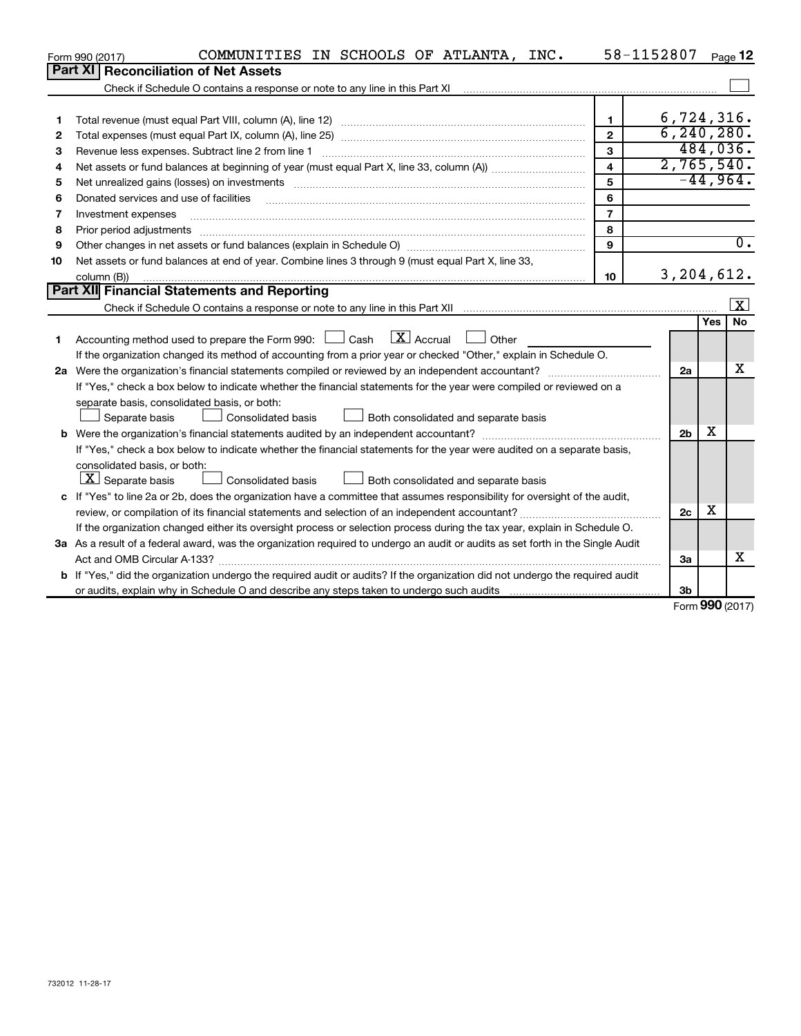|    | COMMUNITIES IN SCHOOLS OF ATLANTA, INC.<br>Form 990 (2017)                                                                      | 58-1152807              |                |     | Page 12                 |
|----|---------------------------------------------------------------------------------------------------------------------------------|-------------------------|----------------|-----|-------------------------|
|    | Part XI<br><b>Reconciliation of Net Assets</b>                                                                                  |                         |                |     |                         |
|    | Check if Schedule O contains a response or note to any line in this Part XI                                                     |                         |                |     |                         |
|    |                                                                                                                                 |                         |                |     |                         |
| 1  |                                                                                                                                 | 1                       | 6,724,316.     |     |                         |
| 2  |                                                                                                                                 | $\overline{2}$          | 6, 240, 280.   |     |                         |
| з  | Revenue less expenses. Subtract line 2 from line 1                                                                              | 3                       |                |     | 484,036.                |
| 4  |                                                                                                                                 | $\overline{\mathbf{4}}$ | 2,765,540.     |     |                         |
| 5  |                                                                                                                                 | 5                       |                |     | $-44,964.$              |
| 6  | Donated services and use of facilities                                                                                          | 6                       |                |     |                         |
| 7  | Investment expenses                                                                                                             | $\overline{7}$          |                |     |                         |
| 8  | Prior period adjustments                                                                                                        | 8                       |                |     |                         |
| 9  |                                                                                                                                 | $\mathbf{Q}$            |                |     | $\overline{0}$ .        |
| 10 | Net assets or fund balances at end of year. Combine lines 3 through 9 (must equal Part X, line 33,                              |                         |                |     |                         |
|    | column (B))                                                                                                                     | 10                      | 3, 204, 612.   |     |                         |
|    | Part XII Financial Statements and Reporting                                                                                     |                         |                |     |                         |
|    |                                                                                                                                 |                         |                |     | $\overline{\mathbf{X}}$ |
|    |                                                                                                                                 |                         |                | Yes | <b>No</b>               |
| 1  | $\boxed{\mathbf{X}}$ Accrual<br>Accounting method used to prepare the Form 990: $\Box$ Cash<br>Other                            |                         |                |     |                         |
|    | If the organization changed its method of accounting from a prior year or checked "Other," explain in Schedule O.               |                         |                |     |                         |
|    | 2a Were the organization's financial statements compiled or reviewed by an independent accountant?                              |                         | 2a             |     | x                       |
|    | If "Yes," check a box below to indicate whether the financial statements for the year were compiled or reviewed on a            |                         |                |     |                         |
|    | separate basis, consolidated basis, or both:                                                                                    |                         |                |     |                         |
|    | Separate basis<br><b>Consolidated basis</b><br>Both consolidated and separate basis                                             |                         |                |     |                         |
|    |                                                                                                                                 |                         | 2 <sub>b</sub> | х   |                         |
|    | If "Yes," check a box below to indicate whether the financial statements for the year were audited on a separate basis,         |                         |                |     |                         |
|    | consolidated basis, or both:                                                                                                    |                         |                |     |                         |
|    | $\lfloor \underline{X} \rfloor$ Separate basis<br>Consolidated basis<br>Both consolidated and separate basis                    |                         |                |     |                         |
|    | c If "Yes" to line 2a or 2b, does the organization have a committee that assumes responsibility for oversight of the audit,     |                         |                |     |                         |
|    | review, or compilation of its financial statements and selection of an independent accountant?                                  |                         | 2c             | х   |                         |
|    | If the organization changed either its oversight process or selection process during the tax year, explain in Schedule O.       |                         |                |     |                         |
|    | 3a As a result of a federal award, was the organization required to undergo an audit or audits as set forth in the Single Audit |                         |                |     |                         |
|    | Act and OMB Circular A-133?                                                                                                     |                         | За             |     | х                       |
|    | b If "Yes," did the organization undergo the required audit or audits? If the organization did not undergo the required audit   |                         |                |     |                         |
|    |                                                                                                                                 |                         | 3b             |     |                         |

Form (2017) **990**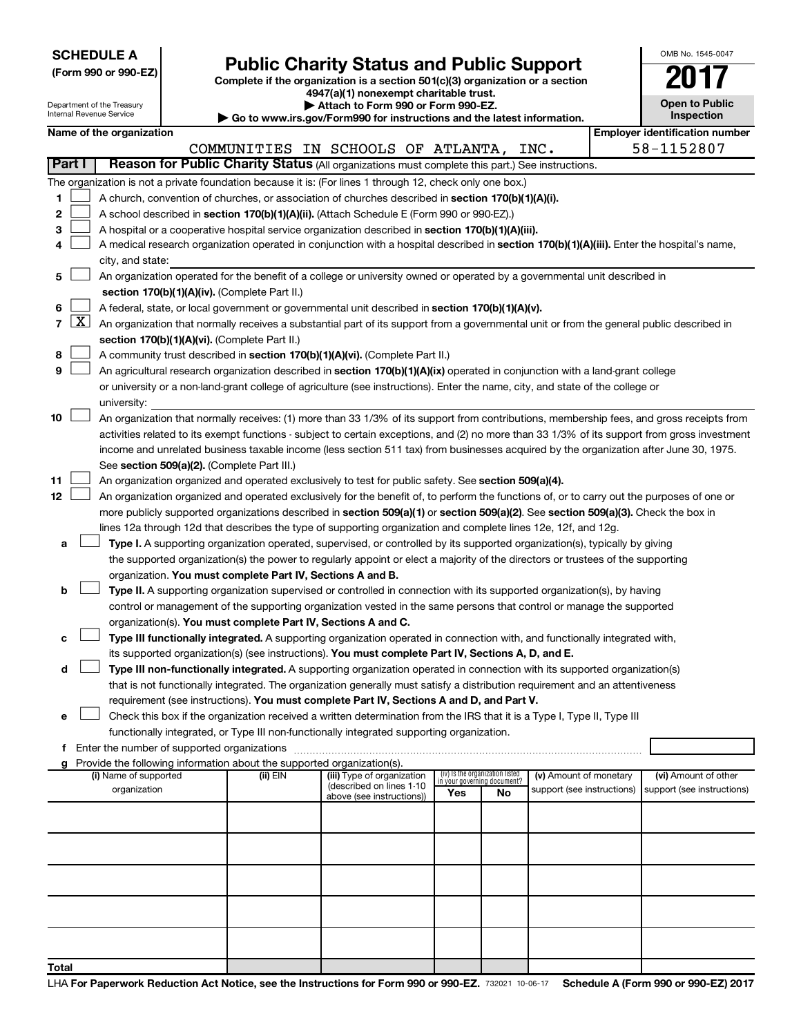| <b>SCHEDULE A</b> |  |
|-------------------|--|
|-------------------|--|

| (Form 990 or 990-EZ) |  |  |
|----------------------|--|--|
|                      |  |  |

Form 990 or 990-EZ)<br>
Complete if the organization is a section 501(c)(3) organization or a section<br> **Public Charity Status and Public Support** 

**4947(a)(1) nonexempt charitable trust. | Attach to Form 990 or Form 990-EZ.** 

| OMB No 1545-0047                    |
|-------------------------------------|
|                                     |
| <b>Open to Public</b><br>Inspection |

| Department of the Treasury<br>Attach to Form 990 or Form 990-EZ.<br>Internal Revenue Service<br><b>Inspection</b><br>Go to www.irs.gov/Form990 for instructions and the latest information. |                     |                                                                                                                                                                                                                                                 |  |                                                                                    |                                                                                                                                               |     | <b>Open to Public</b>             |                            |  |                                       |  |
|---------------------------------------------------------------------------------------------------------------------------------------------------------------------------------------------|---------------------|-------------------------------------------------------------------------------------------------------------------------------------------------------------------------------------------------------------------------------------------------|--|------------------------------------------------------------------------------------|-----------------------------------------------------------------------------------------------------------------------------------------------|-----|-----------------------------------|----------------------------|--|---------------------------------------|--|
|                                                                                                                                                                                             |                     | Name of the organization                                                                                                                                                                                                                        |  |                                                                                    |                                                                                                                                               |     |                                   |                            |  | <b>Employer identification number</b> |  |
|                                                                                                                                                                                             |                     |                                                                                                                                                                                                                                                 |  |                                                                                    | COMMUNITIES IN SCHOOLS OF ATLANTA, INC.                                                                                                       |     |                                   |                            |  | 58-1152807                            |  |
| <b>Part I</b>                                                                                                                                                                               |                     |                                                                                                                                                                                                                                                 |  |                                                                                    | Reason for Public Charity Status (All organizations must complete this part.) See instructions.                                               |     |                                   |                            |  |                                       |  |
|                                                                                                                                                                                             |                     |                                                                                                                                                                                                                                                 |  |                                                                                    | The organization is not a private foundation because it is: (For lines 1 through 12, check only one box.)                                     |     |                                   |                            |  |                                       |  |
| 1.                                                                                                                                                                                          |                     |                                                                                                                                                                                                                                                 |  |                                                                                    | A church, convention of churches, or association of churches described in section 170(b)(1)(A)(i).                                            |     |                                   |                            |  |                                       |  |
| 2                                                                                                                                                                                           |                     |                                                                                                                                                                                                                                                 |  |                                                                                    | A school described in section 170(b)(1)(A)(ii). (Attach Schedule E (Form 990 or 990-EZ).)                                                     |     |                                   |                            |  |                                       |  |
| з                                                                                                                                                                                           |                     |                                                                                                                                                                                                                                                 |  |                                                                                    |                                                                                                                                               |     |                                   |                            |  |                                       |  |
| 4                                                                                                                                                                                           |                     | A hospital or a cooperative hospital service organization described in section 170(b)(1)(A)(iii).<br>A medical research organization operated in conjunction with a hospital described in section 170(b)(1)(A)(iii). Enter the hospital's name, |  |                                                                                    |                                                                                                                                               |     |                                   |                            |  |                                       |  |
|                                                                                                                                                                                             |                     | city, and state:                                                                                                                                                                                                                                |  |                                                                                    |                                                                                                                                               |     |                                   |                            |  |                                       |  |
| 5                                                                                                                                                                                           |                     |                                                                                                                                                                                                                                                 |  |                                                                                    | An organization operated for the benefit of a college or university owned or operated by a governmental unit described in                     |     |                                   |                            |  |                                       |  |
|                                                                                                                                                                                             |                     |                                                                                                                                                                                                                                                 |  | section 170(b)(1)(A)(iv). (Complete Part II.)                                      |                                                                                                                                               |     |                                   |                            |  |                                       |  |
| 6                                                                                                                                                                                           |                     |                                                                                                                                                                                                                                                 |  |                                                                                    | A federal, state, or local government or governmental unit described in section 170(b)(1)(A)(v).                                              |     |                                   |                            |  |                                       |  |
| $\mathbf{7}$                                                                                                                                                                                | $\lfloor x \rfloor$ |                                                                                                                                                                                                                                                 |  |                                                                                    | An organization that normally receives a substantial part of its support from a governmental unit or from the general public described in     |     |                                   |                            |  |                                       |  |
|                                                                                                                                                                                             |                     |                                                                                                                                                                                                                                                 |  | section 170(b)(1)(A)(vi). (Complete Part II.)                                      |                                                                                                                                               |     |                                   |                            |  |                                       |  |
| 8                                                                                                                                                                                           |                     |                                                                                                                                                                                                                                                 |  |                                                                                    | A community trust described in section 170(b)(1)(A)(vi). (Complete Part II.)                                                                  |     |                                   |                            |  |                                       |  |
| 9                                                                                                                                                                                           |                     |                                                                                                                                                                                                                                                 |  |                                                                                    | An agricultural research organization described in section 170(b)(1)(A)(ix) operated in conjunction with a land-grant college                 |     |                                   |                            |  |                                       |  |
|                                                                                                                                                                                             |                     |                                                                                                                                                                                                                                                 |  |                                                                                    | or university or a non-land-grant college of agriculture (see instructions). Enter the name, city, and state of the college or                |     |                                   |                            |  |                                       |  |
|                                                                                                                                                                                             |                     | university:                                                                                                                                                                                                                                     |  |                                                                                    |                                                                                                                                               |     |                                   |                            |  |                                       |  |
| 10                                                                                                                                                                                          |                     |                                                                                                                                                                                                                                                 |  |                                                                                    | An organization that normally receives: (1) more than 33 1/3% of its support from contributions, membership fees, and gross receipts from     |     |                                   |                            |  |                                       |  |
|                                                                                                                                                                                             |                     |                                                                                                                                                                                                                                                 |  |                                                                                    | activities related to its exempt functions - subject to certain exceptions, and (2) no more than 33 1/3% of its support from gross investment |     |                                   |                            |  |                                       |  |
|                                                                                                                                                                                             |                     |                                                                                                                                                                                                                                                 |  |                                                                                    | income and unrelated business taxable income (less section 511 tax) from businesses acquired by the organization after June 30, 1975.         |     |                                   |                            |  |                                       |  |
|                                                                                                                                                                                             |                     |                                                                                                                                                                                                                                                 |  | See section 509(a)(2). (Complete Part III.)                                        |                                                                                                                                               |     |                                   |                            |  |                                       |  |
| 11                                                                                                                                                                                          |                     |                                                                                                                                                                                                                                                 |  |                                                                                    | An organization organized and operated exclusively to test for public safety. See section 509(a)(4).                                          |     |                                   |                            |  |                                       |  |
| 12                                                                                                                                                                                          |                     |                                                                                                                                                                                                                                                 |  |                                                                                    | An organization organized and operated exclusively for the benefit of, to perform the functions of, or to carry out the purposes of one or    |     |                                   |                            |  |                                       |  |
|                                                                                                                                                                                             |                     |                                                                                                                                                                                                                                                 |  |                                                                                    | more publicly supported organizations described in section 509(a)(1) or section 509(a)(2). See section 509(a)(3). Check the box in            |     |                                   |                            |  |                                       |  |
|                                                                                                                                                                                             |                     |                                                                                                                                                                                                                                                 |  |                                                                                    | lines 12a through 12d that describes the type of supporting organization and complete lines 12e, 12f, and 12g.                                |     |                                   |                            |  |                                       |  |
| a                                                                                                                                                                                           |                     |                                                                                                                                                                                                                                                 |  |                                                                                    | Type I. A supporting organization operated, supervised, or controlled by its supported organization(s), typically by giving                   |     |                                   |                            |  |                                       |  |
|                                                                                                                                                                                             |                     |                                                                                                                                                                                                                                                 |  |                                                                                    | the supported organization(s) the power to regularly appoint or elect a majority of the directors or trustees of the supporting               |     |                                   |                            |  |                                       |  |
|                                                                                                                                                                                             |                     |                                                                                                                                                                                                                                                 |  | organization. You must complete Part IV, Sections A and B.                         |                                                                                                                                               |     |                                   |                            |  |                                       |  |
| b                                                                                                                                                                                           |                     |                                                                                                                                                                                                                                                 |  |                                                                                    | Type II. A supporting organization supervised or controlled in connection with its supported organization(s), by having                       |     |                                   |                            |  |                                       |  |
|                                                                                                                                                                                             |                     |                                                                                                                                                                                                                                                 |  |                                                                                    | control or management of the supporting organization vested in the same persons that control or manage the supported                          |     |                                   |                            |  |                                       |  |
|                                                                                                                                                                                             |                     |                                                                                                                                                                                                                                                 |  | organization(s). You must complete Part IV, Sections A and C.                      |                                                                                                                                               |     |                                   |                            |  |                                       |  |
| с                                                                                                                                                                                           |                     |                                                                                                                                                                                                                                                 |  |                                                                                    | Type III functionally integrated. A supporting organization operated in connection with, and functionally integrated with,                    |     |                                   |                            |  |                                       |  |
|                                                                                                                                                                                             |                     |                                                                                                                                                                                                                                                 |  |                                                                                    | its supported organization(s) (see instructions). You must complete Part IV, Sections A, D, and E.                                            |     |                                   |                            |  |                                       |  |
| d                                                                                                                                                                                           |                     |                                                                                                                                                                                                                                                 |  |                                                                                    | Type III non-functionally integrated. A supporting organization operated in connection with its supported organization(s)                     |     |                                   |                            |  |                                       |  |
|                                                                                                                                                                                             |                     |                                                                                                                                                                                                                                                 |  |                                                                                    | that is not functionally integrated. The organization generally must satisfy a distribution requirement and an attentiveness                  |     |                                   |                            |  |                                       |  |
|                                                                                                                                                                                             |                     |                                                                                                                                                                                                                                                 |  |                                                                                    | requirement (see instructions). You must complete Part IV, Sections A and D, and Part V.                                                      |     |                                   |                            |  |                                       |  |
| e                                                                                                                                                                                           |                     |                                                                                                                                                                                                                                                 |  |                                                                                    | Check this box if the organization received a written determination from the IRS that it is a Type I, Type II, Type III                       |     |                                   |                            |  |                                       |  |
|                                                                                                                                                                                             |                     |                                                                                                                                                                                                                                                 |  |                                                                                    | functionally integrated, or Type III non-functionally integrated supporting organization.                                                     |     |                                   |                            |  |                                       |  |
|                                                                                                                                                                                             |                     |                                                                                                                                                                                                                                                 |  |                                                                                    |                                                                                                                                               |     |                                   |                            |  |                                       |  |
|                                                                                                                                                                                             |                     | (i) Name of supported                                                                                                                                                                                                                           |  | Provide the following information about the supported organization(s).<br>(ii) EIN | (iii) Type of organization                                                                                                                    |     | (iv) Is the organization listed   | (v) Amount of monetary     |  | (vi) Amount of other                  |  |
|                                                                                                                                                                                             |                     | organization                                                                                                                                                                                                                                    |  |                                                                                    | (described on lines 1-10                                                                                                                      | Yes | in your governing document?<br>No | support (see instructions) |  | support (see instructions)            |  |
|                                                                                                                                                                                             |                     |                                                                                                                                                                                                                                                 |  |                                                                                    | above (see instructions))                                                                                                                     |     |                                   |                            |  |                                       |  |
|                                                                                                                                                                                             |                     |                                                                                                                                                                                                                                                 |  |                                                                                    |                                                                                                                                               |     |                                   |                            |  |                                       |  |
|                                                                                                                                                                                             |                     |                                                                                                                                                                                                                                                 |  |                                                                                    |                                                                                                                                               |     |                                   |                            |  |                                       |  |
|                                                                                                                                                                                             |                     |                                                                                                                                                                                                                                                 |  |                                                                                    |                                                                                                                                               |     |                                   |                            |  |                                       |  |
|                                                                                                                                                                                             |                     |                                                                                                                                                                                                                                                 |  |                                                                                    |                                                                                                                                               |     |                                   |                            |  |                                       |  |
|                                                                                                                                                                                             |                     |                                                                                                                                                                                                                                                 |  |                                                                                    |                                                                                                                                               |     |                                   |                            |  |                                       |  |
|                                                                                                                                                                                             |                     |                                                                                                                                                                                                                                                 |  |                                                                                    |                                                                                                                                               |     |                                   |                            |  |                                       |  |
|                                                                                                                                                                                             |                     |                                                                                                                                                                                                                                                 |  |                                                                                    |                                                                                                                                               |     |                                   |                            |  |                                       |  |
|                                                                                                                                                                                             |                     |                                                                                                                                                                                                                                                 |  |                                                                                    |                                                                                                                                               |     |                                   |                            |  |                                       |  |
|                                                                                                                                                                                             |                     |                                                                                                                                                                                                                                                 |  |                                                                                    |                                                                                                                                               |     |                                   |                            |  |                                       |  |
| Total                                                                                                                                                                                       |                     |                                                                                                                                                                                                                                                 |  |                                                                                    |                                                                                                                                               |     |                                   |                            |  |                                       |  |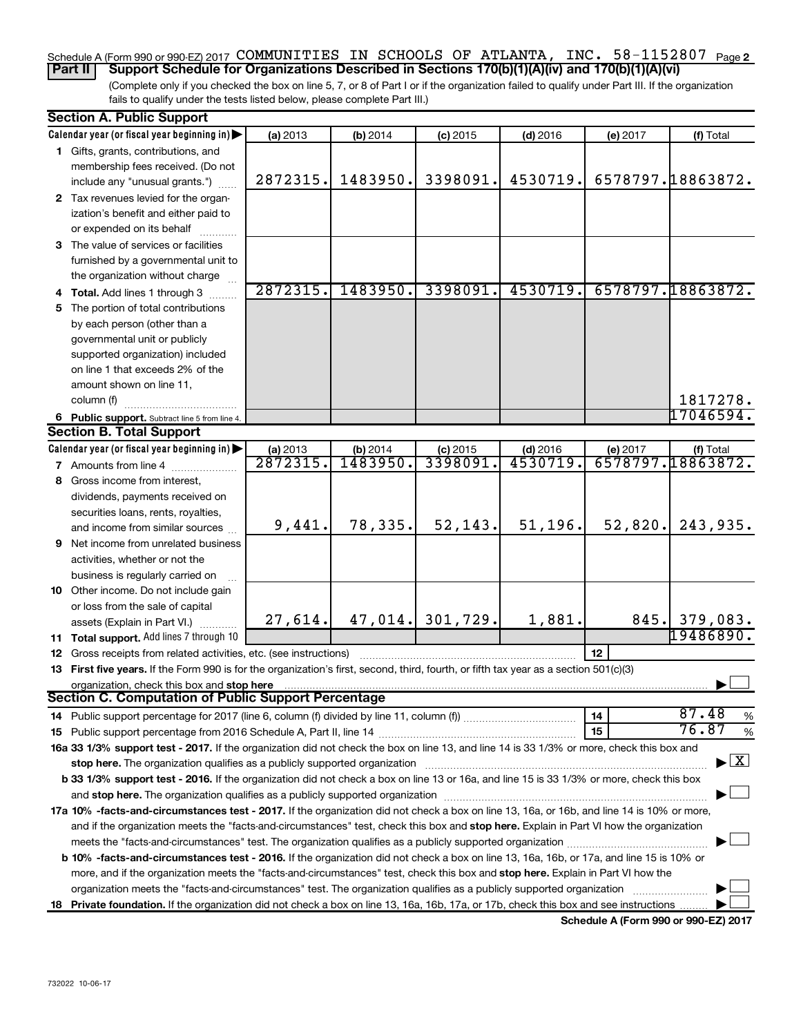#### Schedule A (Form 990 or 990-EZ) 2017 COMMUNITIES IN SCHOOLS OF ATLANTA, INC. 58-1152807 <sub>Page 2</sub> **Part II Support Schedule for Organizations Described in Sections 170(b)(1)(A)(iv) and 170(b)(1)(A)(vi)**

(Complete only if you checked the box on line 5, 7, or 8 of Part I or if the organization failed to qualify under Part III. If the organization fails to qualify under the tests listed below, please complete Part III.)

| <b>Section A. Public Support</b>                                                                                                                                                                                               |                      |                      |                       |                        |          |                                    |
|--------------------------------------------------------------------------------------------------------------------------------------------------------------------------------------------------------------------------------|----------------------|----------------------|-----------------------|------------------------|----------|------------------------------------|
| Calendar year (or fiscal year beginning in)                                                                                                                                                                                    | (a) 2013             | (b) 2014             | $(c)$ 2015            | $(d)$ 2016             | (e) 2017 | (f) Total                          |
| 1 Gifts, grants, contributions, and                                                                                                                                                                                            |                      |                      |                       |                        |          |                                    |
| membership fees received. (Do not                                                                                                                                                                                              |                      |                      |                       |                        |          |                                    |
| include any "unusual grants.")                                                                                                                                                                                                 | 2872315.             | 1483950.             | 3398091.              | 4530719.               |          | 6578797.18863872.                  |
| 2 Tax revenues levied for the organ-                                                                                                                                                                                           |                      |                      |                       |                        |          |                                    |
| ization's benefit and either paid to                                                                                                                                                                                           |                      |                      |                       |                        |          |                                    |
| or expended on its behalf                                                                                                                                                                                                      |                      |                      |                       |                        |          |                                    |
| 3 The value of services or facilities                                                                                                                                                                                          |                      |                      |                       |                        |          |                                    |
| furnished by a governmental unit to                                                                                                                                                                                            |                      |                      |                       |                        |          |                                    |
| the organization without charge                                                                                                                                                                                                |                      |                      |                       |                        |          |                                    |
| 4 Total. Add lines 1 through 3                                                                                                                                                                                                 | 2872315.             | 1483950.             | 3398091.              | 4530719.               |          | 6578797.18863872.                  |
| 5 The portion of total contributions                                                                                                                                                                                           |                      |                      |                       |                        |          |                                    |
| by each person (other than a                                                                                                                                                                                                   |                      |                      |                       |                        |          |                                    |
| governmental unit or publicly                                                                                                                                                                                                  |                      |                      |                       |                        |          |                                    |
| supported organization) included                                                                                                                                                                                               |                      |                      |                       |                        |          |                                    |
| on line 1 that exceeds 2% of the                                                                                                                                                                                               |                      |                      |                       |                        |          |                                    |
| amount shown on line 11,                                                                                                                                                                                                       |                      |                      |                       |                        |          |                                    |
| column (f)                                                                                                                                                                                                                     |                      |                      |                       |                        |          | 1817278.                           |
|                                                                                                                                                                                                                                |                      |                      |                       |                        |          | 17046594.                          |
| 6 Public support. Subtract line 5 from line 4.<br><b>Section B. Total Support</b>                                                                                                                                              |                      |                      |                       |                        |          |                                    |
| Calendar year (or fiscal year beginning in)                                                                                                                                                                                    |                      |                      |                       |                        |          |                                    |
|                                                                                                                                                                                                                                | (a) 2013<br>2872315. | (b) 2014<br>1483950. | $(c)$ 2015<br>3398091 | $(d)$ 2016<br>4530719. | (e) 2017 | (f) Total<br>6578797.18863872.     |
| <b>7</b> Amounts from line 4                                                                                                                                                                                                   |                      |                      |                       |                        |          |                                    |
| 8 Gross income from interest,                                                                                                                                                                                                  |                      |                      |                       |                        |          |                                    |
| dividends, payments received on                                                                                                                                                                                                |                      |                      |                       |                        |          |                                    |
| securities loans, rents, royalties,                                                                                                                                                                                            |                      | 78,335.              | 52, 143.              | 51, 196.               |          |                                    |
| and income from similar sources                                                                                                                                                                                                | 9,441.               |                      |                       |                        | 52,820.  | 243,935.                           |
| <b>9</b> Net income from unrelated business                                                                                                                                                                                    |                      |                      |                       |                        |          |                                    |
| activities, whether or not the                                                                                                                                                                                                 |                      |                      |                       |                        |          |                                    |
| business is regularly carried on                                                                                                                                                                                               |                      |                      |                       |                        |          |                                    |
| 10 Other income. Do not include gain                                                                                                                                                                                           |                      |                      |                       |                        |          |                                    |
| or loss from the sale of capital                                                                                                                                                                                               |                      |                      |                       |                        |          |                                    |
| assets (Explain in Part VI.)                                                                                                                                                                                                   | 27,614.              |                      | $47,014.$ 301,729.    | 1,881.                 |          | 845. 379,083.                      |
| 11 Total support. Add lines 7 through 10                                                                                                                                                                                       |                      |                      |                       |                        |          | 19486890.                          |
| 12 Gross receipts from related activities, etc. (see instructions)                                                                                                                                                             |                      |                      |                       |                        | 12       |                                    |
| 13 First five years. If the Form 990 is for the organization's first, second, third, fourth, or fifth tax year as a section 501(c)(3)                                                                                          |                      |                      |                       |                        |          |                                    |
| organization, check this box and stop here                                                                                                                                                                                     |                      |                      |                       |                        |          |                                    |
| <b>Section C. Computation of Public Support Percentage</b>                                                                                                                                                                     |                      |                      |                       |                        |          |                                    |
|                                                                                                                                                                                                                                |                      |                      |                       |                        | 14       | 87.48<br>%                         |
|                                                                                                                                                                                                                                |                      |                      |                       |                        | 15       | 76.87<br>$\%$                      |
| 16a 33 1/3% support test - 2017. If the organization did not check the box on line 13, and line 14 is 33 1/3% or more, check this box and                                                                                      |                      |                      |                       |                        |          |                                    |
| stop here. The organization qualifies as a publicly supported organization manufaction manufacture or the organization manufacture or the organization manufacture or the organization manufacture or the state of the state o |                      |                      |                       |                        |          | $\blacktriangleright$ $\mathbf{X}$ |
| b 33 1/3% support test - 2016. If the organization did not check a box on line 13 or 16a, and line 15 is 33 1/3% or more, check this box                                                                                       |                      |                      |                       |                        |          |                                    |
|                                                                                                                                                                                                                                |                      |                      |                       |                        |          |                                    |
| 17a 10% -facts-and-circumstances test - 2017. If the organization did not check a box on line 13, 16a, or 16b, and line 14 is 10% or more,                                                                                     |                      |                      |                       |                        |          |                                    |
| and if the organization meets the "facts-and-circumstances" test, check this box and stop here. Explain in Part VI how the organization                                                                                        |                      |                      |                       |                        |          |                                    |
| meets the "facts-and-circumstances" test. The organization qualifies as a publicly supported organization                                                                                                                      |                      |                      |                       |                        |          |                                    |
| b 10% -facts-and-circumstances test - 2016. If the organization did not check a box on line 13, 16a, 16b, or 17a, and line 15 is 10% or                                                                                        |                      |                      |                       |                        |          |                                    |
| more, and if the organization meets the "facts-and-circumstances" test, check this box and stop here. Explain in Part VI how the                                                                                               |                      |                      |                       |                        |          |                                    |
| organization meets the "facts-and-circumstances" test. The organization qualifies as a publicly supported organization                                                                                                         |                      |                      |                       |                        |          |                                    |
| 18 Private foundation. If the organization did not check a box on line 13, 16a, 16b, 17a, or 17b, check this box and see instructions.                                                                                         |                      |                      |                       |                        |          |                                    |
|                                                                                                                                                                                                                                |                      |                      |                       |                        |          |                                    |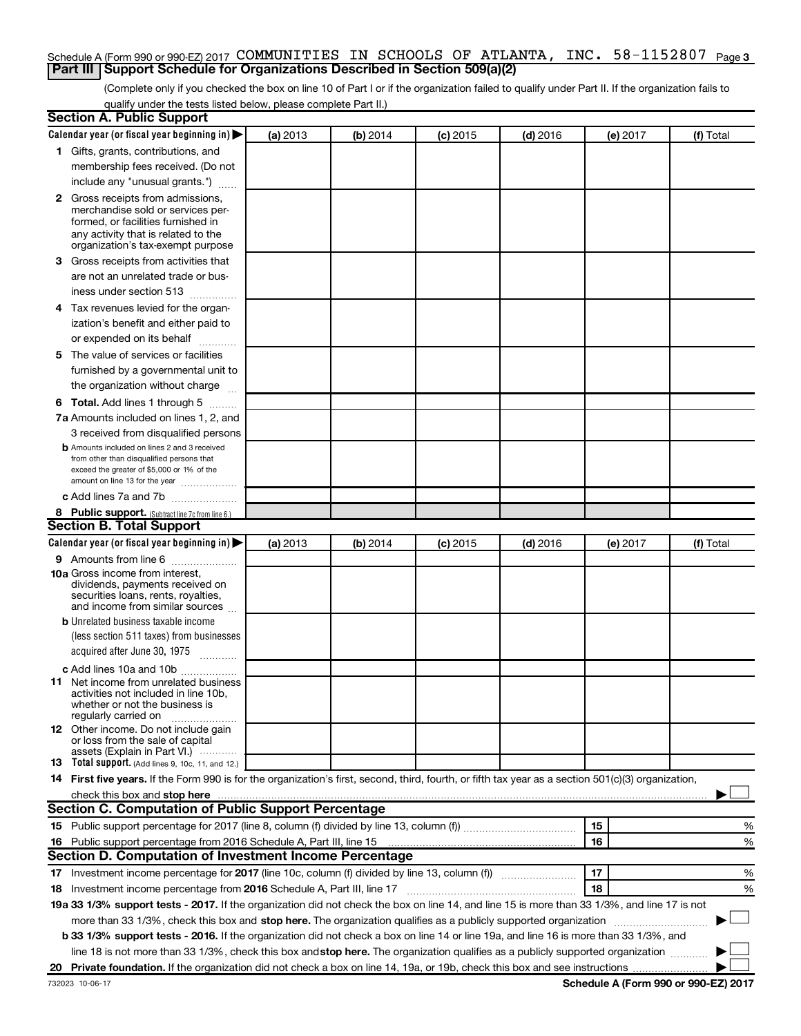### Schedule A (Form 990 or 990-EZ) 2017 COMMUNITIES IN SCHOOLS OF ATLANTA, INC. 58-1152807 <sub>Page 3</sub> **Part III Support Schedule for Organizations Described in Section 509(a)(2)**

(Complete only if you checked the box on line 10 of Part I or if the organization failed to qualify under Part II. If the organization fails to qualify under the tests listed below, please complete Part II.)

| <b>Section A. Public Support</b>                                                                                                                    |          |          |            |            |          |           |
|-----------------------------------------------------------------------------------------------------------------------------------------------------|----------|----------|------------|------------|----------|-----------|
| Calendar year (or fiscal year beginning in)                                                                                                         | (a) 2013 | (b) 2014 | $(c)$ 2015 | $(d)$ 2016 | (e) 2017 | (f) Total |
| 1 Gifts, grants, contributions, and                                                                                                                 |          |          |            |            |          |           |
| membership fees received. (Do not                                                                                                                   |          |          |            |            |          |           |
| include any "unusual grants.")                                                                                                                      |          |          |            |            |          |           |
| 2 Gross receipts from admissions,                                                                                                                   |          |          |            |            |          |           |
| merchandise sold or services per-                                                                                                                   |          |          |            |            |          |           |
| formed, or facilities furnished in                                                                                                                  |          |          |            |            |          |           |
| any activity that is related to the<br>organization's tax-exempt purpose                                                                            |          |          |            |            |          |           |
| 3 Gross receipts from activities that                                                                                                               |          |          |            |            |          |           |
| are not an unrelated trade or bus-                                                                                                                  |          |          |            |            |          |           |
| iness under section 513                                                                                                                             |          |          |            |            |          |           |
| 4 Tax revenues levied for the organ-                                                                                                                |          |          |            |            |          |           |
| ization's benefit and either paid to                                                                                                                |          |          |            |            |          |           |
| or expended on its behalf                                                                                                                           |          |          |            |            |          |           |
| 5 The value of services or facilities                                                                                                               |          |          |            |            |          |           |
| furnished by a governmental unit to                                                                                                                 |          |          |            |            |          |           |
| the organization without charge                                                                                                                     |          |          |            |            |          |           |
| <b>6 Total.</b> Add lines 1 through 5                                                                                                               |          |          |            |            |          |           |
| 7a Amounts included on lines 1, 2, and                                                                                                              |          |          |            |            |          |           |
| 3 received from disqualified persons                                                                                                                |          |          |            |            |          |           |
| <b>b</b> Amounts included on lines 2 and 3 received                                                                                                 |          |          |            |            |          |           |
| from other than disqualified persons that                                                                                                           |          |          |            |            |          |           |
| exceed the greater of \$5,000 or 1% of the<br>amount on line 13 for the year                                                                        |          |          |            |            |          |           |
| c Add lines 7a and 7b                                                                                                                               |          |          |            |            |          |           |
| 8 Public support. (Subtract line 7c from line 6.)                                                                                                   |          |          |            |            |          |           |
| <b>Section B. Total Support</b>                                                                                                                     |          |          |            |            |          |           |
| Calendar year (or fiscal year beginning in)                                                                                                         | (a) 2013 | (b) 2014 | (c) 2015   | $(d)$ 2016 | (e) 2017 | (f) Total |
| <b>9</b> Amounts from line 6                                                                                                                        |          |          |            |            |          |           |
| <b>10a</b> Gross income from interest,                                                                                                              |          |          |            |            |          |           |
| dividends, payments received on                                                                                                                     |          |          |            |            |          |           |
| securities loans, rents, royalties,<br>and income from similar sources                                                                              |          |          |            |            |          |           |
| <b>b</b> Unrelated business taxable income                                                                                                          |          |          |            |            |          |           |
| (less section 511 taxes) from businesses                                                                                                            |          |          |            |            |          |           |
| acquired after June 30, 1975                                                                                                                        |          |          |            |            |          |           |
| $\frac{1}{2}$<br>c Add lines 10a and 10b                                                                                                            |          |          |            |            |          |           |
| 11 Net income from unrelated business                                                                                                               |          |          |            |            |          |           |
| activities not included in line 10b.                                                                                                                |          |          |            |            |          |           |
| whether or not the business is                                                                                                                      |          |          |            |            |          |           |
| regularly carried on<br><b>12</b> Other income. Do not include gain                                                                                 |          |          |            |            |          |           |
| or loss from the sale of capital                                                                                                                    |          |          |            |            |          |           |
| assets (Explain in Part VI.)                                                                                                                        |          |          |            |            |          |           |
| <b>13</b> Total support. (Add lines 9, 10c, 11, and 12.)                                                                                            |          |          |            |            |          |           |
| 14 First five years. If the Form 990 is for the organization's first, second, third, fourth, or fifth tax year as a section 501(c)(3) organization, |          |          |            |            |          |           |
|                                                                                                                                                     |          |          |            |            |          |           |
| Section C. Computation of Public Support Percentage                                                                                                 |          |          |            |            |          |           |
|                                                                                                                                                     |          |          |            |            | 15       | %         |
| 16 Public support percentage from 2016 Schedule A, Part III, line 15                                                                                |          |          |            |            | 16       | %         |
| Section D. Computation of Investment Income Percentage                                                                                              |          |          |            |            |          |           |
| 17 Investment income percentage for 2017 (line 10c, column (f) divided by line 13, column (f))                                                      |          |          |            |            | 17       | %         |
| 18 Investment income percentage from 2016 Schedule A, Part III, line 17                                                                             |          |          |            |            | 18       | %         |
| 19a 33 1/3% support tests - 2017. If the organization did not check the box on line 14, and line 15 is more than 33 1/3%, and line 17 is not        |          |          |            |            |          |           |
| more than 33 1/3%, check this box and stop here. The organization qualifies as a publicly supported organization                                    |          |          |            |            |          |           |
| b 33 1/3% support tests - 2016. If the organization did not check a box on line 14 or line 19a, and line 16 is more than 33 1/3%, and               |          |          |            |            |          |           |
| line 18 is not more than 33 1/3%, check this box and stop here. The organization qualifies as a publicly supported organization                     |          |          |            |            |          |           |
|                                                                                                                                                     |          |          |            |            |          |           |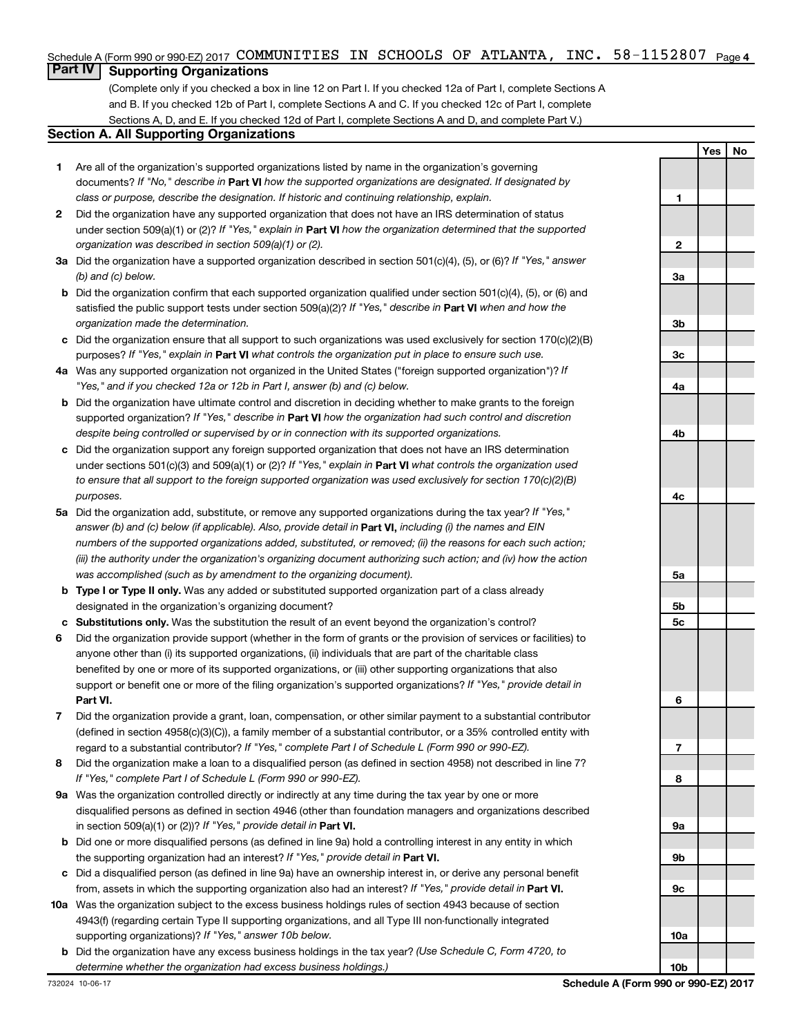### Schedule A (Form 990 or 990-EZ) 2017 COMMUNITIES IN SCHOOLS OF ATLANTA, INC. 58-1152807 <sub>Page 4</sub>

### **Part IV Supporting Organizations**

(Complete only if you checked a box in line 12 on Part I. If you checked 12a of Part I, complete Sections A and B. If you checked 12b of Part I, complete Sections A and C. If you checked 12c of Part I, complete Sections A, D, and E. If you checked 12d of Part I, complete Sections A and D, and complete Part V.)

#### **Section A. All Supporting Organizations**

- **1** Are all of the organization's supported organizations listed by name in the organization's governing documents? If "No," describe in Part VI how the supported organizations are designated. If designated by *class or purpose, describe the designation. If historic and continuing relationship, explain.*
- **2** Did the organization have any supported organization that does not have an IRS determination of status under section 509(a)(1) or (2)? If "Yes," explain in Part **VI** how the organization determined that the supported *organization was described in section 509(a)(1) or (2).*
- **3a** Did the organization have a supported organization described in section 501(c)(4), (5), or (6)? If "Yes," answer *(b) and (c) below.*
- **b** Did the organization confirm that each supported organization qualified under section 501(c)(4), (5), or (6) and satisfied the public support tests under section 509(a)(2)? If "Yes," describe in Part VI when and how the *organization made the determination.*
- **c** Did the organization ensure that all support to such organizations was used exclusively for section 170(c)(2)(B) purposes? If "Yes," explain in Part VI what controls the organization put in place to ensure such use.
- **4 a** *If* Was any supported organization not organized in the United States ("foreign supported organization")? *"Yes," and if you checked 12a or 12b in Part I, answer (b) and (c) below.*
- **b** Did the organization have ultimate control and discretion in deciding whether to make grants to the foreign supported organization? If "Yes," describe in Part VI how the organization had such control and discretion *despite being controlled or supervised by or in connection with its supported organizations.*
- **c** Did the organization support any foreign supported organization that does not have an IRS determination under sections 501(c)(3) and 509(a)(1) or (2)? If "Yes," explain in Part VI what controls the organization used *to ensure that all support to the foreign supported organization was used exclusively for section 170(c)(2)(B) purposes.*
- **5a** Did the organization add, substitute, or remove any supported organizations during the tax year? If "Yes," answer (b) and (c) below (if applicable). Also, provide detail in **Part VI,** including (i) the names and EIN *numbers of the supported organizations added, substituted, or removed; (ii) the reasons for each such action; (iii) the authority under the organization's organizing document authorizing such action; and (iv) how the action was accomplished (such as by amendment to the organizing document).*
- **b Type I or Type II only.** Was any added or substituted supported organization part of a class already designated in the organization's organizing document?
- **c Substitutions only.**  Was the substitution the result of an event beyond the organization's control?
- **6** Did the organization provide support (whether in the form of grants or the provision of services or facilities) to **Part VI.** support or benefit one or more of the filing organization's supported organizations? If "Yes," provide detail in anyone other than (i) its supported organizations, (ii) individuals that are part of the charitable class benefited by one or more of its supported organizations, or (iii) other supporting organizations that also
- **7** Did the organization provide a grant, loan, compensation, or other similar payment to a substantial contributor regard to a substantial contributor? If "Yes," complete Part I of Schedule L (Form 990 or 990-EZ). (defined in section 4958(c)(3)(C)), a family member of a substantial contributor, or a 35% controlled entity with
- **8** Did the organization make a loan to a disqualified person (as defined in section 4958) not described in line 7? *If "Yes," complete Part I of Schedule L (Form 990 or 990-EZ).*
- **9 a** Was the organization controlled directly or indirectly at any time during the tax year by one or more in section 509(a)(1) or (2))? If "Yes," provide detail in **Part VI.** disqualified persons as defined in section 4946 (other than foundation managers and organizations described
- **b** Did one or more disqualified persons (as defined in line 9a) hold a controlling interest in any entity in which the supporting organization had an interest? If "Yes," provide detail in Part VI.
- **c** Did a disqualified person (as defined in line 9a) have an ownership interest in, or derive any personal benefit from, assets in which the supporting organization also had an interest? If "Yes," provide detail in Part VI.
- **10 a** Was the organization subject to the excess business holdings rules of section 4943 because of section supporting organizations)? If "Yes," answer 10b below. 4943(f) (regarding certain Type II supporting organizations, and all Type III non-functionally integrated
	- **b** Did the organization have any excess business holdings in the tax year? (Use Schedule C, Form 4720, to *determine whether the organization had excess business holdings.)*

**1 2 3a 3b 3c 4a 4b 4c 5a 5b 5c 6 7 8 9a 9b 9c 10a**

**Yes No**

**10b**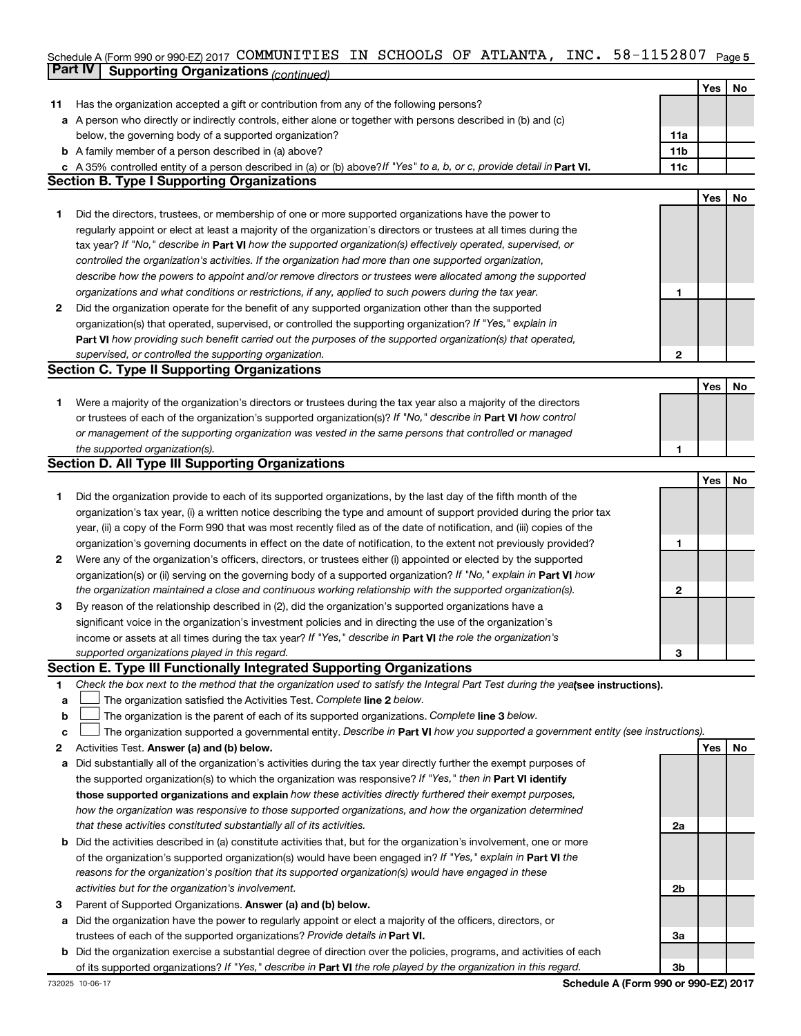#### Schedule A (Form 990 or 990-EZ) 2017 COMMUNITIES IN SCHOOLS OF ATLANTA, INC. 58-II52807 Page 5 **Part IV Supporting Organizations** *(continued)* COMMUNITIES IN SCHOOLS OF ATLANTA, INC. 58-1152807

|              |                                                                                                                                 |              | Yes | No |
|--------------|---------------------------------------------------------------------------------------------------------------------------------|--------------|-----|----|
| 11           | Has the organization accepted a gift or contribution from any of the following persons?                                         |              |     |    |
| а            | A person who directly or indirectly controls, either alone or together with persons described in (b) and (c)                    |              |     |    |
|              | below, the governing body of a supported organization?                                                                          | 11a          |     |    |
|              | <b>b</b> A family member of a person described in (a) above?                                                                    | 11b          |     |    |
|              | c A 35% controlled entity of a person described in (a) or (b) above? If "Yes" to a, b, or c, provide detail in Part VI.         | 11c          |     |    |
|              | <b>Section B. Type I Supporting Organizations</b>                                                                               |              |     |    |
|              |                                                                                                                                 |              | Yes | No |
| 1.           | Did the directors, trustees, or membership of one or more supported organizations have the power to                             |              |     |    |
|              | regularly appoint or elect at least a majority of the organization's directors or trustees at all times during the              |              |     |    |
|              | tax year? If "No," describe in Part VI how the supported organization(s) effectively operated, supervised, or                   |              |     |    |
|              | controlled the organization's activities. If the organization had more than one supported organization,                         |              |     |    |
|              | describe how the powers to appoint and/or remove directors or trustees were allocated among the supported                       |              |     |    |
|              | organizations and what conditions or restrictions, if any, applied to such powers during the tax year.                          | 1            |     |    |
| $\mathbf{2}$ | Did the organization operate for the benefit of any supported organization other than the supported                             |              |     |    |
|              | organization(s) that operated, supervised, or controlled the supporting organization? If "Yes," explain in                      |              |     |    |
|              | Part VI how providing such benefit carried out the purposes of the supported organization(s) that operated,                     |              |     |    |
|              | supervised, or controlled the supporting organization.                                                                          | $\mathbf{2}$ |     |    |
|              | <b>Section C. Type II Supporting Organizations</b>                                                                              |              |     |    |
|              |                                                                                                                                 |              | Yes | No |
| 1.           | Were a majority of the organization's directors or trustees during the tax year also a majority of the directors                |              |     |    |
|              | or trustees of each of the organization's supported organization(s)? If "No," describe in Part VI how control                   |              |     |    |
|              | or management of the supporting organization was vested in the same persons that controlled or managed                          |              |     |    |
|              | the supported organization(s).                                                                                                  | 1            |     |    |
|              | <b>Section D. All Type III Supporting Organizations</b>                                                                         |              |     |    |
|              |                                                                                                                                 |              | Yes | No |
| 1            | Did the organization provide to each of its supported organizations, by the last day of the fifth month of the                  |              |     |    |
|              | organization's tax year, (i) a written notice describing the type and amount of support provided during the prior tax           |              |     |    |
|              | year, (ii) a copy of the Form 990 that was most recently filed as of the date of notification, and (iii) copies of the          |              |     |    |
|              | organization's governing documents in effect on the date of notification, to the extent not previously provided?                | 1            |     |    |
| 2            | Were any of the organization's officers, directors, or trustees either (i) appointed or elected by the supported                |              |     |    |
|              | organization(s) or (ii) serving on the governing body of a supported organization? If "No," explain in <b>Part VI</b> how       |              |     |    |
|              | the organization maintained a close and continuous working relationship with the supported organization(s).                     | $\mathbf{2}$ |     |    |
| 3            | By reason of the relationship described in (2), did the organization's supported organizations have a                           |              |     |    |
|              | significant voice in the organization's investment policies and in directing the use of the organization's                      |              |     |    |
|              | income or assets at all times during the tax year? If "Yes," describe in Part VI the role the organization's                    |              |     |    |
|              | supported organizations played in this regard.                                                                                  | 3            |     |    |
|              | Section E. Type III Functionally Integrated Supporting Organizations                                                            |              |     |    |
| 1            | Check the box next to the method that the organization used to satisfy the Integral Part Test during the yealsee instructions). |              |     |    |
| a            | The organization satisfied the Activities Test. Complete line 2 below.                                                          |              |     |    |
| b            | The organization is the parent of each of its supported organizations. Complete line 3 below.                                   |              |     |    |
| c            | The organization supported a governmental entity. Describe in Part VI how you supported a government entity (see instructions). |              |     |    |
| 2            | Activities Test. Answer (a) and (b) below.                                                                                      |              | Yes | No |
| a            | Did substantially all of the organization's activities during the tax year directly further the exempt purposes of              |              |     |    |
|              | the supported organization(s) to which the organization was responsive? If "Yes," then in Part VI identify                      |              |     |    |
|              | those supported organizations and explain how these activities directly furthered their exempt purposes,                        |              |     |    |
|              | how the organization was responsive to those supported organizations, and how the organization determined                       |              |     |    |
|              | that these activities constituted substantially all of its activities.                                                          | 2a           |     |    |
| b            | Did the activities described in (a) constitute activities that, but for the organization's involvement, one or more             |              |     |    |
|              | of the organization's supported organization(s) would have been engaged in? If "Yes," explain in Part VI the                    |              |     |    |
|              | reasons for the organization's position that its supported organization(s) would have engaged in these                          |              |     |    |
|              | activities but for the organization's involvement.                                                                              | 2b           |     |    |
| 3            | Parent of Supported Organizations. Answer (a) and (b) below.                                                                    |              |     |    |
| а            | Did the organization have the power to regularly appoint or elect a majority of the officers, directors, or                     |              |     |    |
|              | trustees of each of the supported organizations? Provide details in Part VI.                                                    | За           |     |    |
| b            | Did the organization exercise a substantial degree of direction over the policies, programs, and activities of each             |              |     |    |
|              | of its supported organizations? If "Yes," describe in Part VI the role played by the organization in this regard.               | 3b           |     |    |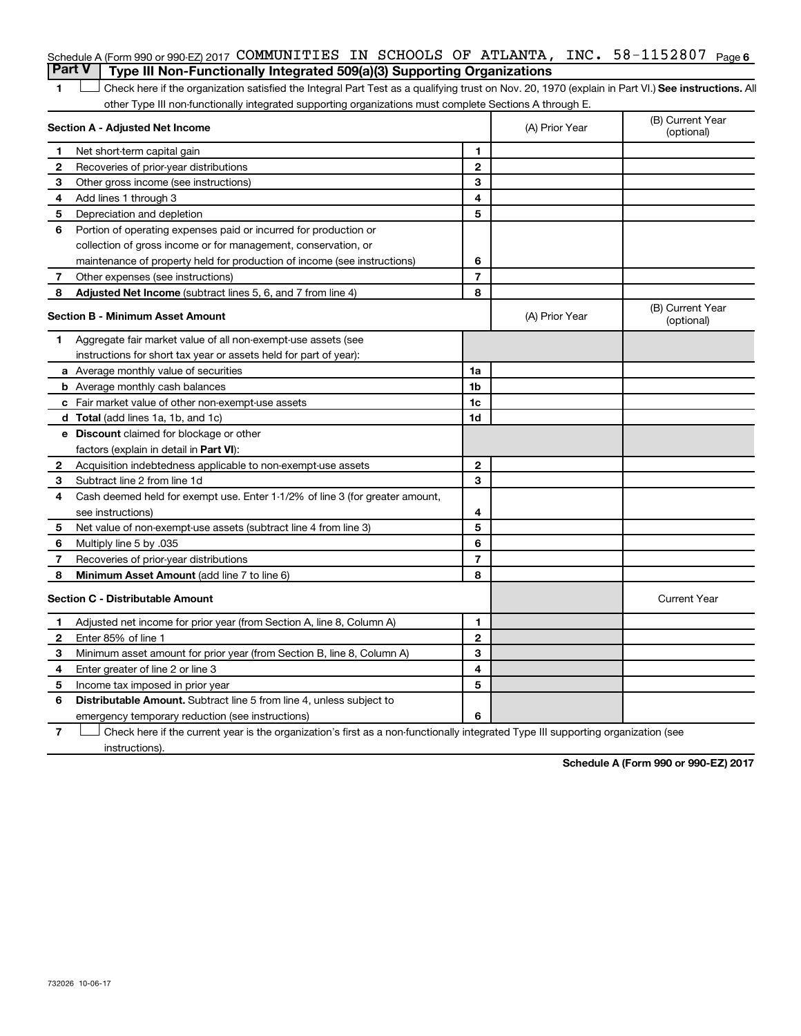|   | Schedule A (Form 990 or 990-EZ) 2017 COMMUNITIES IN SCHOOLS OF ATLANTA, INC. $58-1152807$ Page 6                                                   |                          |                |                                |
|---|----------------------------------------------------------------------------------------------------------------------------------------------------|--------------------------|----------------|--------------------------------|
|   | <b>Part V</b><br>Type III Non-Functionally Integrated 509(a)(3) Supporting Organizations                                                           |                          |                |                                |
| 1 | Check here if the organization satisfied the Integral Part Test as a qualifying trust on Nov. 20, 1970 (explain in Part VI.) See instructions. All |                          |                |                                |
|   | other Type III non-functionally integrated supporting organizations must complete Sections A through E.                                            |                          |                |                                |
|   | Section A - Adjusted Net Income                                                                                                                    |                          | (A) Prior Year | (B) Current Year<br>(optional) |
| 1 | Net short-term capital gain                                                                                                                        | 1                        |                |                                |
| 2 | Recoveries of prior-year distributions                                                                                                             | $\mathbf{2}$             |                |                                |
| З | Other gross income (see instructions)                                                                                                              | 3                        |                |                                |
| 4 | Add lines 1 through 3                                                                                                                              | 4                        |                |                                |
| 5 | Depreciation and depletion                                                                                                                         | 5                        |                |                                |
| 6 | Portion of operating expenses paid or incurred for production or                                                                                   |                          |                |                                |
|   | collection of gross income or for management, conservation, or                                                                                     |                          |                |                                |
|   | maintenance of property held for production of income (see instructions)                                                                           | 6                        |                |                                |
| 7 | Other expenses (see instructions)                                                                                                                  | $\overline{7}$           |                |                                |
| 8 | <b>Adjusted Net Income</b> (subtract lines 5, 6, and 7 from line 4)                                                                                | 8                        |                |                                |
|   | Section B - Minimum Asset Amount                                                                                                                   |                          | (A) Prior Year | (B) Current Year<br>(optional) |
| 1 | Aggregate fair market value of all non-exempt-use assets (see                                                                                      |                          |                |                                |
|   | instructions for short tax year or assets held for part of year):                                                                                  |                          |                |                                |
|   | a Average monthly value of securities                                                                                                              | 1a                       |                |                                |
|   | <b>b</b> Average monthly cash balances                                                                                                             | 1 <sub>b</sub>           |                |                                |
|   | c Fair market value of other non-exempt-use assets                                                                                                 | 1c                       |                |                                |
|   | <b>d</b> Total (add lines 1a, 1b, and 1c)                                                                                                          | 1d                       |                |                                |
|   | e Discount claimed for blockage or other                                                                                                           |                          |                |                                |
|   | factors (explain in detail in Part VI):                                                                                                            |                          |                |                                |
| 2 | Acquisition indebtedness applicable to non-exempt-use assets                                                                                       | $\mathbf{2}$             |                |                                |
| 3 | Subtract line 2 from line 1d                                                                                                                       | 3                        |                |                                |
| 4 | Cash deemed held for exempt use. Enter 1-1/2% of line 3 (for greater amount,                                                                       |                          |                |                                |
|   | see instructions)                                                                                                                                  | 4                        |                |                                |
| 5 | Net value of non-exempt-use assets (subtract line 4 from line 3)                                                                                   | 5                        |                |                                |
| 6 | Multiply line 5 by .035                                                                                                                            | 6                        |                |                                |
| 7 | Recoveries of prior-year distributions                                                                                                             | $\overline{\phantom{a}}$ |                |                                |
| 8 | Minimum Asset Amount (add line 7 to line 6)                                                                                                        | 8                        |                |                                |
|   | <b>Section C - Distributable Amount</b>                                                                                                            |                          |                | <b>Current Year</b>            |
| 1 | Adjusted net income for prior year (from Section A, line 8, Column A)                                                                              | 1                        |                |                                |
| 2 | Enter 85% of line 1                                                                                                                                | $\mathbf{2}$             |                |                                |
| 3 | Minimum asset amount for prior year (from Section B, line 8, Column A)                                                                             | 3                        |                |                                |
| 4 | Enter greater of line 2 or line 3                                                                                                                  | 4                        |                |                                |
| 5 | Income tax imposed in prior year                                                                                                                   | 5                        |                |                                |
| 6 | <b>Distributable Amount.</b> Subtract line 5 from line 4, unless subject to                                                                        |                          |                |                                |
|   | emergency temporary reduction (see instructions)                                                                                                   | 6                        |                |                                |

**7** Let Check here if the current year is the organization's first as a non-functionally integrated Type III supporting organization (see instructions).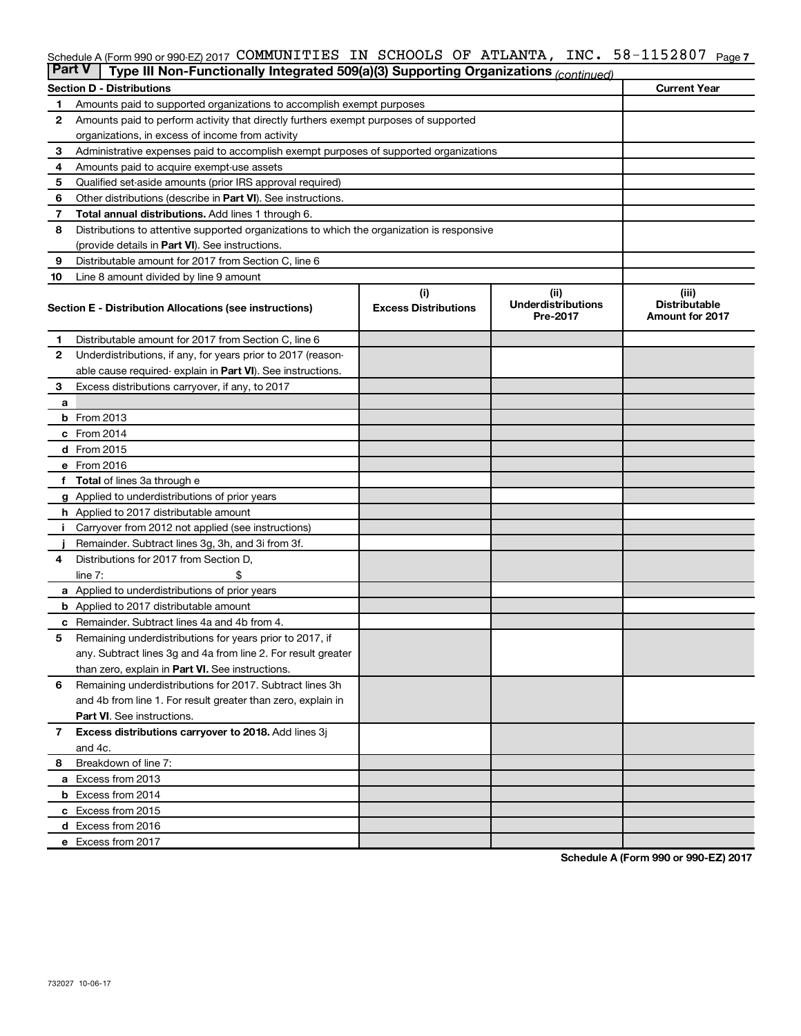#### $INC. 58 - 1152807$  Page 7  $S$ chedule A (Form 990 or 990-EZ) 2017  $\,$  COMMUNITILES IN  $\,$  SCHOOLS OF ATLANTA, INC.  $\,$  58  $-$  115280 /  $\,$  Page COMMUNITIES IN SCHOOLS OF ATLANTA, INC. 58-1152807

| <b>Part V</b> | Type III Non-Functionally Integrated 509(a)(3) Supporting Organizations (continued)        |                             |                                       |                                                |  |  |
|---------------|--------------------------------------------------------------------------------------------|-----------------------------|---------------------------------------|------------------------------------------------|--|--|
|               | <b>Section D - Distributions</b>                                                           |                             |                                       | <b>Current Year</b>                            |  |  |
| 1             | Amounts paid to supported organizations to accomplish exempt purposes                      |                             |                                       |                                                |  |  |
| 2             | Amounts paid to perform activity that directly furthers exempt purposes of supported       |                             |                                       |                                                |  |  |
|               | organizations, in excess of income from activity                                           |                             |                                       |                                                |  |  |
| 3             | Administrative expenses paid to accomplish exempt purposes of supported organizations      |                             |                                       |                                                |  |  |
| 4             | Amounts paid to acquire exempt-use assets                                                  |                             |                                       |                                                |  |  |
| 5             | Qualified set-aside amounts (prior IRS approval required)                                  |                             |                                       |                                                |  |  |
| 6             | Other distributions (describe in <b>Part VI</b> ). See instructions.                       |                             |                                       |                                                |  |  |
| 7             | Total annual distributions. Add lines 1 through 6.                                         |                             |                                       |                                                |  |  |
| 8             | Distributions to attentive supported organizations to which the organization is responsive |                             |                                       |                                                |  |  |
|               | (provide details in Part VI). See instructions.                                            |                             |                                       |                                                |  |  |
| 9             | Distributable amount for 2017 from Section C, line 6                                       |                             |                                       |                                                |  |  |
| 10            | Line 8 amount divided by line 9 amount                                                     |                             |                                       |                                                |  |  |
|               |                                                                                            | (i)                         | (ii)                                  | (iii)                                          |  |  |
|               | Section E - Distribution Allocations (see instructions)                                    | <b>Excess Distributions</b> | <b>Underdistributions</b><br>Pre-2017 | <b>Distributable</b><br><b>Amount for 2017</b> |  |  |
| 1             | Distributable amount for 2017 from Section C, line 6                                       |                             |                                       |                                                |  |  |
| $\mathbf{2}$  | Underdistributions, if any, for years prior to 2017 (reason-                               |                             |                                       |                                                |  |  |
|               | able cause required-explain in Part VI). See instructions.                                 |                             |                                       |                                                |  |  |
| 3             | Excess distributions carryover, if any, to 2017                                            |                             |                                       |                                                |  |  |
| a             |                                                                                            |                             |                                       |                                                |  |  |
|               | <b>b</b> From 2013                                                                         |                             |                                       |                                                |  |  |
|               | c From 2014                                                                                |                             |                                       |                                                |  |  |
|               | d From 2015                                                                                |                             |                                       |                                                |  |  |
|               | e From 2016                                                                                |                             |                                       |                                                |  |  |
|               | <b>Total</b> of lines 3a through e                                                         |                             |                                       |                                                |  |  |
|               | <b>g</b> Applied to underdistributions of prior years                                      |                             |                                       |                                                |  |  |
|               | <b>h</b> Applied to 2017 distributable amount                                              |                             |                                       |                                                |  |  |
|               | Carryover from 2012 not applied (see instructions)                                         |                             |                                       |                                                |  |  |
|               | Remainder. Subtract lines 3g, 3h, and 3i from 3f.                                          |                             |                                       |                                                |  |  |
| 4             | Distributions for 2017 from Section D,                                                     |                             |                                       |                                                |  |  |
|               | $line 7$ :                                                                                 |                             |                                       |                                                |  |  |
|               | <b>a</b> Applied to underdistributions of prior years                                      |                             |                                       |                                                |  |  |
|               | <b>b</b> Applied to 2017 distributable amount                                              |                             |                                       |                                                |  |  |
| с             | Remainder. Subtract lines 4a and 4b from 4.                                                |                             |                                       |                                                |  |  |
| 5             | Remaining underdistributions for years prior to 2017, if                                   |                             |                                       |                                                |  |  |
|               | any. Subtract lines 3g and 4a from line 2. For result greater                              |                             |                                       |                                                |  |  |
|               | than zero, explain in Part VI. See instructions.                                           |                             |                                       |                                                |  |  |
| 6             | Remaining underdistributions for 2017. Subtract lines 3h                                   |                             |                                       |                                                |  |  |
|               | and 4b from line 1. For result greater than zero, explain in                               |                             |                                       |                                                |  |  |
|               | <b>Part VI.</b> See instructions.                                                          |                             |                                       |                                                |  |  |
| 7             | Excess distributions carryover to 2018. Add lines 3j                                       |                             |                                       |                                                |  |  |
|               | and 4c.                                                                                    |                             |                                       |                                                |  |  |
| 8             | Breakdown of line 7:                                                                       |                             |                                       |                                                |  |  |
|               | a Excess from 2013                                                                         |                             |                                       |                                                |  |  |
|               | <b>b</b> Excess from 2014                                                                  |                             |                                       |                                                |  |  |
|               | c Excess from 2015                                                                         |                             |                                       |                                                |  |  |
|               | d Excess from 2016                                                                         |                             |                                       |                                                |  |  |
|               | e Excess from 2017                                                                         |                             |                                       |                                                |  |  |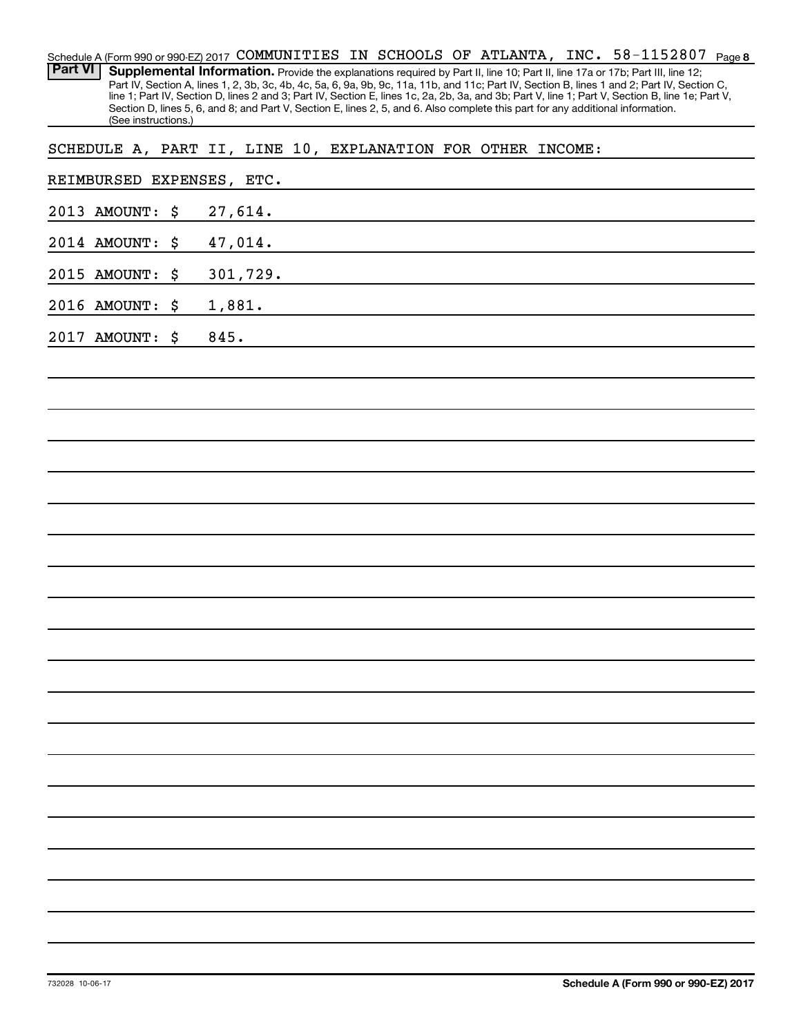| Schedule A (Form 990 or 990-EZ) 2017 COMMUNITIES IN SCHOOLS OF ATLANTA, INC. 58-1152807<br>Page 8<br><b>Part VI</b><br>Supplemental Information. Provide the explanations required by Part II, line 10; Part II, line 17a or 17b; Part III, line 12;                                                                                                                                                                                                       |
|------------------------------------------------------------------------------------------------------------------------------------------------------------------------------------------------------------------------------------------------------------------------------------------------------------------------------------------------------------------------------------------------------------------------------------------------------------|
| Part IV, Section A, lines 1, 2, 3b, 3c, 4b, 4c, 5a, 6, 9a, 9b, 9c, 11a, 11b, and 11c; Part IV, Section B, lines 1 and 2; Part IV, Section C,<br>line 1; Part IV, Section D, lines 2 and 3; Part IV, Section E, lines 1c, 2a, 2b, 3a, and 3b; Part V, line 1; Part V, Section B, line 1e; Part V,<br>Section D, lines 5, 6, and 8; and Part V, Section E, lines 2, 5, and 6. Also complete this part for any additional information.<br>(See instructions.) |
| SCHEDULE A, PART II, LINE 10, EXPLANATION FOR OTHER INCOME:                                                                                                                                                                                                                                                                                                                                                                                                |
| REIMBURSED EXPENSES, ETC.                                                                                                                                                                                                                                                                                                                                                                                                                                  |
| 27,614.<br>2013 AMOUNT:<br>\$                                                                                                                                                                                                                                                                                                                                                                                                                              |
| 47,014.<br>2014 AMOUNT:<br>\$                                                                                                                                                                                                                                                                                                                                                                                                                              |
| 301,729.<br>2015 AMOUNT:<br>\$                                                                                                                                                                                                                                                                                                                                                                                                                             |
| 2016 AMOUNT:<br>\$<br>1,881.                                                                                                                                                                                                                                                                                                                                                                                                                               |
| 845.<br>2017 AMOUNT:<br>\$                                                                                                                                                                                                                                                                                                                                                                                                                                 |
|                                                                                                                                                                                                                                                                                                                                                                                                                                                            |
|                                                                                                                                                                                                                                                                                                                                                                                                                                                            |
|                                                                                                                                                                                                                                                                                                                                                                                                                                                            |
|                                                                                                                                                                                                                                                                                                                                                                                                                                                            |
|                                                                                                                                                                                                                                                                                                                                                                                                                                                            |
|                                                                                                                                                                                                                                                                                                                                                                                                                                                            |
|                                                                                                                                                                                                                                                                                                                                                                                                                                                            |
|                                                                                                                                                                                                                                                                                                                                                                                                                                                            |
|                                                                                                                                                                                                                                                                                                                                                                                                                                                            |
|                                                                                                                                                                                                                                                                                                                                                                                                                                                            |
|                                                                                                                                                                                                                                                                                                                                                                                                                                                            |
|                                                                                                                                                                                                                                                                                                                                                                                                                                                            |
|                                                                                                                                                                                                                                                                                                                                                                                                                                                            |
|                                                                                                                                                                                                                                                                                                                                                                                                                                                            |
|                                                                                                                                                                                                                                                                                                                                                                                                                                                            |
|                                                                                                                                                                                                                                                                                                                                                                                                                                                            |
|                                                                                                                                                                                                                                                                                                                                                                                                                                                            |
|                                                                                                                                                                                                                                                                                                                                                                                                                                                            |
|                                                                                                                                                                                                                                                                                                                                                                                                                                                            |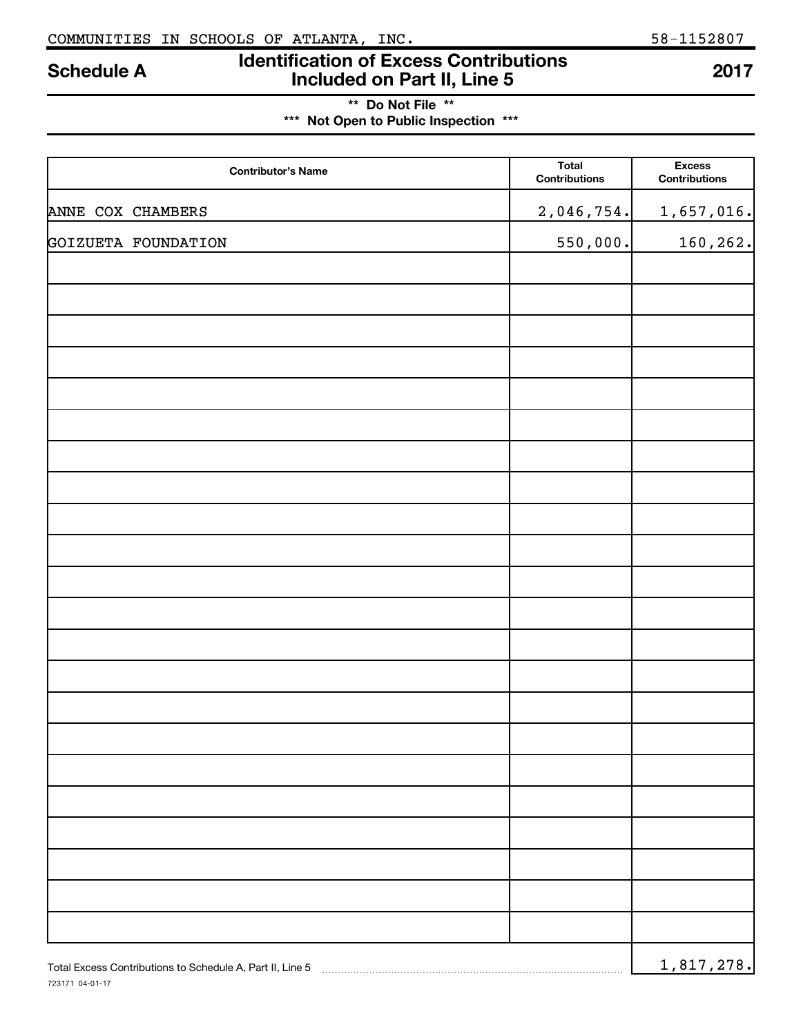723171 04-01-17

# **Identification of Excess Contributions Included on Part II, Line 5 Schedule A <sup>2017</sup>**

## **\*\* Do Not File \*\* \*\*\* Not Open to Public Inspection \*\*\***

| <b>Contributor's Name</b>                                 | Total<br><b>Contributions</b> | <b>Excess</b><br><b>Contributions</b> |
|-----------------------------------------------------------|-------------------------------|---------------------------------------|
| ANNE COX CHAMBERS                                         | 2,046,754.                    | 1,657,016.                            |
| GOIZUETA FOUNDATION                                       | 550,000.                      | 160, 262.                             |
|                                                           |                               |                                       |
|                                                           |                               |                                       |
|                                                           |                               |                                       |
|                                                           |                               |                                       |
|                                                           |                               |                                       |
|                                                           |                               |                                       |
|                                                           |                               |                                       |
|                                                           |                               |                                       |
|                                                           |                               |                                       |
|                                                           |                               |                                       |
|                                                           |                               |                                       |
|                                                           |                               |                                       |
|                                                           |                               |                                       |
|                                                           |                               |                                       |
|                                                           |                               |                                       |
|                                                           |                               |                                       |
|                                                           |                               |                                       |
|                                                           |                               |                                       |
|                                                           |                               |                                       |
|                                                           |                               |                                       |
|                                                           |                               |                                       |
| Total Excess Contributions to Schedule A, Part II, Line 5 |                               | 1,817,278.                            |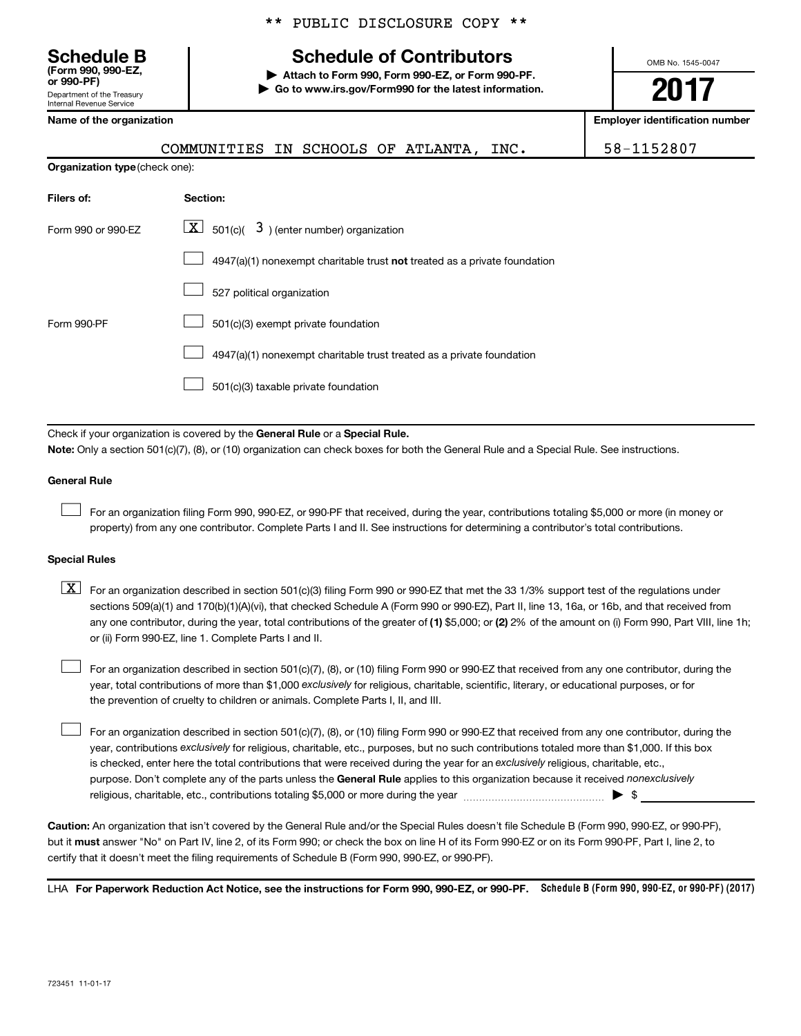Department of the Treasury Internal Revenue Service **(Form 990, 990-EZ,** \*\* PUBLIC DISCLOSURE COPY \*\*

# **Schedule B Schedule of Contributors**

**or 990-PF) | Attach to Form 990, Form 990-EZ, or Form 990-PF. | Go to www.irs.gov/Form990 for the latest information.** OMB No. 1545-0047

# **2017**

**Employer identification number** 

|  |  | Name of the organization |
|--|--|--------------------------|
|--|--|--------------------------|

| COMMUNITIES IN SCHOOLS OF ATLANTA,    |  |  | INC. | 58-1152807 |
|---------------------------------------|--|--|------|------------|
| <b>Organization type (check one):</b> |  |  |      |            |

| Filers of:         | Section:                                                                    |
|--------------------|-----------------------------------------------------------------------------|
| Form 990 or 990-EZ | $ \mathbf{X} $ 501(c)( 3) (enter number) organization                       |
|                    | $4947(a)(1)$ nonexempt charitable trust not treated as a private foundation |
|                    | 527 political organization                                                  |
| Form 990-PF        | 501(c)(3) exempt private foundation                                         |
|                    | 4947(a)(1) nonexempt charitable trust treated as a private foundation       |
|                    | 501(c)(3) taxable private foundation                                        |

Check if your organization is covered by the General Rule or a Special Rule.

**Note:**  Only a section 501(c)(7), (8), or (10) organization can check boxes for both the General Rule and a Special Rule. See instructions.

#### **General Rule**

 $\Box$ 

For an organization filing Form 990, 990-EZ, or 990-PF that received, during the year, contributions totaling \$5,000 or more (in money or property) from any one contributor. Complete Parts I and II. See instructions for determining a contributor's total contributions.

#### **Special Rules**

any one contributor, during the year, total contributions of the greater of (1) \$5,000; or (2) 2% of the amount on (i) Form 990, Part VIII, line 1h;  $\boxed{\text{X}}$  For an organization described in section 501(c)(3) filing Form 990 or 990-EZ that met the 33 1/3% support test of the regulations under sections 509(a)(1) and 170(b)(1)(A)(vi), that checked Schedule A (Form 990 or 990-EZ), Part II, line 13, 16a, or 16b, and that received from or (ii) Form 990-EZ, line 1. Complete Parts I and II.

year, total contributions of more than \$1,000 *exclusively* for religious, charitable, scientific, literary, or educational purposes, or for For an organization described in section 501(c)(7), (8), or (10) filing Form 990 or 990-EZ that received from any one contributor, during the the prevention of cruelty to children or animals. Complete Parts I, II, and III.  $\Box$ 

purpose. Don't complete any of the parts unless the General Rule applies to this organization because it received nonexclusively year, contributions exclusively for religious, charitable, etc., purposes, but no such contributions totaled more than \$1,000. If this box is checked, enter here the total contributions that were received during the year for an exclusively religious, charitable, etc., For an organization described in section 501(c)(7), (8), or (10) filing Form 990 or 990-EZ that received from any one contributor, during the religious, charitable, etc., contributions totaling \$5,000 or more during the year  $\ldots$  $\ldots$  $\ldots$  $\ldots$  $\ldots$  $\ldots$  $\Box$ 

**Caution:**  An organization that isn't covered by the General Rule and/or the Special Rules doesn't file Schedule B (Form 990, 990-EZ, or 990-PF),  **must** but it answer "No" on Part IV, line 2, of its Form 990; or check the box on line H of its Form 990-EZ or on its Form 990-PF, Part I, line 2, to certify that it doesn't meet the filing requirements of Schedule B (Form 990, 990-EZ, or 990-PF).

LHA For Paperwork Reduction Act Notice, see the instructions for Form 990, 990-EZ, or 990-PF. Schedule B (Form 990, 990-EZ, or 990-PF) (2017)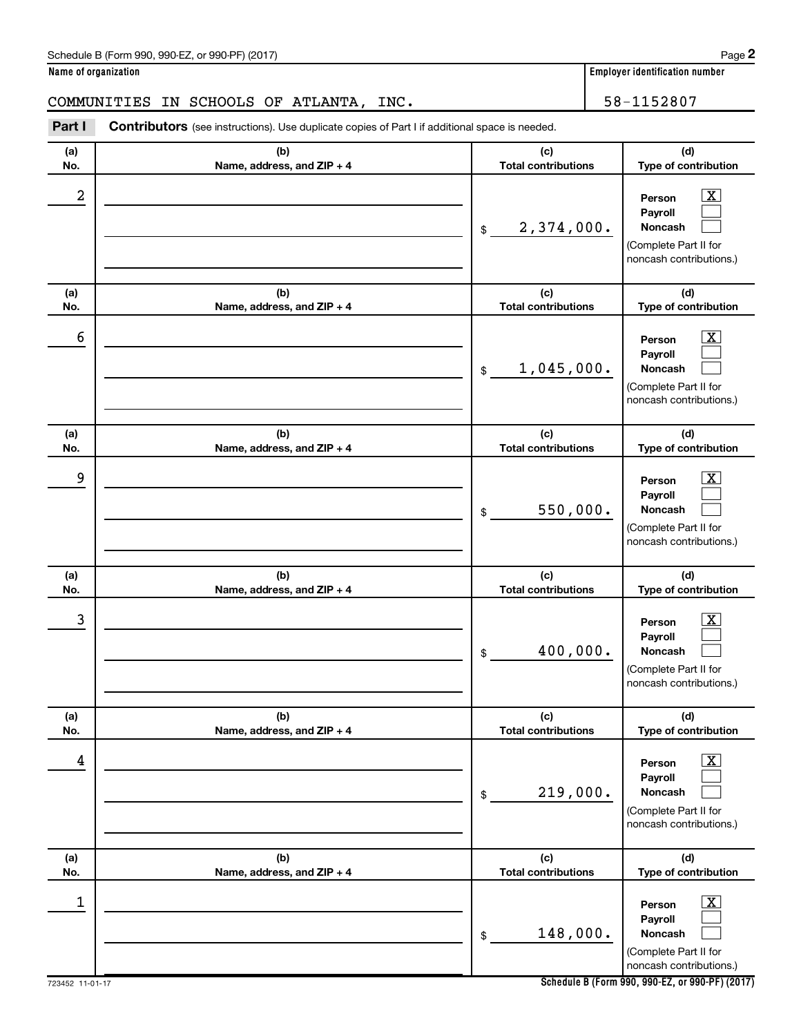| Schedule B (Form 990, 990-EZ, or 990-PF) (2017) | Page |
|-------------------------------------------------|------|
|-------------------------------------------------|------|

**Name of organization Employer identification number**

### COMMUNITIES IN SCHOOLS OF ATLANTA, INC. 58-1152807

**Part I** Contributors (see instructions). Use duplicate copies of Part I if additional space is needed.

| (a)<br>No. | (b)<br>Name, address, and ZIP + 4 | (c)<br><b>Total contributions</b> | (d)<br>Type of contribution                                                                                      |
|------------|-----------------------------------|-----------------------------------|------------------------------------------------------------------------------------------------------------------|
| 2          |                                   | 2,374,000.<br>\$                  | $\overline{\text{X}}$<br>Person<br>Payroll<br>Noncash<br>(Complete Part II for<br>noncash contributions.)        |
| (a)<br>No. | (b)<br>Name, address, and ZIP + 4 | (c)<br><b>Total contributions</b> | (d)<br>Type of contribution                                                                                      |
| 6          |                                   | 1,045,000.<br>$\frac{1}{2}$       | $\overline{\text{X}}$<br>Person<br>Payroll<br>Noncash<br>(Complete Part II for<br>noncash contributions.)        |
| (a)<br>No. | (b)<br>Name, address, and ZIP + 4 | (c)<br><b>Total contributions</b> | (d)<br>Type of contribution                                                                                      |
| 9          |                                   | 550,000.<br>\$                    | $\overline{\text{X}}$<br>Person<br>Payroll<br><b>Noncash</b><br>(Complete Part II for<br>noncash contributions.) |
| (a)<br>No. | (b)<br>Name, address, and ZIP + 4 | (c)<br><b>Total contributions</b> | (d)<br>Type of contribution                                                                                      |
| 3          |                                   | 400,000.<br>\$                    | $\overline{\text{X}}$<br>Person<br>Payroll<br><b>Noncash</b><br>(Complete Part II for<br>noncash contributions.) |
| (a)<br>No. | (b)<br>Name, address, and ZIP + 4 | (c)<br><b>Total contributions</b> | (d)<br>Type of contribution                                                                                      |
| 4          |                                   | 219,000.<br>$\$$                  | $\overline{\mathbf{X}}$<br>Person<br>Payroll<br>Noncash<br>(Complete Part II for<br>noncash contributions.)      |
| (a)<br>No. | (b)<br>Name, address, and ZIP + 4 | (c)<br><b>Total contributions</b> | (d)<br>Type of contribution                                                                                      |
| 1          |                                   | 148,000.<br>\$                    | $\overline{\mathbf{X}}$<br>Person<br>Payroll<br>Noncash<br>(Complete Part II for<br>noncash contributions.)      |

**Schedule B (Form 990, 990-EZ, or 990-PF) (2017)**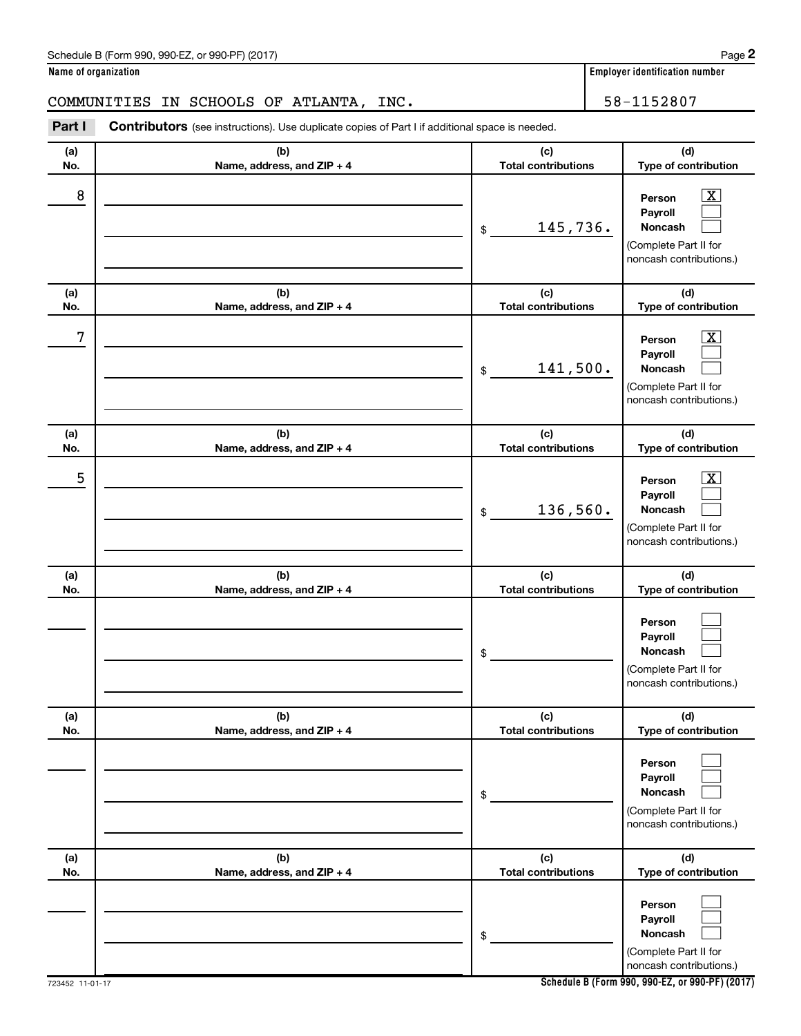| Schedule B (Form 990, 990-EZ, or 990-PF) (2017) | Page |
|-------------------------------------------------|------|
|-------------------------------------------------|------|

### COMMUNITIES IN SCHOOLS OF ATLANTA, INC. | 58-1152807

**Part I** Contributors (see instructions). Use duplicate copies of Part I if additional space is needed.

| (a)<br>No. | (b)<br>Name, address, and ZIP + 4 | (c)<br><b>Total contributions</b> | (d)<br>Type of contribution                                                                                      |
|------------|-----------------------------------|-----------------------------------|------------------------------------------------------------------------------------------------------------------|
| 8          |                                   | 145,736.<br>\$                    | $\overline{\text{X}}$<br>Person<br>Payroll<br>Noncash<br>(Complete Part II for<br>noncash contributions.)        |
| (a)<br>No. | (b)<br>Name, address, and ZIP + 4 | (c)<br><b>Total contributions</b> | (d)<br>Type of contribution                                                                                      |
| 7          |                                   | 141,500.<br>\$                    | $\overline{\text{X}}$<br>Person<br>Payroll<br><b>Noncash</b><br>(Complete Part II for<br>noncash contributions.) |
| (a)<br>No. | (b)<br>Name, address, and ZIP + 4 | (c)<br><b>Total contributions</b> | (d)<br>Type of contribution                                                                                      |
| 5          |                                   | 136,560.<br>\$                    | $\overline{\text{X}}$<br>Person<br>Payroll<br><b>Noncash</b><br>(Complete Part II for<br>noncash contributions.) |
| (a)<br>No. | (b)<br>Name, address, and ZIP + 4 | (c)<br><b>Total contributions</b> | (d)<br>Type of contribution                                                                                      |
|            |                                   | \$                                | Person<br>Payroll<br><b>Noncash</b><br>(Complete Part II for<br>noncash contributions.)                          |
| (a)<br>No. | (b)<br>Name, address, and ZIP + 4 | (c)<br><b>Total contributions</b> | (d)<br>Type of contribution                                                                                      |
|            |                                   | \$                                | Person<br>Payroll<br>Noncash<br>(Complete Part II for<br>noncash contributions.)                                 |
| (a)<br>No. | (b)<br>Name, address, and ZIP + 4 | (c)<br><b>Total contributions</b> | (d)<br>Type of contribution                                                                                      |
|            |                                   | \$                                | Person<br>Payroll<br>Noncash<br>(Complete Part II for<br>noncash contributions.)                                 |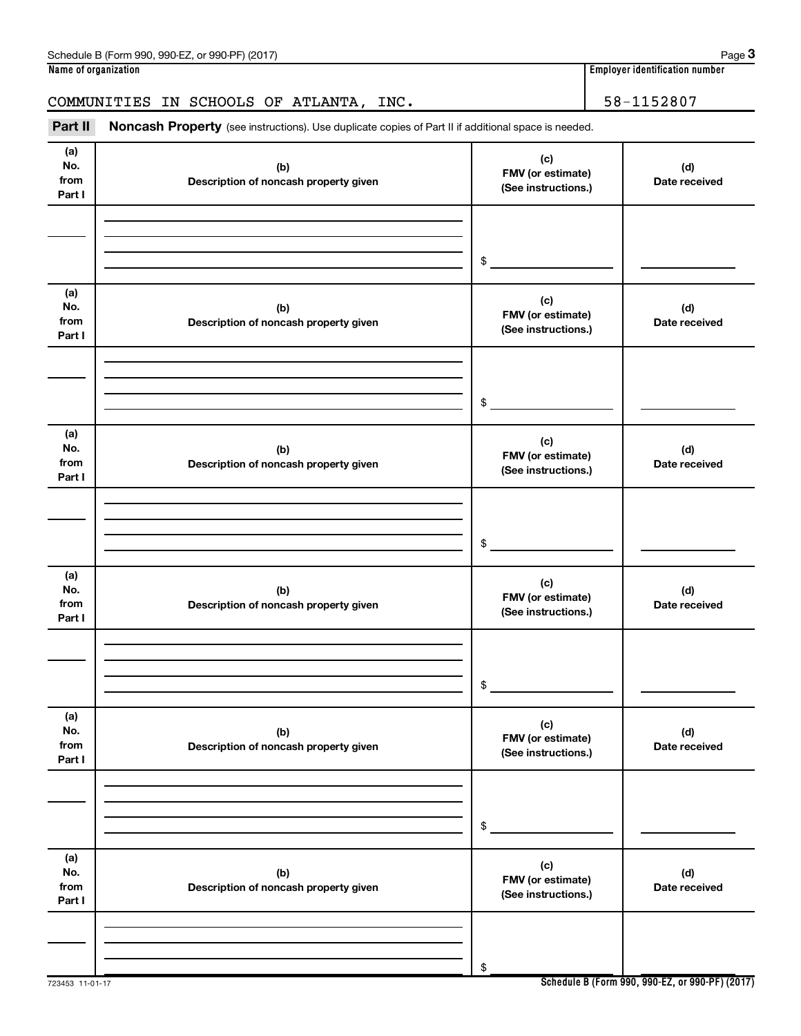| NO.<br>from<br>Part I        | (D)<br>Description of noncash property given | FMV (or estimate)<br>(See instructions.)        | (d)<br>Date received                            |
|------------------------------|----------------------------------------------|-------------------------------------------------|-------------------------------------------------|
|                              |                                              |                                                 |                                                 |
|                              |                                              | $\,$                                            |                                                 |
| (a)<br>No.<br>from<br>Part I | (b)<br>Description of noncash property given | (c)<br>FMV (or estimate)<br>(See instructions.) | (d)<br>Date received                            |
|                              |                                              |                                                 |                                                 |
|                              |                                              | $\,$                                            |                                                 |
| (a)<br>No.<br>from<br>Part I | (b)<br>Description of noncash property given | (c)<br>FMV (or estimate)<br>(See instructions.) | (d)<br>Date received                            |
|                              |                                              |                                                 |                                                 |
|                              |                                              | $\$$                                            |                                                 |
| (a)<br>No.<br>from<br>Part I | (b)<br>Description of noncash property given | (c)<br>FMV (or estimate)<br>(See instructions.) | (d)<br>Date received                            |
|                              |                                              |                                                 |                                                 |
|                              |                                              | $\$$                                            |                                                 |
| (a)<br>No.<br>from<br>Part I | (b)<br>Description of noncash property given | (c)<br>FMV (or estimate)<br>(See instructions.) | (d)<br>Date received                            |
|                              |                                              |                                                 |                                                 |
|                              |                                              | $\,$                                            |                                                 |
| (a)<br>No.<br>from<br>Part I | (b)<br>Description of noncash property given | (c)<br>FMV (or estimate)<br>(See instructions.) | (d)<br>Date received                            |
|                              |                                              |                                                 |                                                 |
|                              |                                              | \$                                              | Sebedule B (Ferm 000, 000 F7, et 000 BE) (2017) |

**(b)**

Part II Noncash Property (see instructions). Use duplicate copies of Part II if additional space is needed.

**(a) No.**

723453 11-01-17

**Schedule B (Form 990, 990-EZ, or 990-PF) (2017)**

**(d)**

COMMUNITIES IN SCHOOLS OF ATLANTA, INC. 41 122807

**(c)**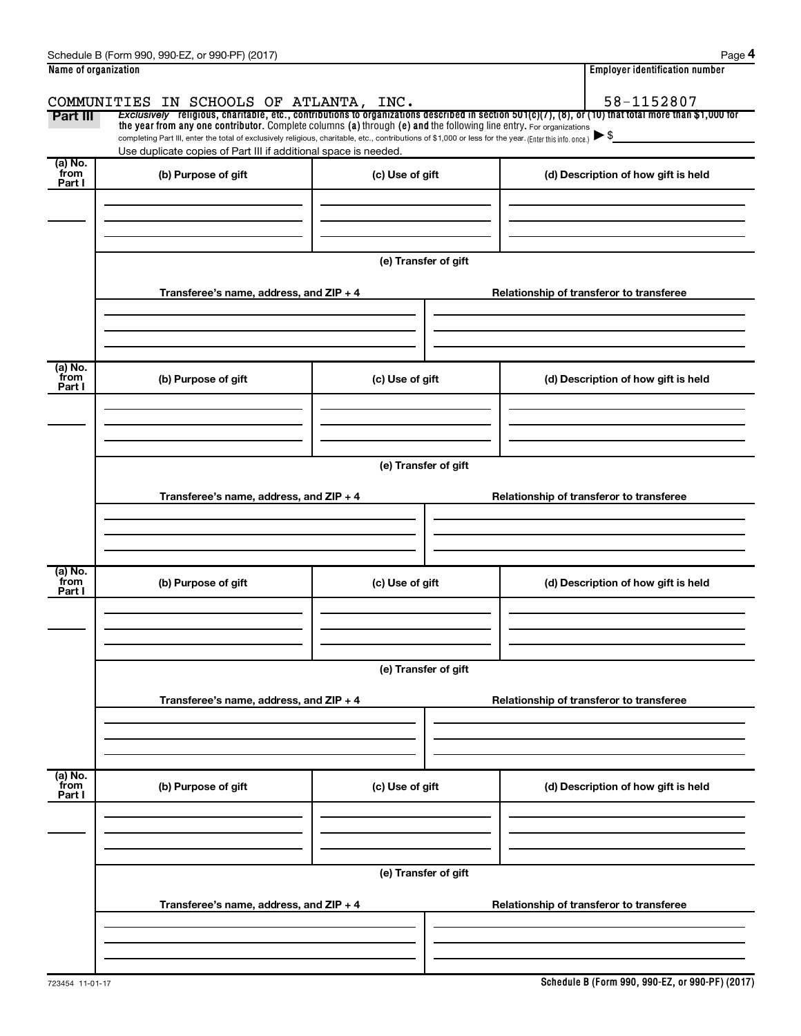|                      | Schedule B (Form 990, 990-EZ, or 990-PF) (2017)                                                                                                                                                                                                                                 |                      |                                          | Page 4                                   |  |  |  |  |
|----------------------|---------------------------------------------------------------------------------------------------------------------------------------------------------------------------------------------------------------------------------------------------------------------------------|----------------------|------------------------------------------|------------------------------------------|--|--|--|--|
| Name of organization |                                                                                                                                                                                                                                                                                 |                      |                                          | <b>Employer identification number</b>    |  |  |  |  |
|                      | COMMUNITIES IN SCHOOLS OF ATLANTA, INC.                                                                                                                                                                                                                                         |                      |                                          | 58-1152807                               |  |  |  |  |
| Part III             | Exclusively religious, charitable, etc., contributions to organizations described in section $501(c)(7)$ , (8), or (10) that total more than \$1,000 for<br>the year from any one contributor. Complete columns (a) through (e) and the following line entry. For organizations |                      |                                          |                                          |  |  |  |  |
|                      | completing Part III, enter the total of exclusively religious, charitable, etc., contributions of \$1,000 or less for the year. (Enter this info. once.)                                                                                                                        |                      |                                          |                                          |  |  |  |  |
| (a) No.              | Use duplicate copies of Part III if additional space is needed.                                                                                                                                                                                                                 |                      |                                          |                                          |  |  |  |  |
| from<br>Part I       | (b) Purpose of gift                                                                                                                                                                                                                                                             | (c) Use of gift      |                                          | (d) Description of how gift is held      |  |  |  |  |
|                      |                                                                                                                                                                                                                                                                                 |                      |                                          |                                          |  |  |  |  |
|                      |                                                                                                                                                                                                                                                                                 |                      |                                          |                                          |  |  |  |  |
|                      |                                                                                                                                                                                                                                                                                 |                      |                                          |                                          |  |  |  |  |
|                      |                                                                                                                                                                                                                                                                                 | (e) Transfer of gift |                                          |                                          |  |  |  |  |
|                      |                                                                                                                                                                                                                                                                                 |                      |                                          |                                          |  |  |  |  |
|                      | Transferee's name, address, and ZIP + 4                                                                                                                                                                                                                                         |                      |                                          | Relationship of transferor to transferee |  |  |  |  |
|                      |                                                                                                                                                                                                                                                                                 |                      |                                          |                                          |  |  |  |  |
|                      |                                                                                                                                                                                                                                                                                 |                      |                                          |                                          |  |  |  |  |
| (a) No.              |                                                                                                                                                                                                                                                                                 |                      |                                          |                                          |  |  |  |  |
| from<br>Part I       | (b) Purpose of gift                                                                                                                                                                                                                                                             | (c) Use of gift      |                                          | (d) Description of how gift is held      |  |  |  |  |
|                      |                                                                                                                                                                                                                                                                                 |                      |                                          |                                          |  |  |  |  |
|                      |                                                                                                                                                                                                                                                                                 |                      |                                          |                                          |  |  |  |  |
|                      |                                                                                                                                                                                                                                                                                 |                      |                                          |                                          |  |  |  |  |
|                      |                                                                                                                                                                                                                                                                                 | (e) Transfer of gift |                                          |                                          |  |  |  |  |
|                      |                                                                                                                                                                                                                                                                                 |                      |                                          |                                          |  |  |  |  |
|                      | Transferee's name, address, and ZIP + 4                                                                                                                                                                                                                                         |                      |                                          | Relationship of transferor to transferee |  |  |  |  |
|                      |                                                                                                                                                                                                                                                                                 |                      |                                          |                                          |  |  |  |  |
|                      |                                                                                                                                                                                                                                                                                 |                      |                                          |                                          |  |  |  |  |
| (a) No.              |                                                                                                                                                                                                                                                                                 |                      |                                          |                                          |  |  |  |  |
| from<br>Part I       | (b) Purpose of gift                                                                                                                                                                                                                                                             | (c) Use of gift      | (d) Description of how gift is held      |                                          |  |  |  |  |
|                      |                                                                                                                                                                                                                                                                                 |                      |                                          |                                          |  |  |  |  |
|                      |                                                                                                                                                                                                                                                                                 |                      |                                          |                                          |  |  |  |  |
|                      |                                                                                                                                                                                                                                                                                 |                      |                                          |                                          |  |  |  |  |
|                      |                                                                                                                                                                                                                                                                                 | (e) Transfer of gift |                                          |                                          |  |  |  |  |
|                      | Transferee's name, address, and ZIP + 4                                                                                                                                                                                                                                         |                      |                                          | Relationship of transferor to transferee |  |  |  |  |
|                      |                                                                                                                                                                                                                                                                                 |                      |                                          |                                          |  |  |  |  |
|                      |                                                                                                                                                                                                                                                                                 |                      |                                          |                                          |  |  |  |  |
|                      |                                                                                                                                                                                                                                                                                 |                      |                                          |                                          |  |  |  |  |
| (a) No.<br>from      | (b) Purpose of gift                                                                                                                                                                                                                                                             | (c) Use of gift      |                                          | (d) Description of how gift is held      |  |  |  |  |
| Part I               |                                                                                                                                                                                                                                                                                 |                      |                                          |                                          |  |  |  |  |
|                      |                                                                                                                                                                                                                                                                                 |                      |                                          |                                          |  |  |  |  |
|                      |                                                                                                                                                                                                                                                                                 |                      |                                          |                                          |  |  |  |  |
|                      |                                                                                                                                                                                                                                                                                 | (e) Transfer of gift |                                          |                                          |  |  |  |  |
|                      |                                                                                                                                                                                                                                                                                 |                      |                                          |                                          |  |  |  |  |
|                      | Transferee's name, address, and ZIP + 4                                                                                                                                                                                                                                         |                      | Relationship of transferor to transferee |                                          |  |  |  |  |
|                      |                                                                                                                                                                                                                                                                                 |                      |                                          |                                          |  |  |  |  |
|                      |                                                                                                                                                                                                                                                                                 |                      |                                          |                                          |  |  |  |  |
|                      |                                                                                                                                                                                                                                                                                 |                      |                                          |                                          |  |  |  |  |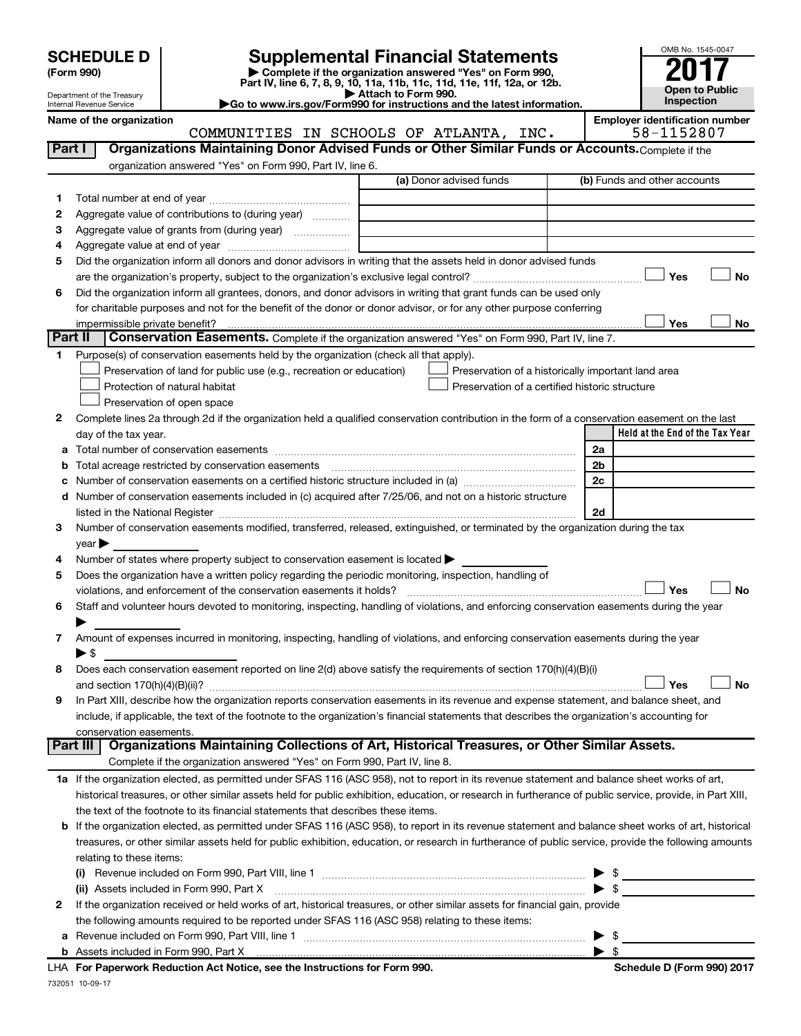| <b>SCHEDULE D</b> |  |
|-------------------|--|
|-------------------|--|

# **SCHEDULE D Supplemental Financial Statements**<br> **Form 990 2017**<br> **Part IV** line 6.7.8.9.10, 11a, 11b, 11d, 11d, 11d, 11d, 11d, 12a, 0r, 12b

**(Form 990) | Complete if the organization answered "Yes" on Form 990, Part IV, line 6, 7, 8, 9, 10, 11a, 11b, 11c, 11d, 11e, 11f, 12a, or 12b.**



Department of the Treasury Internal Revenue Service

**| Attach to Form 990. |Go to www.irs.gov/Form990 for instructions and the latest information.**

|         | Name of the organization                                                                                                                                  | COMMUNITIES IN SCHOOLS OF ATLANTA, INC.            |                          | <b>Employer identification number</b><br>58-1152807 |
|---------|-----------------------------------------------------------------------------------------------------------------------------------------------------------|----------------------------------------------------|--------------------------|-----------------------------------------------------|
| Part I  | Organizations Maintaining Donor Advised Funds or Other Similar Funds or Accounts. Complete if the                                                         |                                                    |                          |                                                     |
|         |                                                                                                                                                           |                                                    |                          |                                                     |
|         | organization answered "Yes" on Form 990, Part IV, line 6.                                                                                                 | (a) Donor advised funds                            |                          | (b) Funds and other accounts                        |
|         |                                                                                                                                                           |                                                    |                          |                                                     |
| 1       |                                                                                                                                                           |                                                    |                          |                                                     |
| 2<br>З  | Aggregate value of contributions to (during year)<br>Aggregate value of grants from (during year)                                                         |                                                    |                          |                                                     |
| 4       |                                                                                                                                                           |                                                    |                          |                                                     |
| 5       | Did the organization inform all donors and donor advisors in writing that the assets held in donor advised funds                                          |                                                    |                          |                                                     |
|         |                                                                                                                                                           |                                                    |                          | Yes<br><b>No</b>                                    |
| 6       | Did the organization inform all grantees, donors, and donor advisors in writing that grant funds can be used only                                         |                                                    |                          |                                                     |
|         | for charitable purposes and not for the benefit of the donor or donor advisor, or for any other purpose conferring                                        |                                                    |                          |                                                     |
|         | impermissible private benefit?                                                                                                                            |                                                    |                          | Yes<br>No                                           |
| Part II | Conservation Easements. Complete if the organization answered "Yes" on Form 990, Part IV, line 7.                                                         |                                                    |                          |                                                     |
| 1       | Purpose(s) of conservation easements held by the organization (check all that apply).                                                                     |                                                    |                          |                                                     |
|         | Preservation of land for public use (e.g., recreation or education)                                                                                       | Preservation of a historically important land area |                          |                                                     |
|         | Protection of natural habitat                                                                                                                             | Preservation of a certified historic structure     |                          |                                                     |
|         | Preservation of open space                                                                                                                                |                                                    |                          |                                                     |
| 2       | Complete lines 2a through 2d if the organization held a qualified conservation contribution in the form of a conservation easement on the last            |                                                    |                          |                                                     |
|         | day of the tax year.                                                                                                                                      |                                                    |                          | Held at the End of the Tax Year                     |
| а       |                                                                                                                                                           |                                                    | 2a                       |                                                     |
|         | Total acreage restricted by conservation easements                                                                                                        |                                                    | 2 <sub>b</sub>           |                                                     |
|         |                                                                                                                                                           |                                                    | 2c                       |                                                     |
| d       | Number of conservation easements included in (c) acquired after 7/25/06, and not on a historic structure                                                  |                                                    |                          |                                                     |
|         |                                                                                                                                                           |                                                    | 2d                       |                                                     |
| 3       | Number of conservation easements modified, transferred, released, extinguished, or terminated by the organization during the tax                          |                                                    |                          |                                                     |
|         | $\vee$ ear $\blacktriangleright$                                                                                                                          |                                                    |                          |                                                     |
| 4       | Number of states where property subject to conservation easement is located >                                                                             |                                                    |                          |                                                     |
| 5       | Does the organization have a written policy regarding the periodic monitoring, inspection, handling of                                                    |                                                    |                          |                                                     |
|         | violations, and enforcement of the conservation easements it holds?                                                                                       |                                                    |                          | Yes<br><b>No</b>                                    |
| 6       | Staff and volunteer hours devoted to monitoring, inspecting, handling of violations, and enforcing conservation easements during the year                 |                                                    |                          |                                                     |
|         |                                                                                                                                                           |                                                    |                          |                                                     |
| 7       | Amount of expenses incurred in monitoring, inspecting, handling of violations, and enforcing conservation easements during the year<br>► \$               |                                                    |                          |                                                     |
| 8       | Does each conservation easement reported on line 2(d) above satisfy the requirements of section 170(h)(4)(B)(i)                                           |                                                    |                          |                                                     |
|         |                                                                                                                                                           |                                                    |                          | Yes<br>No                                           |
|         | In Part XIII, describe how the organization reports conservation easements in its revenue and expense statement, and balance sheet, and                   |                                                    |                          |                                                     |
|         | include, if applicable, the text of the footnote to the organization's financial statements that describes the organization's accounting for              |                                                    |                          |                                                     |
|         | conservation easements.                                                                                                                                   |                                                    |                          |                                                     |
|         | Organizations Maintaining Collections of Art, Historical Treasures, or Other Similar Assets.<br>Part III                                                  |                                                    |                          |                                                     |
|         | Complete if the organization answered "Yes" on Form 990, Part IV, line 8.                                                                                 |                                                    |                          |                                                     |
|         | 1a If the organization elected, as permitted under SFAS 116 (ASC 958), not to report in its revenue statement and balance sheet works of art,             |                                                    |                          |                                                     |
|         | historical treasures, or other similar assets held for public exhibition, education, or research in furtherance of public service, provide, in Part XIII, |                                                    |                          |                                                     |
|         | the text of the footnote to its financial statements that describes these items.                                                                          |                                                    |                          |                                                     |
| b       | If the organization elected, as permitted under SFAS 116 (ASC 958), to report in its revenue statement and balance sheet works of art, historical         |                                                    |                          |                                                     |
|         | treasures, or other similar assets held for public exhibition, education, or research in furtherance of public service, provide the following amounts     |                                                    |                          |                                                     |
|         | relating to these items:                                                                                                                                  |                                                    |                          |                                                     |
|         |                                                                                                                                                           |                                                    | ▶                        | $\frac{1}{2}$                                       |
|         | (ii) Assets included in Form 990, Part X                                                                                                                  |                                                    |                          | $\triangleright$ \$                                 |
| 2       | If the organization received or held works of art, historical treasures, or other similar assets for financial gain, provide                              |                                                    |                          |                                                     |
|         | the following amounts required to be reported under SFAS 116 (ASC 958) relating to these items:                                                           |                                                    |                          |                                                     |
| а       |                                                                                                                                                           |                                                    | ▶                        | - \$                                                |
|         |                                                                                                                                                           |                                                    | $\blacktriangleright$ \$ |                                                     |

732051 10-09-17 **For Paperwork Reduction Act Notice, see the Instructions for Form 990. Schedule D (Form 990) 2017** LHA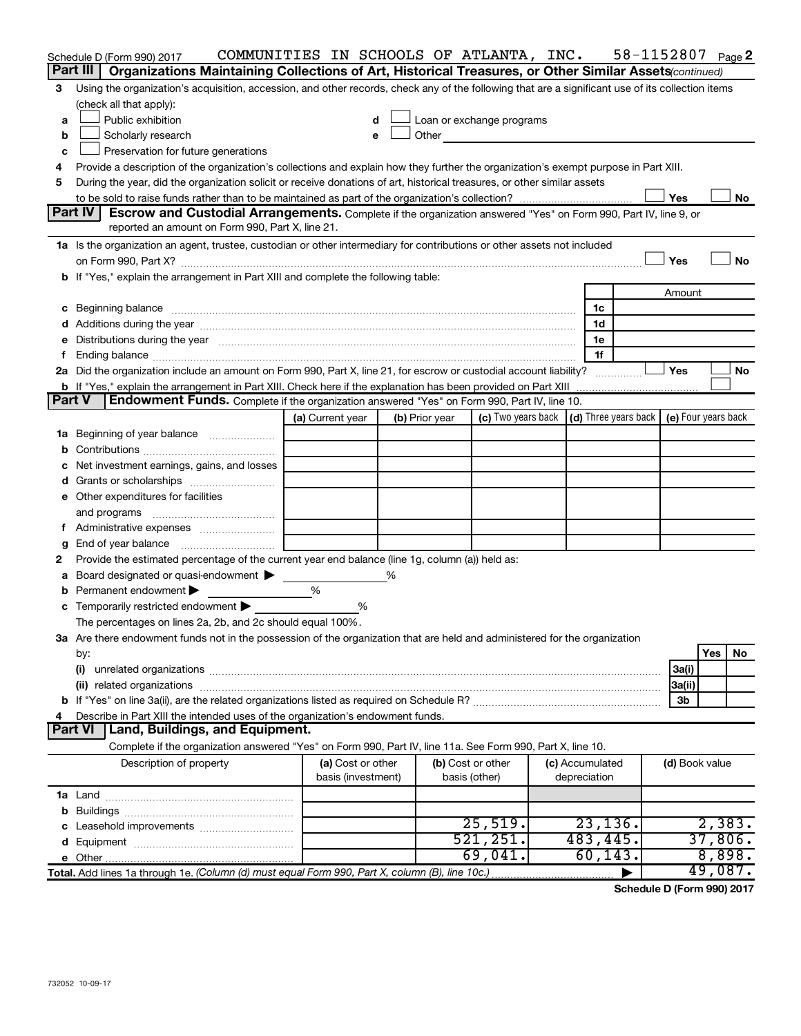|               | Schedule D (Form 990) 2017                                                                                                                                                                                                     | COMMUNITIES IN SCHOOLS OF ATLANTA, INC. |   |                |                                                                                                                                                                                                                               |  |                 | 58-1152807 |                | Page 2           |  |
|---------------|--------------------------------------------------------------------------------------------------------------------------------------------------------------------------------------------------------------------------------|-----------------------------------------|---|----------------|-------------------------------------------------------------------------------------------------------------------------------------------------------------------------------------------------------------------------------|--|-----------------|------------|----------------|------------------|--|
|               | Part III<br>Organizations Maintaining Collections of Art, Historical Treasures, or Other Similar Assets (continued)                                                                                                            |                                         |   |                |                                                                                                                                                                                                                               |  |                 |            |                |                  |  |
| 3             | Using the organization's acquisition, accession, and other records, check any of the following that are a significant use of its collection items                                                                              |                                         |   |                |                                                                                                                                                                                                                               |  |                 |            |                |                  |  |
|               | (check all that apply):                                                                                                                                                                                                        |                                         |   |                |                                                                                                                                                                                                                               |  |                 |            |                |                  |  |
| a             | Public exhibition                                                                                                                                                                                                              | d                                       |   |                | Loan or exchange programs                                                                                                                                                                                                     |  |                 |            |                |                  |  |
| b             | Scholarly research                                                                                                                                                                                                             | e                                       |   |                | Other and the contract of the contract of the contract of the contract of the contract of the contract of the contract of the contract of the contract of the contract of the contract of the contract of the contract of the |  |                 |            |                |                  |  |
| c             | Preservation for future generations                                                                                                                                                                                            |                                         |   |                |                                                                                                                                                                                                                               |  |                 |            |                |                  |  |
|               | Provide a description of the organization's collections and explain how they further the organization's exempt purpose in Part XIII.                                                                                           |                                         |   |                |                                                                                                                                                                                                                               |  |                 |            |                |                  |  |
| 5             | During the year, did the organization solicit or receive donations of art, historical treasures, or other similar assets                                                                                                       |                                         |   |                |                                                                                                                                                                                                                               |  |                 |            |                |                  |  |
|               | Yes<br>No<br>Part IV<br>Escrow and Custodial Arrangements. Complete if the organization answered "Yes" on Form 990, Part IV, line 9, or                                                                                        |                                         |   |                |                                                                                                                                                                                                                               |  |                 |            |                |                  |  |
|               | reported an amount on Form 990, Part X, line 21.                                                                                                                                                                               |                                         |   |                |                                                                                                                                                                                                                               |  |                 |            |                |                  |  |
|               | 1a Is the organization an agent, trustee, custodian or other intermediary for contributions or other assets not included                                                                                                       |                                         |   |                |                                                                                                                                                                                                                               |  |                 |            |                |                  |  |
|               | on Form 990, Part X? [11] matter and the contract of the contract of the contract of the contract of the contract of the contract of the contract of the contract of the contract of the contract of the contract of the contr |                                         |   |                |                                                                                                                                                                                                                               |  |                 |            | Yes            | No               |  |
|               | b If "Yes," explain the arrangement in Part XIII and complete the following table:                                                                                                                                             |                                         |   |                |                                                                                                                                                                                                                               |  |                 |            |                |                  |  |
|               |                                                                                                                                                                                                                                |                                         |   |                |                                                                                                                                                                                                                               |  |                 |            | Amount         |                  |  |
|               | c Beginning balance measurements and the contract of the contract of the contract of the contract of the contract of the contract of the contract of the contract of the contract of the contract of the contract of the contr |                                         |   |                |                                                                                                                                                                                                                               |  | 1c              |            |                |                  |  |
|               |                                                                                                                                                                                                                                |                                         |   |                |                                                                                                                                                                                                                               |  | 1d              |            |                |                  |  |
|               | Distributions during the year manufactured and an account of the year manufactured and the year manufactured and the year manufactured and the year manufactured and the year manufactured and the year manufactured and the y |                                         |   |                |                                                                                                                                                                                                                               |  | 1е              |            |                |                  |  |
| f             |                                                                                                                                                                                                                                |                                         |   |                |                                                                                                                                                                                                                               |  | 1f              |            |                |                  |  |
|               |                                                                                                                                                                                                                                |                                         |   |                |                                                                                                                                                                                                                               |  |                 |            | Yes            | No               |  |
|               | <b>b</b> If "Yes," explain the arrangement in Part XIII. Check here if the explanation has been provided on Part XIII                                                                                                          |                                         |   |                |                                                                                                                                                                                                                               |  |                 |            |                |                  |  |
| <b>Part V</b> | <b>Endowment Funds.</b> Complete if the organization answered "Yes" on Form 990, Part IV, line 10.                                                                                                                             |                                         |   |                |                                                                                                                                                                                                                               |  |                 |            |                |                  |  |
|               |                                                                                                                                                                                                                                | (a) Current year                        |   | (b) Prior year | (c) Two years back $\vert$ (d) Three years back $\vert$ (e) Four years back                                                                                                                                                   |  |                 |            |                |                  |  |
|               | 1a Beginning of year balance                                                                                                                                                                                                   |                                         |   |                |                                                                                                                                                                                                                               |  |                 |            |                |                  |  |
| b             |                                                                                                                                                                                                                                |                                         |   |                |                                                                                                                                                                                                                               |  |                 |            |                |                  |  |
|               | Net investment earnings, gains, and losses                                                                                                                                                                                     |                                         |   |                |                                                                                                                                                                                                                               |  |                 |            |                |                  |  |
|               |                                                                                                                                                                                                                                |                                         |   |                |                                                                                                                                                                                                                               |  |                 |            |                |                  |  |
|               | e Other expenditures for facilities                                                                                                                                                                                            |                                         |   |                |                                                                                                                                                                                                                               |  |                 |            |                |                  |  |
|               | and programs                                                                                                                                                                                                                   |                                         |   |                |                                                                                                                                                                                                                               |  |                 |            |                |                  |  |
| Ť.            |                                                                                                                                                                                                                                |                                         |   |                |                                                                                                                                                                                                                               |  |                 |            |                |                  |  |
|               | End of year balance                                                                                                                                                                                                            |                                         |   |                |                                                                                                                                                                                                                               |  |                 |            |                |                  |  |
| 2             | Provide the estimated percentage of the current year end balance (line 1g, column (a)) held as:                                                                                                                                |                                         |   |                |                                                                                                                                                                                                                               |  |                 |            |                |                  |  |
| а             | Board designated or quasi-endowment                                                                                                                                                                                            |                                         | ℅ |                |                                                                                                                                                                                                                               |  |                 |            |                |                  |  |
| b             | Permanent endowment                                                                                                                                                                                                            | %                                       |   |                |                                                                                                                                                                                                                               |  |                 |            |                |                  |  |
|               | c Temporarily restricted endowment                                                                                                                                                                                             | %                                       |   |                |                                                                                                                                                                                                                               |  |                 |            |                |                  |  |
|               | The percentages on lines 2a, 2b, and 2c should equal 100%.                                                                                                                                                                     |                                         |   |                |                                                                                                                                                                                                                               |  |                 |            |                |                  |  |
|               | 3a Are there endowment funds not in the possession of the organization that are held and administered for the organization                                                                                                     |                                         |   |                |                                                                                                                                                                                                                               |  |                 |            |                | <b>Yes</b><br>No |  |
|               | by:<br>(i)                                                                                                                                                                                                                     |                                         |   |                |                                                                                                                                                                                                                               |  |                 |            | 3a(i)          |                  |  |
|               |                                                                                                                                                                                                                                |                                         |   |                |                                                                                                                                                                                                                               |  |                 |            | 3a(ii)         |                  |  |
|               |                                                                                                                                                                                                                                |                                         |   |                |                                                                                                                                                                                                                               |  |                 |            | 3b             |                  |  |
|               | Describe in Part XIII the intended uses of the organization's endowment funds.                                                                                                                                                 |                                         |   |                |                                                                                                                                                                                                                               |  |                 |            |                |                  |  |
|               | <b>Part VI</b><br>Land, Buildings, and Equipment.                                                                                                                                                                              |                                         |   |                |                                                                                                                                                                                                                               |  |                 |            |                |                  |  |
|               | Complete if the organization answered "Yes" on Form 990, Part IV, line 11a. See Form 990, Part X, line 10.                                                                                                                     |                                         |   |                |                                                                                                                                                                                                                               |  |                 |            |                |                  |  |
|               | Description of property                                                                                                                                                                                                        | (a) Cost or other                       |   |                | (b) Cost or other                                                                                                                                                                                                             |  | (c) Accumulated |            | (d) Book value |                  |  |
|               |                                                                                                                                                                                                                                | basis (investment)                      |   |                | basis (other)                                                                                                                                                                                                                 |  | depreciation    |            |                |                  |  |
|               |                                                                                                                                                                                                                                |                                         |   |                |                                                                                                                                                                                                                               |  |                 |            |                |                  |  |
|               |                                                                                                                                                                                                                                |                                         |   |                |                                                                                                                                                                                                                               |  |                 |            |                |                  |  |
|               |                                                                                                                                                                                                                                |                                         |   |                | 25,519.                                                                                                                                                                                                                       |  | 23, 136.        |            |                | 2,383.           |  |
|               |                                                                                                                                                                                                                                |                                         |   |                | 521, 251.                                                                                                                                                                                                                     |  | 483,445.        |            |                | 37,806.          |  |
|               |                                                                                                                                                                                                                                |                                         |   |                | 69,041.                                                                                                                                                                                                                       |  | 60, 143.        |            |                | 8,898.           |  |
|               | Total. Add lines 1a through 1e. (Column (d) must equal Form 990, Part X, column (B), line 10c.)                                                                                                                                |                                         |   |                |                                                                                                                                                                                                                               |  |                 |            |                | 49,087.          |  |

**Schedule D (Form 990) 2017**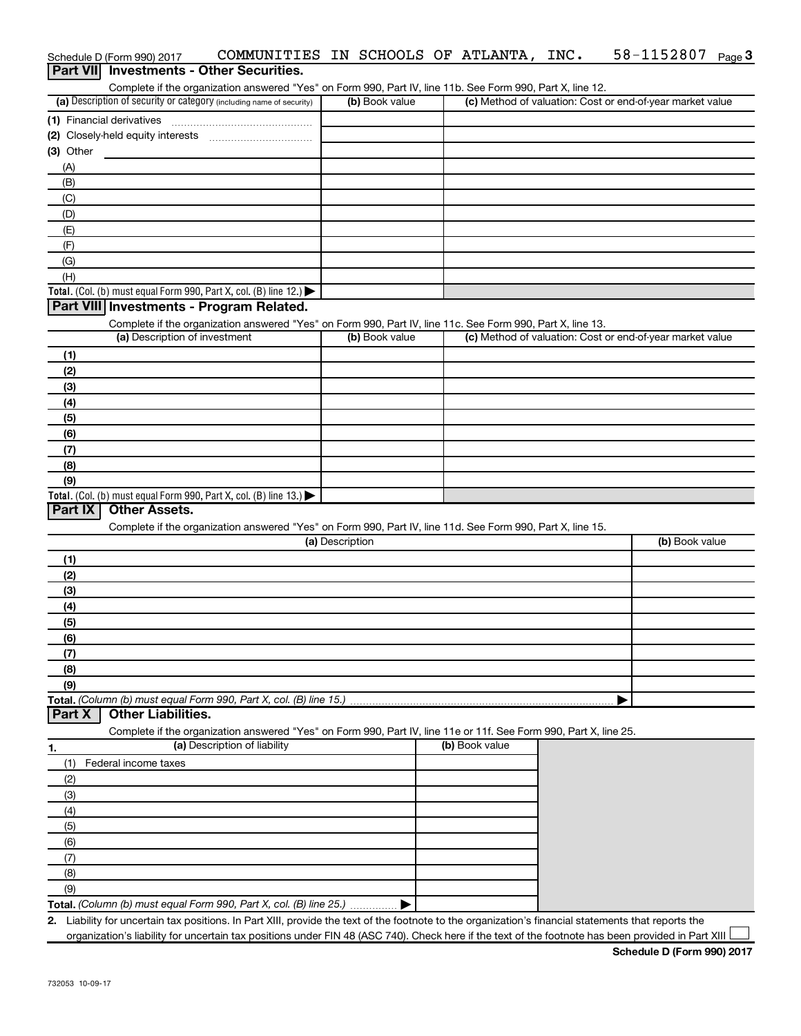|                | Schedule D (Form 990) 2017    | COMMUNITIES IN SCHOOLS OF ATLANTA, INC.                                                                                                              |                 |                |                | 58-1152807                                                | Page 3 |
|----------------|-------------------------------|------------------------------------------------------------------------------------------------------------------------------------------------------|-----------------|----------------|----------------|-----------------------------------------------------------|--------|
|                |                               | <b>Part VII</b> Investments - Other Securities.                                                                                                      |                 |                |                |                                                           |        |
|                |                               | Complete if the organization answered "Yes" on Form 990, Part IV, line 11b. See Form 990, Part X, line 12.                                           |                 |                |                |                                                           |        |
|                |                               | (a) Description of security or category (including name of security)                                                                                 |                 | (b) Book value |                | (c) Method of valuation: Cost or end-of-year market value |        |
|                | (1) Financial derivatives     |                                                                                                                                                      |                 |                |                |                                                           |        |
|                |                               |                                                                                                                                                      |                 |                |                |                                                           |        |
| $(3)$ Other    |                               |                                                                                                                                                      |                 |                |                |                                                           |        |
| (A)            |                               |                                                                                                                                                      |                 |                |                |                                                           |        |
| (B)            |                               |                                                                                                                                                      |                 |                |                |                                                           |        |
| (C)            |                               |                                                                                                                                                      |                 |                |                |                                                           |        |
| (D)            |                               |                                                                                                                                                      |                 |                |                |                                                           |        |
| (E)            |                               |                                                                                                                                                      |                 |                |                |                                                           |        |
| (F)            |                               |                                                                                                                                                      |                 |                |                |                                                           |        |
| (G)            |                               |                                                                                                                                                      |                 |                |                |                                                           |        |
| (H)            |                               |                                                                                                                                                      |                 |                |                |                                                           |        |
|                |                               | Total. (Col. (b) must equal Form 990, Part X, col. (B) line 12.)                                                                                     |                 |                |                |                                                           |        |
|                |                               | Part VIII Investments - Program Related.                                                                                                             |                 |                |                |                                                           |        |
|                |                               | Complete if the organization answered "Yes" on Form 990, Part IV, line 11c. See Form 990, Part X, line 13.                                           |                 |                |                |                                                           |        |
|                | (a) Description of investment |                                                                                                                                                      |                 | (b) Book value |                | (c) Method of valuation: Cost or end-of-year market value |        |
| (1)            |                               |                                                                                                                                                      |                 |                |                |                                                           |        |
| (2)            |                               |                                                                                                                                                      |                 |                |                |                                                           |        |
| (3)            |                               |                                                                                                                                                      |                 |                |                |                                                           |        |
| (4)            |                               |                                                                                                                                                      |                 |                |                |                                                           |        |
| (5)            |                               |                                                                                                                                                      |                 |                |                |                                                           |        |
| (6)            |                               |                                                                                                                                                      |                 |                |                |                                                           |        |
| (7)            |                               |                                                                                                                                                      |                 |                |                |                                                           |        |
| (8)            |                               |                                                                                                                                                      |                 |                |                |                                                           |        |
| (9)            |                               |                                                                                                                                                      |                 |                |                |                                                           |        |
|                |                               | Total. (Col. (b) must equal Form 990, Part X, col. (B) line 13.)                                                                                     |                 |                |                |                                                           |        |
| <b>Part IX</b> | <b>Other Assets.</b>          |                                                                                                                                                      |                 |                |                |                                                           |        |
|                |                               | Complete if the organization answered "Yes" on Form 990, Part IV, line 11d. See Form 990, Part X, line 15.                                           |                 |                |                |                                                           |        |
|                |                               |                                                                                                                                                      | (a) Description |                |                | (b) Book value                                            |        |
| (1)            |                               |                                                                                                                                                      |                 |                |                |                                                           |        |
| (2)            |                               |                                                                                                                                                      |                 |                |                |                                                           |        |
| (3)            |                               |                                                                                                                                                      |                 |                |                |                                                           |        |
| (4)            |                               |                                                                                                                                                      |                 |                |                |                                                           |        |
| (5)            |                               |                                                                                                                                                      |                 |                |                |                                                           |        |
| (6)            |                               |                                                                                                                                                      |                 |                |                |                                                           |        |
| (7)            |                               |                                                                                                                                                      |                 |                |                |                                                           |        |
| (8)            |                               |                                                                                                                                                      |                 |                |                |                                                           |        |
| (9)            |                               |                                                                                                                                                      |                 |                |                |                                                           |        |
|                |                               | Total. (Column (b) must equal Form 990, Part X, col. (B) line 15.)                                                                                   |                 |                |                |                                                           |        |
| <b>Part X</b>  | <b>Other Liabilities.</b>     |                                                                                                                                                      |                 |                |                |                                                           |        |
|                |                               | Complete if the organization answered "Yes" on Form 990, Part IV, line 11e or 11f. See Form 990, Part X, line 25.                                    |                 |                |                |                                                           |        |
| 1.             |                               | (a) Description of liability                                                                                                                         |                 |                | (b) Book value |                                                           |        |
| (1)            | Federal income taxes          |                                                                                                                                                      |                 |                |                |                                                           |        |
| (2)            |                               |                                                                                                                                                      |                 |                |                |                                                           |        |
| (3)            |                               |                                                                                                                                                      |                 |                |                |                                                           |        |
| (4)            |                               |                                                                                                                                                      |                 |                |                |                                                           |        |
| (5)            |                               |                                                                                                                                                      |                 |                |                |                                                           |        |
| (6)            |                               |                                                                                                                                                      |                 |                |                |                                                           |        |
| (7)            |                               |                                                                                                                                                      |                 |                |                |                                                           |        |
| (8)            |                               |                                                                                                                                                      |                 |                |                |                                                           |        |
| (9)            |                               |                                                                                                                                                      |                 |                |                |                                                           |        |
|                |                               | Total. (Column (b) must equal Form 990, Part X, col. (B) line 25.)                                                                                   |                 |                |                |                                                           |        |
|                |                               | 2. Liability for uncertain tax positions. In Part XIII, provide the text of the footnote to the organization's financial statements that reports the |                 |                |                |                                                           |        |
|                |                               | organization's liability for uncertain tax positions under FIN 48 (ASC 740). Check here if the text of the footnote has been provided in Part XIII   |                 |                |                |                                                           |        |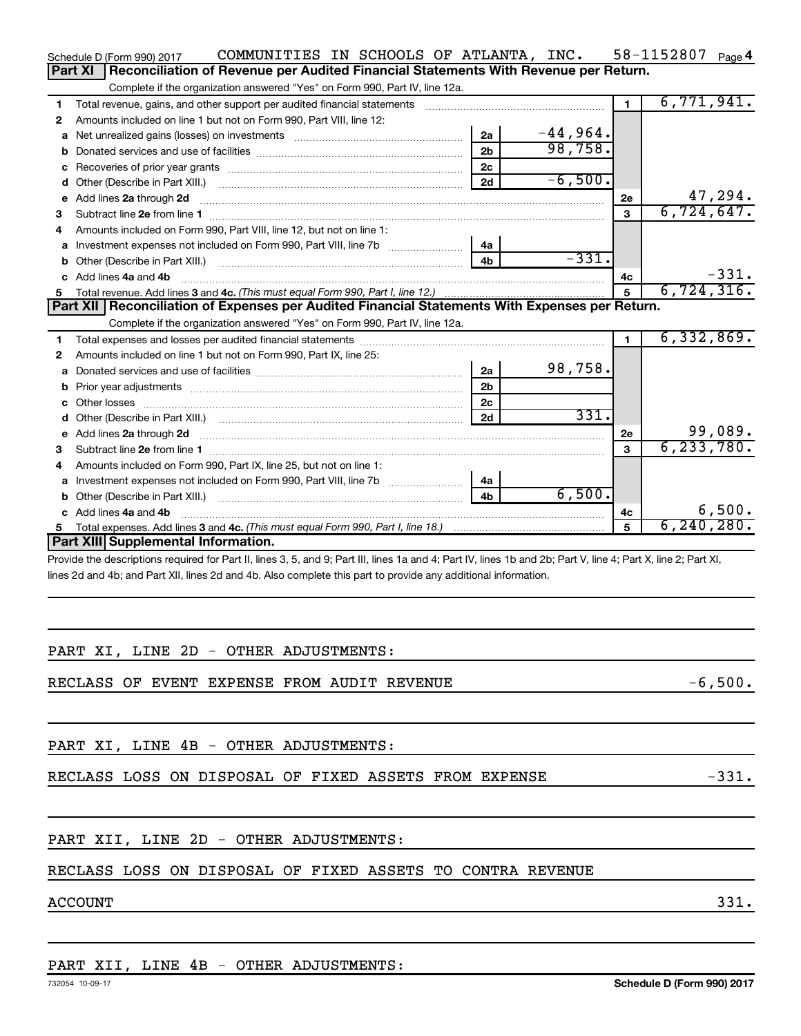|    |                | Schedule D (Form 990) 2017                                                                                                                                                                                                          | COMMUNITIES IN SCHOOLS OF ATLANTA, INC. |  |                |            |                | 58-1152807 Page 4 |         |
|----|----------------|-------------------------------------------------------------------------------------------------------------------------------------------------------------------------------------------------------------------------------------|-----------------------------------------|--|----------------|------------|----------------|-------------------|---------|
|    | <b>Part XI</b> | Reconciliation of Revenue per Audited Financial Statements With Revenue per Return.                                                                                                                                                 |                                         |  |                |            |                |                   |         |
|    |                | Complete if the organization answered "Yes" on Form 990, Part IV, line 12a.                                                                                                                                                         |                                         |  |                |            |                |                   |         |
| 1  |                | Total revenue, gains, and other support per audited financial statements                                                                                                                                                            |                                         |  |                |            |                | 6,771,941.        |         |
| 2  |                | Amounts included on line 1 but not on Form 990, Part VIII, line 12:                                                                                                                                                                 |                                         |  |                |            |                |                   |         |
| a  |                | Net unrealized gains (losses) on investments [111] Met unrealized gains (losses) on investments [11] Metaman m                                                                                                                      |                                         |  | 2a             | $-44,964.$ |                |                   |         |
| b  |                |                                                                                                                                                                                                                                     |                                         |  | 2 <sub>b</sub> | 98,758.    |                |                   |         |
| с  |                |                                                                                                                                                                                                                                     |                                         |  | 2 <sub>c</sub> |            |                |                   |         |
| d  |                |                                                                                                                                                                                                                                     |                                         |  | 2d             | $-6,500.$  |                |                   |         |
| е  |                | Add lines 2a through 2d                                                                                                                                                                                                             |                                         |  |                |            | 2e             |                   | 47,294. |
| 3  |                |                                                                                                                                                                                                                                     |                                         |  |                |            | 3              | 6,724,647.        |         |
| 4  |                | Amounts included on Form 990, Part VIII, line 12, but not on line 1:                                                                                                                                                                |                                         |  |                |            |                |                   |         |
| a  |                |                                                                                                                                                                                                                                     |                                         |  | 4a             |            |                |                   |         |
| b  |                |                                                                                                                                                                                                                                     |                                         |  | 4 <sub>b</sub> | $-331.$    |                |                   |         |
|    |                | Add lines 4a and 4b                                                                                                                                                                                                                 |                                         |  |                |            | 4с             |                   | $-331.$ |
| 5. |                |                                                                                                                                                                                                                                     |                                         |  |                |            | $5\phantom{a}$ | 6,724,316.        |         |
|    |                | Part XII Reconciliation of Expenses per Audited Financial Statements With Expenses per Return.                                                                                                                                      |                                         |  |                |            |                |                   |         |
|    |                | Complete if the organization answered "Yes" on Form 990, Part IV, line 12a.                                                                                                                                                         |                                         |  |                |            |                |                   |         |
| 1  |                |                                                                                                                                                                                                                                     |                                         |  |                |            |                | 6,332,869.        |         |
| 2  |                | Amounts included on line 1 but not on Form 990, Part IX, line 25:                                                                                                                                                                   |                                         |  |                |            |                |                   |         |
| a  |                |                                                                                                                                                                                                                                     |                                         |  | 2a             | 98,758.    |                |                   |         |
| b  |                |                                                                                                                                                                                                                                     |                                         |  | 2 <sub>b</sub> |            |                |                   |         |
|    |                |                                                                                                                                                                                                                                     |                                         |  | 2 <sub>c</sub> |            |                |                   |         |
| d  |                |                                                                                                                                                                                                                                     |                                         |  | 2d             | 331.       |                |                   |         |
| е  |                | Add lines 2a through 2d <b>[10]</b> University of the state of the state of the state of the state of the state of the state of the state of the state of the state of the state of the state of the state of the state of the stat |                                         |  |                |            | 2e             |                   | 99,089. |
| 3  |                |                                                                                                                                                                                                                                     |                                         |  |                |            | 3              | 6, 233, 780.      |         |
| 4  |                | Amounts included on Form 990, Part IX, line 25, but not on line 1:                                                                                                                                                                  |                                         |  |                |            |                |                   |         |
| a  |                |                                                                                                                                                                                                                                     |                                         |  | 4a             |            |                |                   |         |
|    |                |                                                                                                                                                                                                                                     |                                         |  | 4b             | 6,500.     |                |                   |         |
|    |                | Add lines 4a and 4b                                                                                                                                                                                                                 |                                         |  |                |            | 4c             |                   | 6,500.  |
| 5  |                |                                                                                                                                                                                                                                     |                                         |  |                |            | 5              | 6, 240, 280.      |         |
|    |                | <b>Part XIII Supplemental Information.</b>                                                                                                                                                                                          |                                         |  |                |            |                |                   |         |
|    |                | Provide the descriptions required for Part II, lines 3, 5, and 9; Part III, lines 1a and 4; Part IV, lines 1b and 2b; Part V, line 4; Part X, line 2; Part XI,                                                                      |                                         |  |                |            |                |                   |         |
|    |                | lines 2d and 4b; and Part XII, lines 2d and 4b. Also complete this part to provide any additional information.                                                                                                                      |                                         |  |                |            |                |                   |         |

### PART XI, LINE 2D - OTHER ADJUSTMENTS:

RECLASS OF EVENT EXPENSE FROM AUDIT REVENUE  $-6,500$ .

PART XI, LINE 4B - OTHER ADJUSTMENTS:

RECLASS LOSS ON DISPOSAL OF FIXED ASSETS FROM EXPENSE  $-331$ .

### PART XII, LINE 2D - OTHER ADJUSTMENTS:

### RECLASS LOSS ON DISPOSAL OF FIXED ASSETS TO CONTRA REVENUE

### $\rm{ACCOUNT} \hspace{23.5cm} 331$  .

### PART XII, LINE 4B - OTHER ADJUSTMENTS: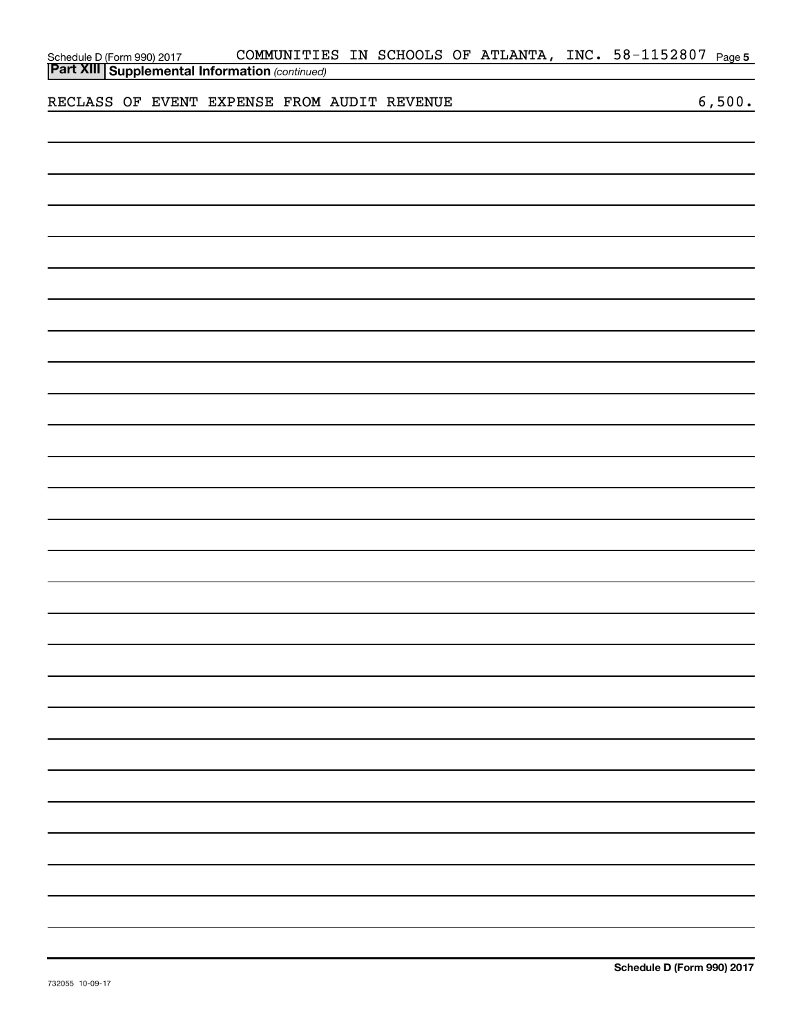|  |                                                                                                |  |  |  | COMMUNITIES IN SCHOOLS OF ATLANTA, INC. 58-1152807 Page 5 |        |
|--|------------------------------------------------------------------------------------------------|--|--|--|-----------------------------------------------------------|--------|
|  | Schedule D (Form 990) 2017 COMMUNITIE<br><b>Part XIII Supplemental Information</b> (continued) |  |  |  |                                                           |        |
|  | RECLASS OF EVENT EXPENSE FROM AUDIT REVENUE                                                    |  |  |  |                                                           | 6,500. |
|  |                                                                                                |  |  |  |                                                           |        |
|  |                                                                                                |  |  |  |                                                           |        |
|  |                                                                                                |  |  |  |                                                           |        |
|  |                                                                                                |  |  |  |                                                           |        |
|  |                                                                                                |  |  |  |                                                           |        |
|  |                                                                                                |  |  |  |                                                           |        |
|  |                                                                                                |  |  |  |                                                           |        |
|  |                                                                                                |  |  |  |                                                           |        |
|  |                                                                                                |  |  |  |                                                           |        |
|  |                                                                                                |  |  |  |                                                           |        |
|  |                                                                                                |  |  |  |                                                           |        |
|  |                                                                                                |  |  |  |                                                           |        |
|  |                                                                                                |  |  |  |                                                           |        |
|  |                                                                                                |  |  |  |                                                           |        |
|  |                                                                                                |  |  |  |                                                           |        |
|  |                                                                                                |  |  |  |                                                           |        |
|  |                                                                                                |  |  |  |                                                           |        |
|  |                                                                                                |  |  |  |                                                           |        |
|  |                                                                                                |  |  |  |                                                           |        |
|  |                                                                                                |  |  |  |                                                           |        |
|  |                                                                                                |  |  |  |                                                           |        |
|  |                                                                                                |  |  |  |                                                           |        |
|  |                                                                                                |  |  |  |                                                           |        |
|  |                                                                                                |  |  |  |                                                           |        |
|  |                                                                                                |  |  |  |                                                           |        |
|  |                                                                                                |  |  |  |                                                           |        |
|  |                                                                                                |  |  |  |                                                           |        |
|  |                                                                                                |  |  |  |                                                           |        |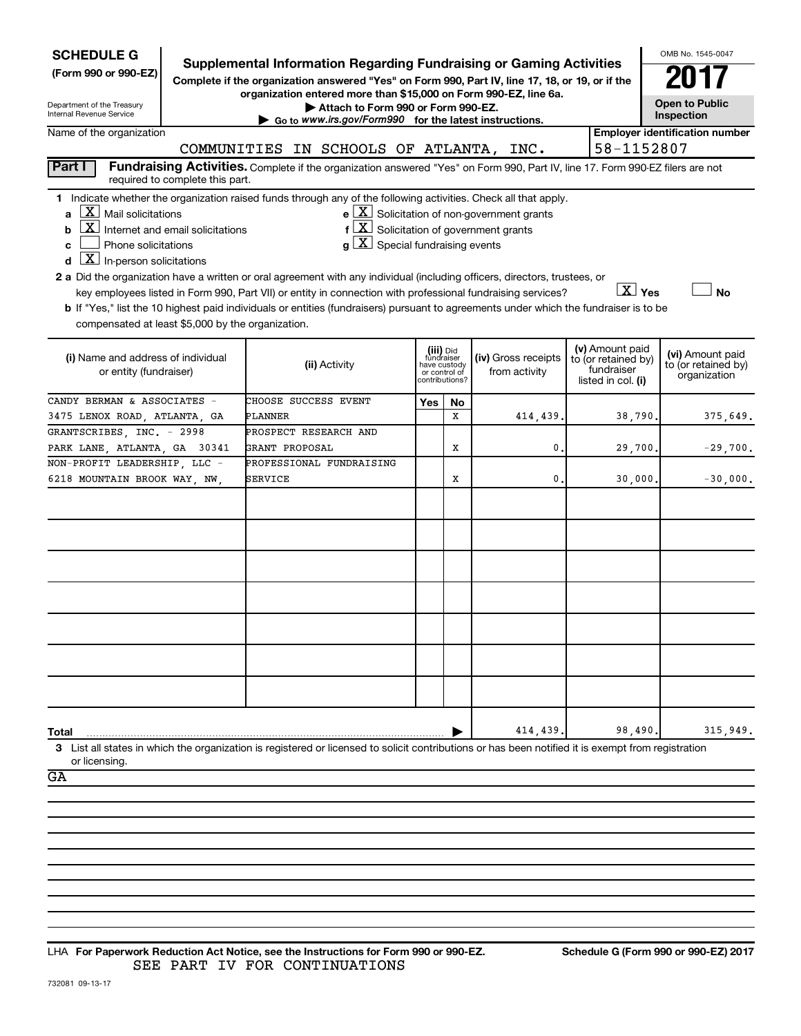| <b>SCHEDULE G</b>                                                                                                                                                               |                                 |                       |                                                                                                                                                                               |                                         |                                 |                     |               |                                  |                        | OMB No. 1545-0047                       |
|---------------------------------------------------------------------------------------------------------------------------------------------------------------------------------|---------------------------------|-----------------------|-------------------------------------------------------------------------------------------------------------------------------------------------------------------------------|-----------------------------------------|---------------------------------|---------------------|---------------|----------------------------------|------------------------|-----------------------------------------|
| (Form 990 or 990-EZ)                                                                                                                                                            |                                 |                       | <b>Supplemental Information Regarding Fundraising or Gaming Activities</b><br>Complete if the organization answered "Yes" on Form 990, Part IV, line 17, 18, or 19, or if the |                                         |                                 |                     |               |                                  |                        |                                         |
|                                                                                                                                                                                 |                                 |                       | organization entered more than \$15,000 on Form 990-EZ, line 6a.                                                                                                              |                                         |                                 |                     |               |                                  |                        |                                         |
| Department of the Treasury<br>Internal Revenue Service                                                                                                                          |                                 |                       | Attach to Form 990 or Form 990-EZ.<br>Go to www.irs.gov/Form990 for the latest instructions.                                                                                  |                                         |                                 |                     |               |                                  |                        | <b>Open to Public</b><br>Inspection     |
| Name of the organization                                                                                                                                                        |                                 |                       |                                                                                                                                                                               |                                         |                                 |                     |               |                                  |                        | <b>Employer identification number</b>   |
|                                                                                                                                                                                 |                                 |                       | COMMUNITIES IN SCHOOLS OF ATLANTA, INC.                                                                                                                                       |                                         |                                 |                     |               |                                  | 58-1152807             |                                         |
| Part I                                                                                                                                                                          | required to complete this part. |                       | Fundraising Activities. Complete if the organization answered "Yes" on Form 990, Part IV, line 17. Form 990-EZ filers are not                                                 |                                         |                                 |                     |               |                                  |                        |                                         |
| 1 Indicate whether the organization raised funds through any of the following activities. Check all that apply.                                                                 |                                 |                       |                                                                                                                                                                               |                                         |                                 |                     |               |                                  |                        |                                         |
| $\mathbf{a}$ $\mathbf{X}$ Mail solicitations                                                                                                                                    |                                 |                       | $e$ $\boxed{X}$ Solicitation of non-government grants                                                                                                                         |                                         |                                 |                     |               |                                  |                        |                                         |
| $\boxed{\textbf{X}}$ Internet and email solicitations<br>b                                                                                                                      |                                 |                       | $f\left[\frac{X}{X}\right]$ Solicitation of government grants                                                                                                                 |                                         |                                 |                     |               |                                  |                        |                                         |
| Phone solicitations<br>C                                                                                                                                                        |                                 |                       | $g\mid X$ Special fundraising events                                                                                                                                          |                                         |                                 |                     |               |                                  |                        |                                         |
| $\boxed{\mathbf{X}}$ In-person solicitations<br>d<br>2 a Did the organization have a written or oral agreement with any individual (including officers, directors, trustees, or |                                 |                       |                                                                                                                                                                               |                                         |                                 |                     |               |                                  |                        |                                         |
|                                                                                                                                                                                 |                                 |                       | key employees listed in Form 990, Part VII) or entity in connection with professional fundraising services?                                                                   |                                         |                                 |                     |               |                                  | $\boxed{\text{X}}$ Yes | <b>No</b>                               |
| b If "Yes," list the 10 highest paid individuals or entities (fundraisers) pursuant to agreements under which the fundraiser is to be                                           |                                 |                       |                                                                                                                                                                               |                                         |                                 |                     |               |                                  |                        |                                         |
| compensated at least \$5,000 by the organization.                                                                                                                               |                                 |                       |                                                                                                                                                                               |                                         |                                 |                     |               |                                  |                        |                                         |
|                                                                                                                                                                                 |                                 |                       |                                                                                                                                                                               |                                         |                                 |                     |               |                                  | (v) Amount paid        |                                         |
| (i) Name and address of individual                                                                                                                                              |                                 |                       | (ii) Activity                                                                                                                                                                 | (iii) Did<br>fundraiser<br>have custody |                                 | (iv) Gross receipts |               |                                  | to (or retained by)    | (vi) Amount paid<br>to (or retained by) |
| or entity (fundraiser)                                                                                                                                                          |                                 |                       |                                                                                                                                                                               |                                         | or control of<br>contributions? |                     | from activity | fundraiser<br>listed in col. (i) |                        | organization                            |
| CANDY BERMAN & ASSOCIATES -                                                                                                                                                     |                                 | CHOOSE SUCCESS EVENT  |                                                                                                                                                                               | Yes                                     | No                              |                     |               |                                  |                        |                                         |
| 3475 LENOX ROAD, ATLANTA, GA                                                                                                                                                    |                                 | PLANNER               |                                                                                                                                                                               |                                         | X                               |                     | 414,439.      |                                  | 38,790.                | 375,649.                                |
| GRANTSCRIBES, INC. - 2998                                                                                                                                                       |                                 | PROSPECT RESEARCH AND |                                                                                                                                                                               |                                         |                                 |                     |               |                                  |                        |                                         |
| PARK LANE, ATLANTA, GA 30341                                                                                                                                                    |                                 | GRANT PROPOSAL        |                                                                                                                                                                               |                                         | х                               |                     | 0.            |                                  | 29,700.                | $-29,700.$                              |
| NON-PROFIT LEADERSHIP, LLC -                                                                                                                                                    |                                 |                       | PROFESSIONAL FUNDRAISING                                                                                                                                                      |                                         |                                 |                     |               |                                  |                        |                                         |
| 6218 MOUNTAIN BROOK WAY, NW,                                                                                                                                                    |                                 | SERVICE               |                                                                                                                                                                               |                                         | х                               |                     | 0.            |                                  | 30,000.                | $-30,000.$                              |
|                                                                                                                                                                                 |                                 |                       |                                                                                                                                                                               |                                         |                                 |                     |               |                                  |                        |                                         |
|                                                                                                                                                                                 |                                 |                       |                                                                                                                                                                               |                                         |                                 |                     |               |                                  |                        |                                         |
|                                                                                                                                                                                 |                                 |                       |                                                                                                                                                                               |                                         |                                 |                     |               |                                  |                        |                                         |
|                                                                                                                                                                                 |                                 |                       |                                                                                                                                                                               |                                         |                                 |                     |               |                                  |                        |                                         |
|                                                                                                                                                                                 |                                 |                       |                                                                                                                                                                               |                                         |                                 |                     |               |                                  |                        |                                         |
|                                                                                                                                                                                 |                                 |                       |                                                                                                                                                                               |                                         |                                 |                     |               |                                  |                        |                                         |
|                                                                                                                                                                                 |                                 |                       |                                                                                                                                                                               |                                         |                                 |                     |               |                                  |                        |                                         |
|                                                                                                                                                                                 |                                 |                       |                                                                                                                                                                               |                                         |                                 |                     |               |                                  |                        |                                         |
|                                                                                                                                                                                 |                                 |                       |                                                                                                                                                                               |                                         |                                 |                     |               |                                  |                        |                                         |
|                                                                                                                                                                                 |                                 |                       |                                                                                                                                                                               |                                         |                                 |                     |               |                                  |                        |                                         |
|                                                                                                                                                                                 |                                 |                       |                                                                                                                                                                               |                                         |                                 |                     |               |                                  |                        |                                         |
|                                                                                                                                                                                 |                                 |                       |                                                                                                                                                                               |                                         |                                 |                     |               |                                  |                        |                                         |
|                                                                                                                                                                                 |                                 |                       |                                                                                                                                                                               |                                         |                                 |                     |               |                                  |                        |                                         |
| Total                                                                                                                                                                           |                                 |                       |                                                                                                                                                                               |                                         |                                 |                     | 414,439.      |                                  | 98,490.                | 315,949.                                |
| 3 List all states in which the organization is registered or licensed to solicit contributions or has been notified it is exempt from registration<br>or licensing.             |                                 |                       |                                                                                                                                                                               |                                         |                                 |                     |               |                                  |                        |                                         |
| GA                                                                                                                                                                              |                                 |                       |                                                                                                                                                                               |                                         |                                 |                     |               |                                  |                        |                                         |
|                                                                                                                                                                                 |                                 |                       |                                                                                                                                                                               |                                         |                                 |                     |               |                                  |                        |                                         |
|                                                                                                                                                                                 |                                 |                       |                                                                                                                                                                               |                                         |                                 |                     |               |                                  |                        |                                         |
|                                                                                                                                                                                 |                                 |                       |                                                                                                                                                                               |                                         |                                 |                     |               |                                  |                        |                                         |
|                                                                                                                                                                                 |                                 |                       |                                                                                                                                                                               |                                         |                                 |                     |               |                                  |                        |                                         |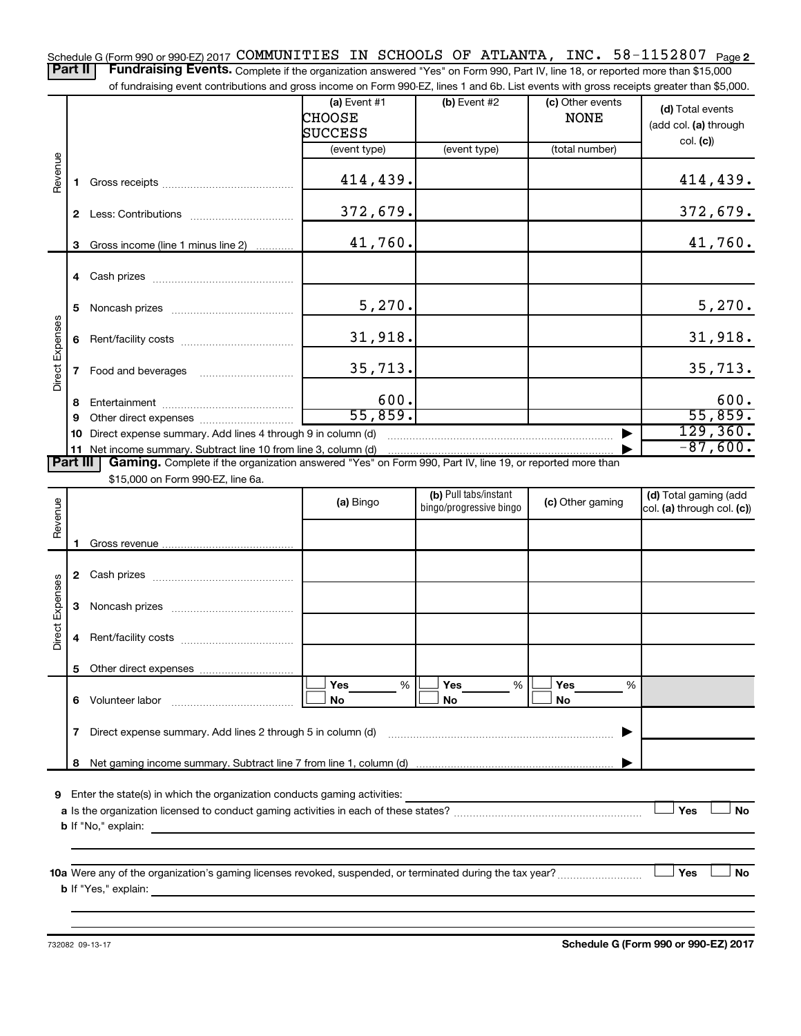Schedule G (Form 990 or 990-EZ) 2017 **COMMUNITIES IN SCHOOLS OF ATLANTA, INC.** 58-1152807 <sub>Page</sub> 2 Part II | Fundraising Events. Complete if the organization answered "Yes" on Form 990, Part IV, line 18, or reported more than \$15,000

of fundraising event contributions and gross income on Form 990-EZ, lines 1 and 6b. List events with gross receipts greater than \$5,000.

|                 |              |                                                                                                          | (a) Event $#1$<br><b>CHOOSE</b> | (b) Event #2                                     | (c) Other events<br><b>NONE</b> | (d) Total events<br>(add col. (a) through           |
|-----------------|--------------|----------------------------------------------------------------------------------------------------------|---------------------------------|--------------------------------------------------|---------------------------------|-----------------------------------------------------|
|                 |              |                                                                                                          | <b>SUCCESS</b>                  |                                                  |                                 |                                                     |
|                 |              |                                                                                                          | (event type)                    | (event type)                                     | (total number)                  | col. (c)                                            |
|                 |              |                                                                                                          |                                 |                                                  |                                 |                                                     |
| Revenue         | 1.           |                                                                                                          | 414,439.                        |                                                  |                                 | 414,439.                                            |
|                 | $\mathbf{2}$ |                                                                                                          | 372,679.                        |                                                  |                                 | 372,679.                                            |
|                 | 3            | Gross income (line 1 minus line 2)                                                                       | 41,760.                         |                                                  |                                 | 41,760.                                             |
|                 |              |                                                                                                          |                                 |                                                  |                                 |                                                     |
|                 |              |                                                                                                          |                                 |                                                  |                                 |                                                     |
| Direct Expenses | 5            |                                                                                                          | 5,270.                          |                                                  |                                 | 5,270.                                              |
|                 |              |                                                                                                          |                                 |                                                  |                                 |                                                     |
|                 | 6            |                                                                                                          | 31,918.                         |                                                  |                                 | 31,918.                                             |
|                 |              |                                                                                                          | 35, 713.                        |                                                  |                                 | 35,713.                                             |
|                 | 7            | Food and beverages                                                                                       |                                 |                                                  |                                 |                                                     |
|                 | 8            |                                                                                                          | 600.                            |                                                  |                                 | 600.                                                |
|                 | 9            |                                                                                                          | 55,859.                         |                                                  |                                 | 55,859.                                             |
|                 | 10           | Direct expense summary. Add lines 4 through 9 in column (d)                                              |                                 |                                                  |                                 | 129, 360.                                           |
|                 |              |                                                                                                          |                                 |                                                  |                                 | $-87,600.$                                          |
| Part III        |              | Gaming. Complete if the organization answered "Yes" on Form 990, Part IV, line 19, or reported more than |                                 |                                                  |                                 |                                                     |
|                 |              | \$15,000 on Form 990-EZ, line 6a.                                                                        |                                 |                                                  |                                 |                                                     |
|                 |              |                                                                                                          | (a) Bingo                       | (b) Pull tabs/instant<br>bingo/progressive bingo | (c) Other gaming                | (d) Total gaming (add<br>col. (a) through col. (c)) |
| Revenue         |              |                                                                                                          |                                 |                                                  |                                 |                                                     |
|                 |              |                                                                                                          |                                 |                                                  |                                 |                                                     |
|                 |              |                                                                                                          |                                 |                                                  |                                 |                                                     |
|                 |              |                                                                                                          |                                 |                                                  |                                 |                                                     |

|          | 2                                                                          | Cash prizes         |                                   |                |                |  |  |  |  |  |  |  |
|----------|----------------------------------------------------------------------------|---------------------|-----------------------------------|----------------|----------------|--|--|--|--|--|--|--|
| Expenses | 3                                                                          | Noncash prizes      |                                   |                |                |  |  |  |  |  |  |  |
| Direct   | 4                                                                          | Rent/facility costs |                                   |                |                |  |  |  |  |  |  |  |
|          | 5                                                                          |                     |                                   |                |                |  |  |  |  |  |  |  |
|          | 6                                                                          | Volunteer labor     | <b>Yes</b><br>$\frac{0}{0}$<br>No | Yes<br>%<br>No | Yes<br>%<br>No |  |  |  |  |  |  |  |
|          | Direct expense summary. Add lines 2 through 5 in column (d)<br>7           |                     |                                   |                |                |  |  |  |  |  |  |  |
|          | 8                                                                          |                     |                                   |                |                |  |  |  |  |  |  |  |
|          | Q Enter the state(s) in which the ergenization conducts coming ostivities: |                     |                                   |                |                |  |  |  |  |  |  |  |

**9** Enter the state(s) in which the organization conducts gaming activities:

| a Is the organization licensed to conduct gaming activities in each of these states? | <b>Yes</b> |  | No |
|--------------------------------------------------------------------------------------|------------|--|----|
| <b>b</b> If "No," explain:                                                           |            |  |    |

**10 a Yes No** Were any of the organization's gaming licenses revoked, suspended, or terminated during the tax year? ~~~~~~~~~ † † **b** If "Yes," explain:

732082 09-13-17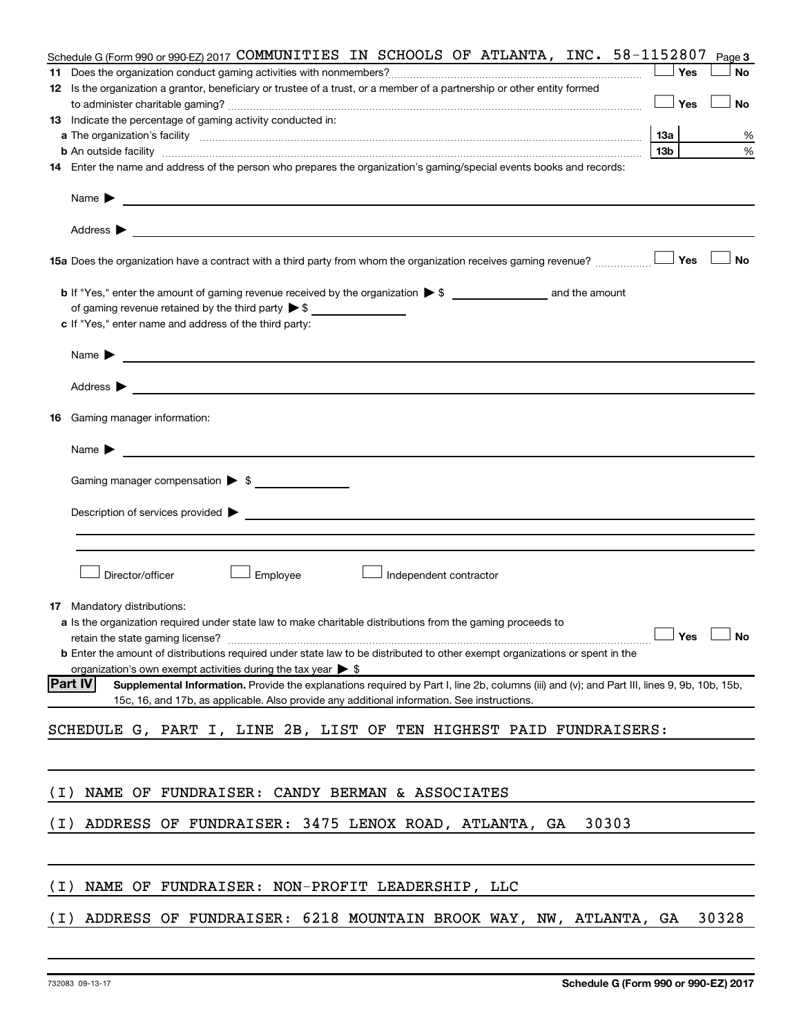|       | Schedule G (Form 990 or 990-EZ) 2017 COMMUNITIES IN SCHOOLS OF ATLANTA, INC. $58-1152807$                                                                                                                                                                    |                 | Page 3    |
|-------|--------------------------------------------------------------------------------------------------------------------------------------------------------------------------------------------------------------------------------------------------------------|-----------------|-----------|
| 11    |                                                                                                                                                                                                                                                              | Yes             | <b>No</b> |
|       | 12 Is the organization a grantor, beneficiary or trustee of a trust, or a member of a partnership or other entity formed                                                                                                                                     |                 |           |
|       |                                                                                                                                                                                                                                                              | Yes             | <b>No</b> |
|       | <b>13</b> Indicate the percentage of gaming activity conducted in:                                                                                                                                                                                           |                 |           |
|       |                                                                                                                                                                                                                                                              | <b>13a</b>      | %         |
|       | <b>b</b> An outside facility <i>www.communicality www.communicality.communicality www.communicality www.communicality.communicality www.communicality.com</i>                                                                                                | 13 <sub>b</sub> | $\%$      |
|       | 14 Enter the name and address of the person who prepares the organization's gaming/special events books and records:                                                                                                                                         |                 |           |
|       | Name $\blacktriangleright$                                                                                                                                                                                                                                   |                 |           |
|       | Address $\blacktriangleright$<br>and the control of the control of the control of the control of the control of the control of the control of the                                                                                                            |                 |           |
|       | 15a Does the organization have a contract with a third party from whom the organization receives gaming revenue?                                                                                                                                             | Yes             | <b>No</b> |
|       |                                                                                                                                                                                                                                                              |                 |           |
|       | of gaming revenue retained by the third party $\triangleright$ \$                                                                                                                                                                                            |                 |           |
|       | c If "Yes," enter name and address of the third party:                                                                                                                                                                                                       |                 |           |
|       | Name $\blacktriangleright$<br><u> 1989 - John Harry Harry Harry Harry Harry Harry Harry Harry Harry Harry Harry Harry Harry Harry Harry Harry</u>                                                                                                            |                 |           |
|       | Address $\blacktriangleright$<br><u> 1989 - Johann Barbara, marka a shekara ta 1989 - An tsa a shekara ta 1989 - An tsa a shekara tsa a shekara t</u>                                                                                                        |                 |           |
|       |                                                                                                                                                                                                                                                              |                 |           |
| 16    | Gaming manager information:                                                                                                                                                                                                                                  |                 |           |
|       | Name $\blacktriangleright$<br><u> 1989 - Andrea Stadt Britain, amerikansk politiker (</u>                                                                                                                                                                    |                 |           |
|       | Gaming manager compensation > \$                                                                                                                                                                                                                             |                 |           |
|       |                                                                                                                                                                                                                                                              |                 |           |
|       | Description of services provided > example and a service of the service of the services provided > example and the services provided > example and the services provided > example and the service of the service of the servi                               |                 |           |
|       |                                                                                                                                                                                                                                                              |                 |           |
|       |                                                                                                                                                                                                                                                              |                 |           |
|       | Director/officer<br>Employee<br>Independent contractor                                                                                                                                                                                                       |                 |           |
| 17    | Mandatory distributions:                                                                                                                                                                                                                                     |                 |           |
|       | a Is the organization required under state law to make charitable distributions from the gaming proceeds to                                                                                                                                                  |                 |           |
|       | retain the state gaming license? $\Box$ No                                                                                                                                                                                                                   |                 |           |
|       | b Enter the amount of distributions required under state law to be distributed to other exempt organizations or spent in the                                                                                                                                 |                 |           |
|       | organization's own exempt activities during the tax year $\triangleright$ \$                                                                                                                                                                                 |                 |           |
|       | <b>Part IV</b><br>Supplemental Information. Provide the explanations required by Part I, line 2b, columns (iii) and (v); and Part III, lines 9, 9b, 10b, 15b,<br>15c, 16, and 17b, as applicable. Also provide any additional information. See instructions. |                 |           |
|       | SCHEDULE G, PART I, LINE 2B, LIST OF TEN HIGHEST PAID FUNDRAISERS:                                                                                                                                                                                           |                 |           |
|       |                                                                                                                                                                                                                                                              |                 |           |
|       |                                                                                                                                                                                                                                                              |                 |           |
| ( I ) | NAME OF FUNDRAISER: CANDY BERMAN & ASSOCIATES                                                                                                                                                                                                                |                 |           |
| ( I ) | 30303<br>ADDRESS OF FUNDRAISER: 3475 LENOX ROAD, ATLANTA, GA                                                                                                                                                                                                 |                 |           |
|       |                                                                                                                                                                                                                                                              |                 |           |
| ( I ) | NAME OF FUNDRAISER: NON-PROFIT LEADERSHIP, LLC                                                                                                                                                                                                               |                 |           |
|       |                                                                                                                                                                                                                                                              |                 |           |
| ( I ) | ADDRESS OF FUNDRAISER: 6218 MOUNTAIN BROOK WAY, NW, ATLANTA, GA                                                                                                                                                                                              |                 | 30328     |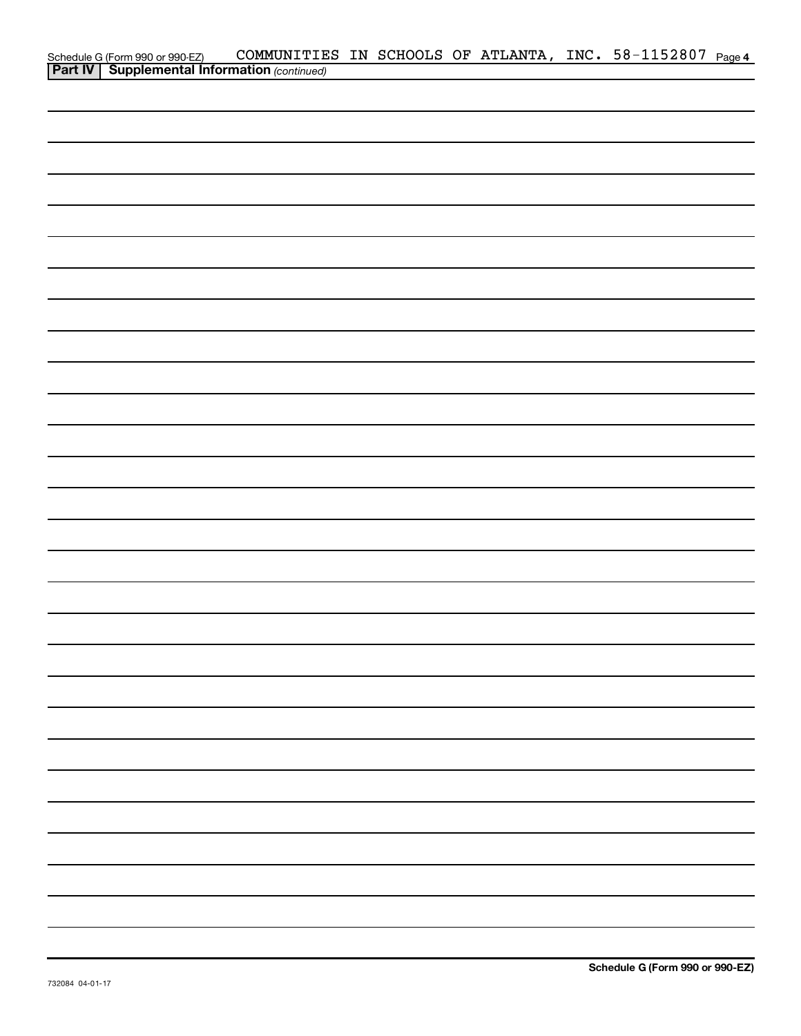|                                                                                                     | COMMUNITIES IN SCHOOLS OF ATLANTA, INC. 58-1152807 Page 4 |  |  |  |  |
|-----------------------------------------------------------------------------------------------------|-----------------------------------------------------------|--|--|--|--|
| Schedule G (Form 990 or 990-EZ) COMMUNITIE<br><b>Part IV   Supplemental Information</b> (continued) |                                                           |  |  |  |  |
|                                                                                                     |                                                           |  |  |  |  |
|                                                                                                     |                                                           |  |  |  |  |
|                                                                                                     |                                                           |  |  |  |  |
|                                                                                                     |                                                           |  |  |  |  |
|                                                                                                     |                                                           |  |  |  |  |
|                                                                                                     |                                                           |  |  |  |  |
|                                                                                                     |                                                           |  |  |  |  |
|                                                                                                     |                                                           |  |  |  |  |
|                                                                                                     |                                                           |  |  |  |  |
|                                                                                                     |                                                           |  |  |  |  |
|                                                                                                     |                                                           |  |  |  |  |
|                                                                                                     |                                                           |  |  |  |  |
|                                                                                                     |                                                           |  |  |  |  |
|                                                                                                     |                                                           |  |  |  |  |
|                                                                                                     |                                                           |  |  |  |  |
|                                                                                                     |                                                           |  |  |  |  |
|                                                                                                     |                                                           |  |  |  |  |
|                                                                                                     |                                                           |  |  |  |  |
|                                                                                                     |                                                           |  |  |  |  |
|                                                                                                     |                                                           |  |  |  |  |
|                                                                                                     |                                                           |  |  |  |  |
|                                                                                                     |                                                           |  |  |  |  |
|                                                                                                     |                                                           |  |  |  |  |
|                                                                                                     |                                                           |  |  |  |  |
|                                                                                                     |                                                           |  |  |  |  |
|                                                                                                     |                                                           |  |  |  |  |
|                                                                                                     |                                                           |  |  |  |  |
|                                                                                                     |                                                           |  |  |  |  |
|                                                                                                     |                                                           |  |  |  |  |
|                                                                                                     |                                                           |  |  |  |  |
|                                                                                                     |                                                           |  |  |  |  |
|                                                                                                     |                                                           |  |  |  |  |
|                                                                                                     |                                                           |  |  |  |  |
|                                                                                                     |                                                           |  |  |  |  |
|                                                                                                     |                                                           |  |  |  |  |
|                                                                                                     |                                                           |  |  |  |  |
|                                                                                                     |                                                           |  |  |  |  |
|                                                                                                     |                                                           |  |  |  |  |
|                                                                                                     |                                                           |  |  |  |  |
|                                                                                                     |                                                           |  |  |  |  |
|                                                                                                     |                                                           |  |  |  |  |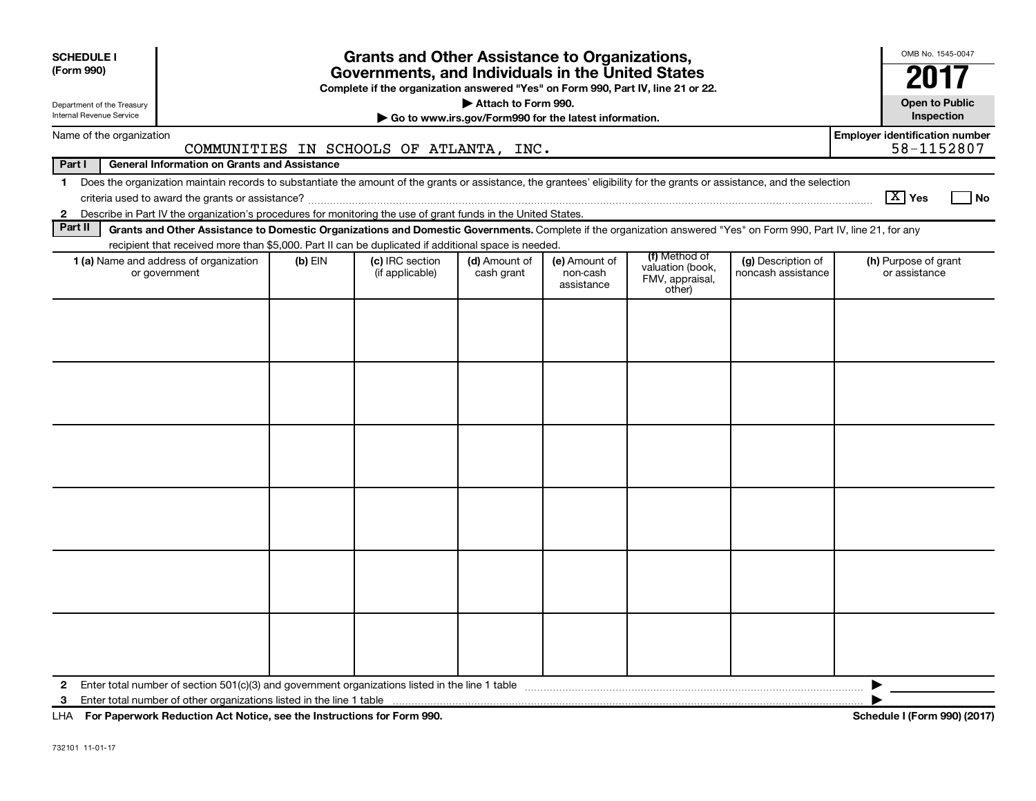| <b>SCHEDULE I</b><br>(Form 990)<br>Department of the Treasury<br>Internal Revenue Service |                                                                                                                                                                                                                                                                                                                            |  | <b>Grants and Other Assistance to Organizations,</b><br>Governments, and Individuals in the United States<br>Complete if the organization answered "Yes" on Form 990, Part IV, line 21 or 22. | Attach to Form 990.<br>Go to www.irs.gov/Form990 for the latest information. |  |  |  | OMB No. 1545-0047<br><b>Open to Public</b><br>Inspection |  |  |  |  |  |
|-------------------------------------------------------------------------------------------|----------------------------------------------------------------------------------------------------------------------------------------------------------------------------------------------------------------------------------------------------------------------------------------------------------------------------|--|-----------------------------------------------------------------------------------------------------------------------------------------------------------------------------------------------|------------------------------------------------------------------------------|--|--|--|----------------------------------------------------------|--|--|--|--|--|
| Name of the organization                                                                  |                                                                                                                                                                                                                                                                                                                            |  |                                                                                                                                                                                               |                                                                              |  |  |  | <b>Employer identification number</b>                    |  |  |  |  |  |
| Part I                                                                                    | <b>General Information on Grants and Assistance</b>                                                                                                                                                                                                                                                                        |  | COMMUNITIES IN SCHOOLS OF ATLANTA, INC.                                                                                                                                                       |                                                                              |  |  |  | 58-1152807                                               |  |  |  |  |  |
| $\mathbf{1}$<br>$\mathbf{2}$                                                              | Does the organization maintain records to substantiate the amount of the grants or assistance, the grantees' eligibility for the grants or assistance, and the selection                                                                                                                                                   |  |                                                                                                                                                                                               |                                                                              |  |  |  | $\sqrt{X}$ Yes<br><b>No</b>                              |  |  |  |  |  |
| Part II                                                                                   | Describe in Part IV the organization's procedures for monitoring the use of grant funds in the United States.<br>Grants and Other Assistance to Domestic Organizations and Domestic Governments. Complete if the organization answered "Yes" on Form 990, Part IV, line 21, for any                                        |  |                                                                                                                                                                                               |                                                                              |  |  |  |                                                          |  |  |  |  |  |
|                                                                                           | recipient that received more than \$5,000. Part II can be duplicated if additional space is needed.                                                                                                                                                                                                                        |  |                                                                                                                                                                                               |                                                                              |  |  |  |                                                          |  |  |  |  |  |
|                                                                                           | (f) Method of<br>1 (a) Name and address of organization<br>(c) IRC section<br>(d) Amount of<br>(e) Amount of<br>(g) Description of<br>$(b)$ EIN<br>(h) Purpose of grant<br>valuation (book,<br>or government<br>(if applicable)<br>cash grant<br>non-cash<br>noncash assistance<br>FMV, appraisal,<br>assistance<br>other) |  |                                                                                                                                                                                               |                                                                              |  |  |  |                                                          |  |  |  |  |  |
|                                                                                           |                                                                                                                                                                                                                                                                                                                            |  |                                                                                                                                                                                               |                                                                              |  |  |  |                                                          |  |  |  |  |  |
|                                                                                           |                                                                                                                                                                                                                                                                                                                            |  |                                                                                                                                                                                               |                                                                              |  |  |  |                                                          |  |  |  |  |  |
|                                                                                           |                                                                                                                                                                                                                                                                                                                            |  |                                                                                                                                                                                               |                                                                              |  |  |  |                                                          |  |  |  |  |  |
|                                                                                           |                                                                                                                                                                                                                                                                                                                            |  |                                                                                                                                                                                               |                                                                              |  |  |  |                                                          |  |  |  |  |  |
|                                                                                           |                                                                                                                                                                                                                                                                                                                            |  |                                                                                                                                                                                               |                                                                              |  |  |  |                                                          |  |  |  |  |  |
| $\mathbf{2}$<br>3                                                                         |                                                                                                                                                                                                                                                                                                                            |  |                                                                                                                                                                                               |                                                                              |  |  |  | ▶                                                        |  |  |  |  |  |

**For Paperwork Reduction Act Notice, see the Instructions for Form 990. Schedule I (Form 990) (2017)** LHA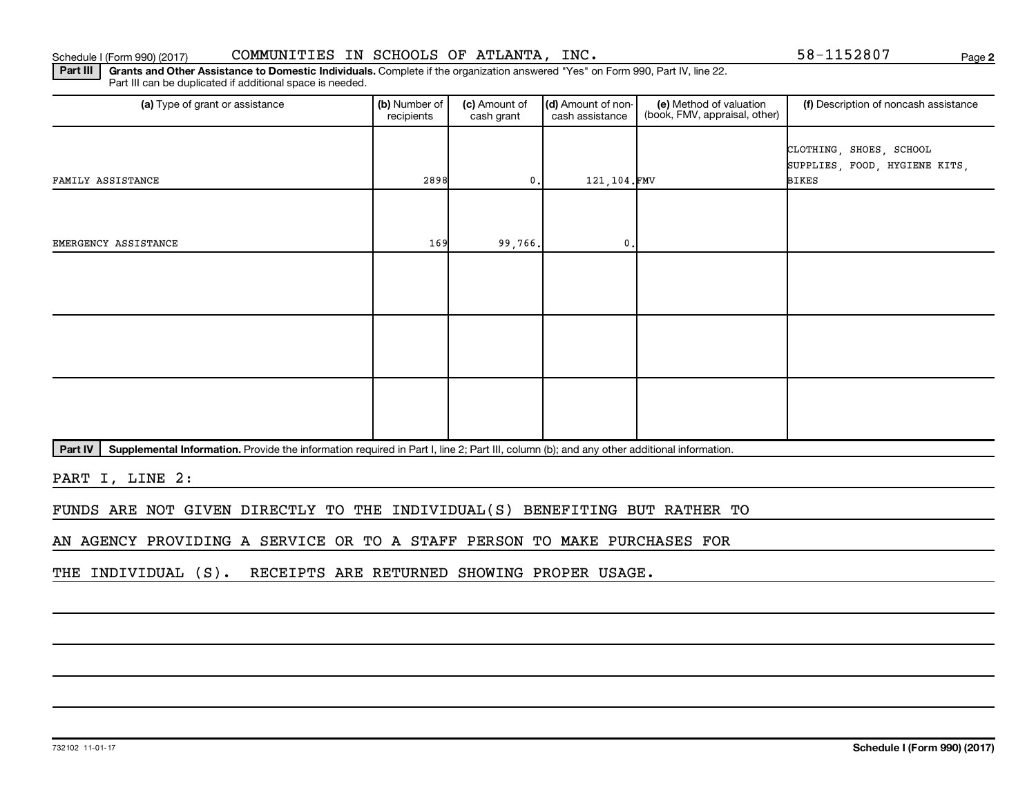**2**

Part III | Grants and Other Assistance to Domestic Individuals. Complete if the organization answered "Yes" on Form 990, Part IV, line 22. Part III can be duplicated if additional space is needed.

| (a) Type of grant or assistance | (b) Number of<br>(c) Amount of<br>recipients<br>cash grant |                | (d) Amount of non-<br>cash assistance | (e) Method of valuation<br>(book, FMV, appraisal, other) | (f) Description of noncash assistance                                    |  |
|---------------------------------|------------------------------------------------------------|----------------|---------------------------------------|----------------------------------------------------------|--------------------------------------------------------------------------|--|
| FAMILY ASSISTANCE               | 2898                                                       | $\mathbf{0}$ . | 121,104.FMV                           |                                                          | CLOTHING, SHOES, SCHOOL<br>SUPPLIES, FOOD, HYGIENE KITS,<br><b>BIKES</b> |  |
| EMERGENCY ASSISTANCE            | 169                                                        | 99,766.        | $\mathbf{0}$ .                        |                                                          |                                                                          |  |
|                                 |                                                            |                |                                       |                                                          |                                                                          |  |
|                                 |                                                            |                |                                       |                                                          |                                                                          |  |
|                                 |                                                            |                |                                       |                                                          |                                                                          |  |

Part IV | Supplemental Information. Provide the information required in Part I, line 2; Part III, column (b); and any other additional information.

PART I, LINE 2:

FUNDS ARE NOT GIVEN DIRECTLY TO THE INDIVIDUAL(S) BENEFITING BUT RATHER TO

AN AGENCY PROVIDING A SERVICE OR TO A STAFF PERSON TO MAKE PURCHASES FOR

THE INDIVIDUAL (S). RECEIPTS ARE RETURNED SHOWING PROPER USAGE.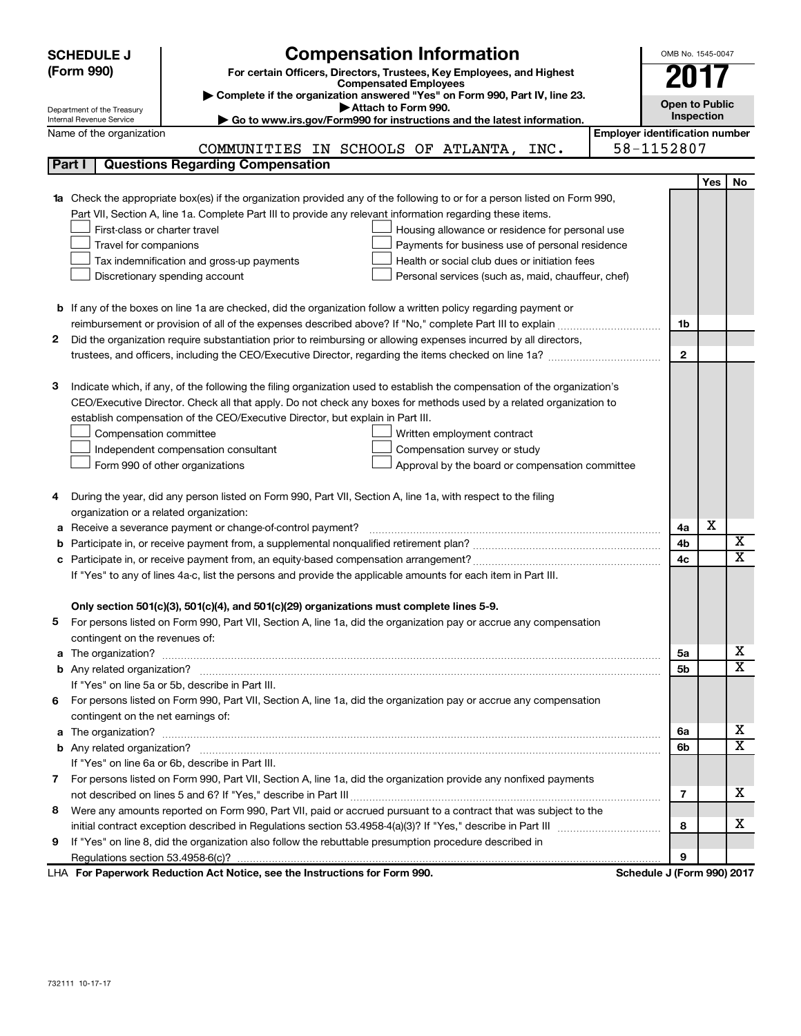|        | <b>Compensation Information</b><br>OMB No. 1545-0047<br><b>SCHEDULE J</b>                  |                                                                                                                           |                                       |                            |     |    |  |  |  |
|--------|--------------------------------------------------------------------------------------------|---------------------------------------------------------------------------------------------------------------------------|---------------------------------------|----------------------------|-----|----|--|--|--|
|        | (Form 990)                                                                                 | For certain Officers, Directors, Trustees, Key Employees, and Highest                                                     |                                       |                            |     |    |  |  |  |
|        |                                                                                            | <b>Compensated Employees</b>                                                                                              |                                       | 201                        |     |    |  |  |  |
|        |                                                                                            | Complete if the organization answered "Yes" on Form 990, Part IV, line 23.<br>Attach to Form 990.                         |                                       | <b>Open to Public</b>      |     |    |  |  |  |
|        | Department of the Treasury<br>Internal Revenue Service                                     | Go to www.irs.gov/Form990 for instructions and the latest information.                                                    |                                       | Inspection                 |     |    |  |  |  |
|        | Name of the organization                                                                   |                                                                                                                           | <b>Employer identification number</b> |                            |     |    |  |  |  |
|        |                                                                                            | COMMUNITIES IN SCHOOLS OF ATLANTA,<br>INC.                                                                                |                                       | 58-1152807                 |     |    |  |  |  |
|        | Part I                                                                                     | <b>Questions Regarding Compensation</b>                                                                                   |                                       |                            |     |    |  |  |  |
|        |                                                                                            |                                                                                                                           |                                       |                            | Yes | No |  |  |  |
|        |                                                                                            | 1a Check the appropriate box(es) if the organization provided any of the following to or for a person listed on Form 990, |                                       |                            |     |    |  |  |  |
|        |                                                                                            | Part VII, Section A, line 1a. Complete Part III to provide any relevant information regarding these items.                |                                       |                            |     |    |  |  |  |
|        | First-class or charter travel                                                              | Housing allowance or residence for personal use                                                                           |                                       |                            |     |    |  |  |  |
|        | Travel for companions                                                                      | Payments for business use of personal residence                                                                           |                                       |                            |     |    |  |  |  |
|        | Tax indemnification and gross-up payments<br>Health or social club dues or initiation fees |                                                                                                                           |                                       |                            |     |    |  |  |  |
|        |                                                                                            | Discretionary spending account<br>Personal services (such as, maid, chauffeur, chef)                                      |                                       |                            |     |    |  |  |  |
|        |                                                                                            |                                                                                                                           |                                       |                            |     |    |  |  |  |
|        |                                                                                            | <b>b</b> If any of the boxes on line 1a are checked, did the organization follow a written policy regarding payment or    |                                       |                            |     |    |  |  |  |
|        |                                                                                            |                                                                                                                           |                                       | 1b                         |     |    |  |  |  |
| 2.     |                                                                                            | Did the organization require substantiation prior to reimbursing or allowing expenses incurred by all directors,          |                                       |                            |     |    |  |  |  |
|        |                                                                                            |                                                                                                                           |                                       | $\mathbf{2}$               |     |    |  |  |  |
|        |                                                                                            |                                                                                                                           |                                       |                            |     |    |  |  |  |
| з      |                                                                                            | Indicate which, if any, of the following the filing organization used to establish the compensation of the organization's |                                       |                            |     |    |  |  |  |
|        |                                                                                            | CEO/Executive Director. Check all that apply. Do not check any boxes for methods used by a related organization to        |                                       |                            |     |    |  |  |  |
|        |                                                                                            | establish compensation of the CEO/Executive Director, but explain in Part III.                                            |                                       |                            |     |    |  |  |  |
|        | Compensation committee                                                                     | Written employment contract                                                                                               |                                       |                            |     |    |  |  |  |
|        |                                                                                            | Compensation survey or study<br>Independent compensation consultant                                                       |                                       |                            |     |    |  |  |  |
|        |                                                                                            | Form 990 of other organizations<br>Approval by the board or compensation committee                                        |                                       |                            |     |    |  |  |  |
|        |                                                                                            |                                                                                                                           |                                       |                            |     |    |  |  |  |
| 4      |                                                                                            | During the year, did any person listed on Form 990, Part VII, Section A, line 1a, with respect to the filing              |                                       |                            |     |    |  |  |  |
|        | organization or a related organization:                                                    |                                                                                                                           |                                       | 4a                         | х   |    |  |  |  |
| а<br>b |                                                                                            | Receive a severance payment or change-of-control payment?                                                                 |                                       | 4b                         |     | х  |  |  |  |
|        |                                                                                            |                                                                                                                           |                                       | 4c                         |     | x  |  |  |  |
|        |                                                                                            | If "Yes" to any of lines 4a-c, list the persons and provide the applicable amounts for each item in Part III.             |                                       |                            |     |    |  |  |  |
|        |                                                                                            |                                                                                                                           |                                       |                            |     |    |  |  |  |
|        |                                                                                            | Only section 501(c)(3), 501(c)(4), and 501(c)(29) organizations must complete lines 5-9.                                  |                                       |                            |     |    |  |  |  |
|        |                                                                                            | For persons listed on Form 990, Part VII, Section A, line 1a, did the organization pay or accrue any compensation         |                                       |                            |     |    |  |  |  |
|        | contingent on the revenues of:                                                             |                                                                                                                           |                                       |                            |     |    |  |  |  |
|        |                                                                                            |                                                                                                                           |                                       | 5а                         |     | х  |  |  |  |
|        |                                                                                            |                                                                                                                           |                                       | 5b                         |     | x  |  |  |  |
|        |                                                                                            | If "Yes" on line 5a or 5b, describe in Part III.                                                                          |                                       |                            |     |    |  |  |  |
|        |                                                                                            | 6 For persons listed on Form 990, Part VII, Section A, line 1a, did the organization pay or accrue any compensation       |                                       |                            |     |    |  |  |  |
|        | contingent on the net earnings of:                                                         |                                                                                                                           |                                       |                            |     |    |  |  |  |
|        |                                                                                            |                                                                                                                           |                                       | 6a                         |     | х  |  |  |  |
|        |                                                                                            |                                                                                                                           |                                       | 6b                         |     | X  |  |  |  |
|        |                                                                                            | If "Yes" on line 6a or 6b, describe in Part III.                                                                          |                                       |                            |     |    |  |  |  |
|        |                                                                                            | 7 For persons listed on Form 990, Part VII, Section A, line 1a, did the organization provide any nonfixed payments        |                                       |                            |     |    |  |  |  |
|        |                                                                                            |                                                                                                                           |                                       | 7                          |     | x. |  |  |  |
| 8      |                                                                                            | Were any amounts reported on Form 990, Part VII, paid or accrued pursuant to a contract that was subject to the           |                                       |                            |     |    |  |  |  |
|        |                                                                                            |                                                                                                                           |                                       | 8                          |     | х  |  |  |  |
| 9      |                                                                                            | If "Yes" on line 8, did the organization also follow the rebuttable presumption procedure described in                    |                                       |                            |     |    |  |  |  |
|        |                                                                                            |                                                                                                                           |                                       | 9                          |     |    |  |  |  |
|        |                                                                                            | LHA For Paperwork Reduction Act Notice, see the Instructions for Form 990.                                                |                                       | Schedule J (Form 990) 2017 |     |    |  |  |  |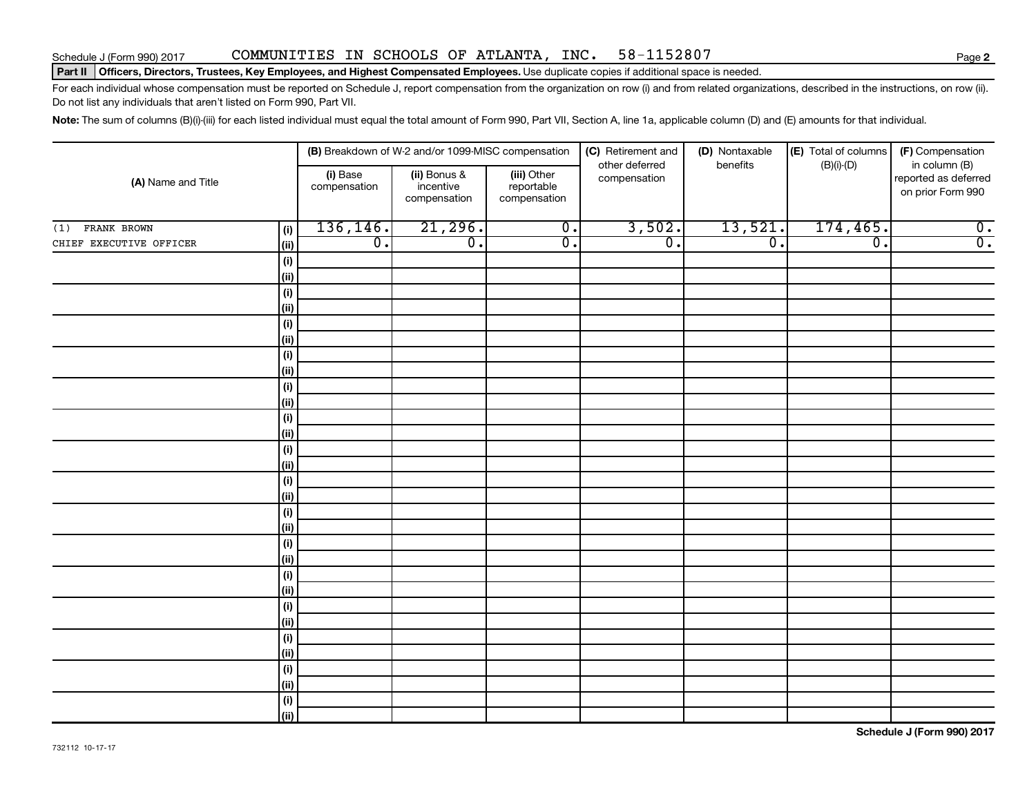### Schedule J (Form 990) 2017 COMMUNITIES IN SCHOOLS OF ATLANTA, INC. 58-1152807 Page

#### Part II | Officers, Directors, Trustees, Key Employees, and Highest Compensated Employees. Use duplicate copies if additional space is needed.

For each individual whose compensation must be reported on Schedule J, report compensation from the organization on row (i) and from related organizations, described in the instructions, on row (ii). Do not list any individuals that aren't listed on Form 990, Part VII.

Note: The sum of columns (B)(i)-(iii) for each listed individual must equal the total amount of Form 990, Part VII, Section A, line 1a, applicable column (D) and (E) amounts for that individual.

|                         |              |                          | (B) Breakdown of W-2 and/or 1099-MISC compensation |                                           | (C) Retirement and<br>other deferred | (D) Nontaxable<br>benefits | (E) Total of columns | (F) Compensation<br>in column (B)         |  |
|-------------------------|--------------|--------------------------|----------------------------------------------------|-------------------------------------------|--------------------------------------|----------------------------|----------------------|-------------------------------------------|--|
| (A) Name and Title      |              | (i) Base<br>compensation | (ii) Bonus &<br>incentive<br>compensation          | (iii) Other<br>reportable<br>compensation | compensation                         |                            | $(B)(i)-(D)$         | reported as deferred<br>on prior Form 990 |  |
| FRANK BROWN<br>(1)      | (i)          | 136, 146.                | 21,296.                                            | $\overline{\mathbf{0}}$ .                 | 3,502.                               | 13,521.                    | 174, 465.            | $\overline{0}$ .                          |  |
| CHIEF EXECUTIVE OFFICER | $\vert$ (ii) | $\overline{0}$ .         | $\overline{0}$ .                                   | $\overline{0}$ .                          | $\overline{0}$ .                     | $\overline{0}$ .           | $\overline{0}$ .     | $\overline{0}$ .                          |  |
|                         | (i)          |                          |                                                    |                                           |                                      |                            |                      |                                           |  |
|                         | (ii)         |                          |                                                    |                                           |                                      |                            |                      |                                           |  |
|                         | (i)          |                          |                                                    |                                           |                                      |                            |                      |                                           |  |
|                         | $\vert$ (ii) |                          |                                                    |                                           |                                      |                            |                      |                                           |  |
|                         | (i)          |                          |                                                    |                                           |                                      |                            |                      |                                           |  |
|                         | $\vert$ (ii) |                          |                                                    |                                           |                                      |                            |                      |                                           |  |
|                         | (i)          |                          |                                                    |                                           |                                      |                            |                      |                                           |  |
|                         | $\vert$ (ii) |                          |                                                    |                                           |                                      |                            |                      |                                           |  |
|                         | (i)          |                          |                                                    |                                           |                                      |                            |                      |                                           |  |
|                         | $\vert$ (ii) |                          |                                                    |                                           |                                      |                            |                      |                                           |  |
|                         | (i)          |                          |                                                    |                                           |                                      |                            |                      |                                           |  |
|                         | (ii)         |                          |                                                    |                                           |                                      |                            |                      |                                           |  |
|                         | (i)<br>(ii)  |                          |                                                    |                                           |                                      |                            |                      |                                           |  |
|                         | (i)          |                          |                                                    |                                           |                                      |                            |                      |                                           |  |
|                         | (ii)         |                          |                                                    |                                           |                                      |                            |                      |                                           |  |
|                         | (i)          |                          |                                                    |                                           |                                      |                            |                      |                                           |  |
|                         | (ii)         |                          |                                                    |                                           |                                      |                            |                      |                                           |  |
|                         | (i)          |                          |                                                    |                                           |                                      |                            |                      |                                           |  |
|                         | $\vert$ (ii) |                          |                                                    |                                           |                                      |                            |                      |                                           |  |
|                         | (i)          |                          |                                                    |                                           |                                      |                            |                      |                                           |  |
|                         | (ii)         |                          |                                                    |                                           |                                      |                            |                      |                                           |  |
|                         | (i)          |                          |                                                    |                                           |                                      |                            |                      |                                           |  |
|                         | (ii)         |                          |                                                    |                                           |                                      |                            |                      |                                           |  |
|                         | (i)          |                          |                                                    |                                           |                                      |                            |                      |                                           |  |
|                         | (ii)         |                          |                                                    |                                           |                                      |                            |                      |                                           |  |
|                         | (i)          |                          |                                                    |                                           |                                      |                            |                      |                                           |  |
|                         | (i)          |                          |                                                    |                                           |                                      |                            |                      |                                           |  |
|                         | (i)          |                          |                                                    |                                           |                                      |                            |                      |                                           |  |
|                         | (iii)        |                          |                                                    |                                           |                                      |                            |                      |                                           |  |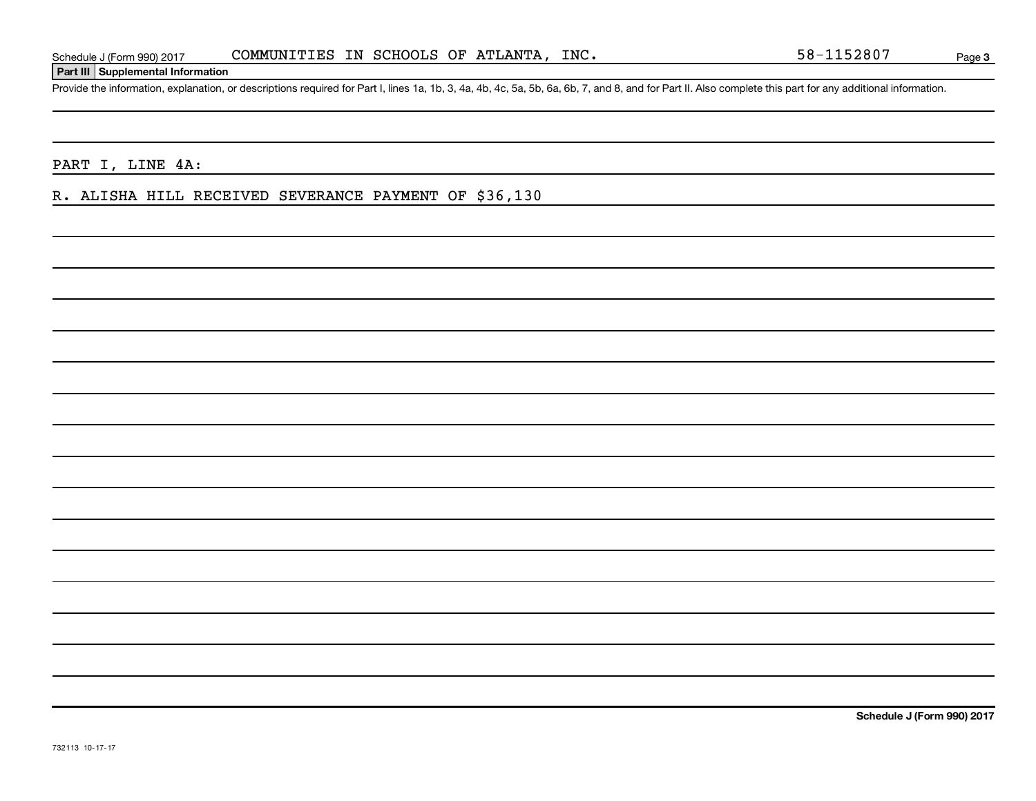### **Part III Supplemental Information**

Provide the information, explanation, or descriptions required for Part I, lines 1a, 1b, 3, 4a, 4b, 4c, 5a, 5b, 6a, 6b, 7, and 8, and for Part II. Also complete this part for any additional information.

PART I, LINE 4A:

R. ALISHA HILL RECEIVED SEVERANCE PAYMENT OF \$36,130

**Schedule J (Form 990) 2017**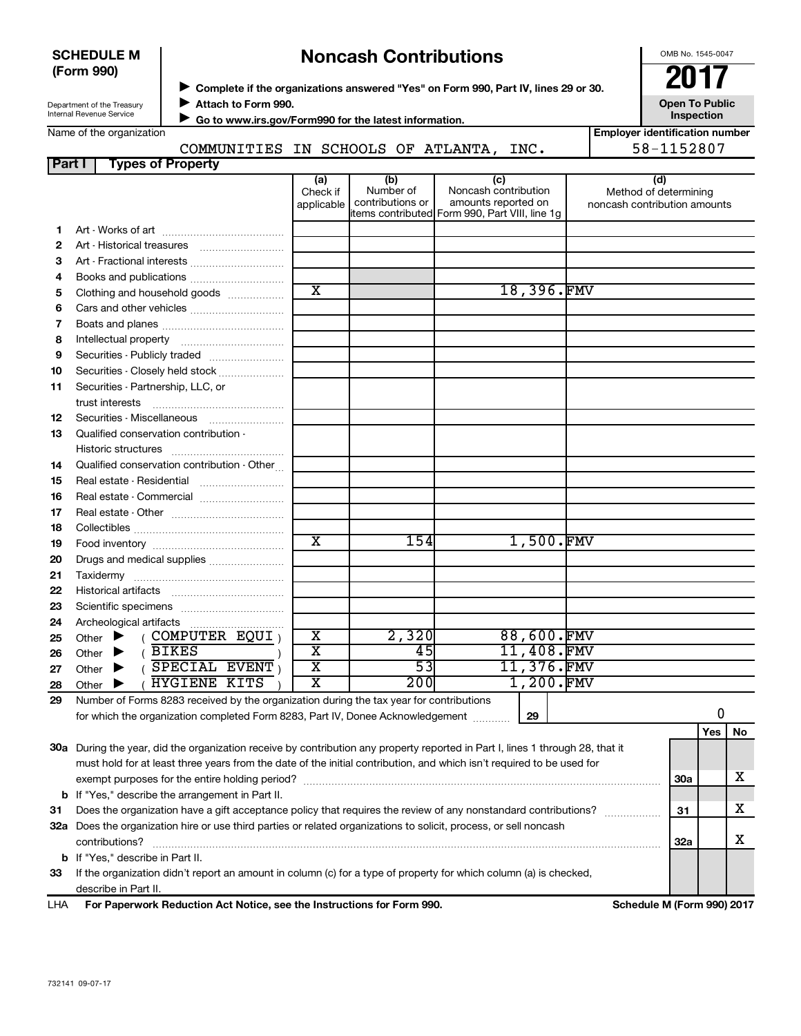|               | <b>SCHEDULE M</b><br>(Form 990)<br>Department of the Treasury                                                                | Complete if the organizations answered "Yes" on Form 990, Part IV, lines 29 or 30.<br>Attach to Form 990. | <b>Noncash Contributions</b> | OMB No. 1545-0047<br><b>2017</b><br><b>Open To Public</b> |                                                                                              |            |                                                       |  |  |  |
|---------------|------------------------------------------------------------------------------------------------------------------------------|-----------------------------------------------------------------------------------------------------------|------------------------------|-----------------------------------------------------------|----------------------------------------------------------------------------------------------|------------|-------------------------------------------------------|--|--|--|
|               | Internal Revenue Service                                                                                                     |                                                                                                           |                              | Go to www.irs.gov/Form990 for the latest information.     |                                                                                              | Inspection |                                                       |  |  |  |
|               | Name of the organization                                                                                                     |                                                                                                           |                              |                                                           |                                                                                              |            | <b>Employer identification number</b>                 |  |  |  |
|               |                                                                                                                              |                                                                                                           |                              |                                                           | COMMUNITIES IN SCHOOLS OF ATLANTA, INC.                                                      |            | 58-1152807                                            |  |  |  |
| <b>Part I</b> | <b>Types of Property</b>                                                                                                     |                                                                                                           |                              |                                                           |                                                                                              |            |                                                       |  |  |  |
|               |                                                                                                                              |                                                                                                           | (a)                          | (b)                                                       | (c)                                                                                          |            | (d)                                                   |  |  |  |
|               |                                                                                                                              |                                                                                                           | Check if<br>applicable       | Number of<br>contributions or                             | Noncash contribution<br>amounts reported on<br>tems contributed Form 990, Part VIII, line 1g |            | Method of determining<br>noncash contribution amounts |  |  |  |
| 1             |                                                                                                                              |                                                                                                           |                              |                                                           |                                                                                              |            |                                                       |  |  |  |
| $\mathbf{2}$  |                                                                                                                              |                                                                                                           |                              |                                                           |                                                                                              |            |                                                       |  |  |  |
| З             | Art - Fractional interests                                                                                                   |                                                                                                           |                              |                                                           |                                                                                              |            |                                                       |  |  |  |
| 4             |                                                                                                                              |                                                                                                           |                              |                                                           |                                                                                              |            |                                                       |  |  |  |
| 5             | Clothing and household goods                                                                                                 |                                                                                                           | $\overline{\text{x}}$        |                                                           | 18,396.FMV                                                                                   |            |                                                       |  |  |  |
| 6             |                                                                                                                              |                                                                                                           |                              |                                                           |                                                                                              |            |                                                       |  |  |  |
| 7             |                                                                                                                              |                                                                                                           |                              |                                                           |                                                                                              |            |                                                       |  |  |  |
| 8             |                                                                                                                              |                                                                                                           |                              |                                                           |                                                                                              |            |                                                       |  |  |  |
| 9             | Securities - Publicly traded                                                                                                 |                                                                                                           |                              |                                                           |                                                                                              |            |                                                       |  |  |  |
| 10            | Securities - Closely held stock                                                                                              |                                                                                                           |                              |                                                           |                                                                                              |            |                                                       |  |  |  |
| 11            | Securities - Partnership, LLC, or                                                                                            |                                                                                                           |                              |                                                           |                                                                                              |            |                                                       |  |  |  |
|               | trust interests                                                                                                              |                                                                                                           |                              |                                                           |                                                                                              |            |                                                       |  |  |  |
| 12            | Securities - Miscellaneous                                                                                                   |                                                                                                           |                              |                                                           |                                                                                              |            |                                                       |  |  |  |
| 13            | Qualified conservation contribution -                                                                                        |                                                                                                           |                              |                                                           |                                                                                              |            |                                                       |  |  |  |
|               |                                                                                                                              |                                                                                                           |                              |                                                           |                                                                                              |            |                                                       |  |  |  |
| 14            | Qualified conservation contribution - Other                                                                                  |                                                                                                           |                              |                                                           |                                                                                              |            |                                                       |  |  |  |
| 15            | Real estate - Residential                                                                                                    |                                                                                                           |                              |                                                           |                                                                                              |            |                                                       |  |  |  |
| 16            | Real estate - Commercial                                                                                                     |                                                                                                           |                              |                                                           |                                                                                              |            |                                                       |  |  |  |
| 17            |                                                                                                                              |                                                                                                           |                              |                                                           |                                                                                              |            |                                                       |  |  |  |
| 18            |                                                                                                                              |                                                                                                           |                              |                                                           | 1,500.FMV                                                                                    |            |                                                       |  |  |  |
| 19            |                                                                                                                              |                                                                                                           | X                            | 154                                                       |                                                                                              |            |                                                       |  |  |  |
| 20            | Drugs and medical supplies                                                                                                   |                                                                                                           |                              |                                                           |                                                                                              |            |                                                       |  |  |  |
| 21            |                                                                                                                              |                                                                                                           |                              |                                                           |                                                                                              |            |                                                       |  |  |  |
| 22            |                                                                                                                              |                                                                                                           |                              |                                                           |                                                                                              |            |                                                       |  |  |  |
| 23            |                                                                                                                              |                                                                                                           |                              |                                                           |                                                                                              |            |                                                       |  |  |  |
| 24            | Archeological artifacts                                                                                                      | .                                                                                                         |                              |                                                           |                                                                                              |            |                                                       |  |  |  |
| 25            | $($ COMPUTER EQUI)<br>Other $\blacktriangleright$                                                                            |                                                                                                           | х                            | 2,320                                                     | 88,600.FMV                                                                                   |            |                                                       |  |  |  |
| 26            | $($ BIKES<br>Other $\blacktriangleright$                                                                                     |                                                                                                           | $\overline{\text{x}}$        | 45                                                        | 11,408.FMV                                                                                   |            |                                                       |  |  |  |
| 27            | SPECIAL EVENT<br>Other<br>▶                                                                                                  |                                                                                                           | $\overline{\mathtt{x}}$      | $\overline{53}$                                           | 11,376.FMV                                                                                   |            |                                                       |  |  |  |
| 28<br>29      | <b>HYGIENE KITS</b><br>Other<br>▶<br>Number of Forms 8283 received by the organization during the tax year for contributions |                                                                                                           | $\overline{\text{x}}$        | 200                                                       | 1,200.FMV                                                                                    |            |                                                       |  |  |  |

| <b>LHA</b> | For Paperwork Reduction Act Notice, see the Instructions for Form 990.                                                     |    | Schedule M (Form 990) 2017 |            |     |    |  |  |
|------------|----------------------------------------------------------------------------------------------------------------------------|----|----------------------------|------------|-----|----|--|--|
|            | describe in Part II.                                                                                                       |    |                            |            |     |    |  |  |
| 33         | If the organization didn't report an amount in column (c) for a type of property for which column (a) is checked,          |    |                            |            |     |    |  |  |
| b          | If "Yes," describe in Part II.                                                                                             |    |                            |            |     |    |  |  |
|            | contributions?                                                                                                             |    |                            | <b>32a</b> |     | х  |  |  |
| 32a        | Does the organization hire or use third parties or related organizations to solicit, process, or sell noncash              |    |                            |            |     |    |  |  |
| -31        | Does the organization have a gift acceptance policy that requires the review of any nonstandard contributions?             |    |                            |            |     |    |  |  |
|            | <b>b</b> If "Yes," describe the arrangement in Part II.                                                                    |    |                            |            |     |    |  |  |
|            | exempt purposes for the entire holding period?                                                                             |    |                            | 30a        |     | х  |  |  |
|            | must hold for at least three years from the date of the initial contribution, and which isn't required to be used for      |    |                            |            |     |    |  |  |
| 30a        | During the year, did the organization receive by contribution any property reported in Part I, lines 1 through 28, that it |    |                            |            |     |    |  |  |
|            |                                                                                                                            |    |                            |            | Yes | No |  |  |
|            | for which the organization completed Form 8283, Part IV, Donee Acknowledgement                                             | 29 |                            |            |     |    |  |  |
| 29         | Number of Forms 8283 received by the organization during the tax year for contributions                                    |    |                            |            |     |    |  |  |

#### LHA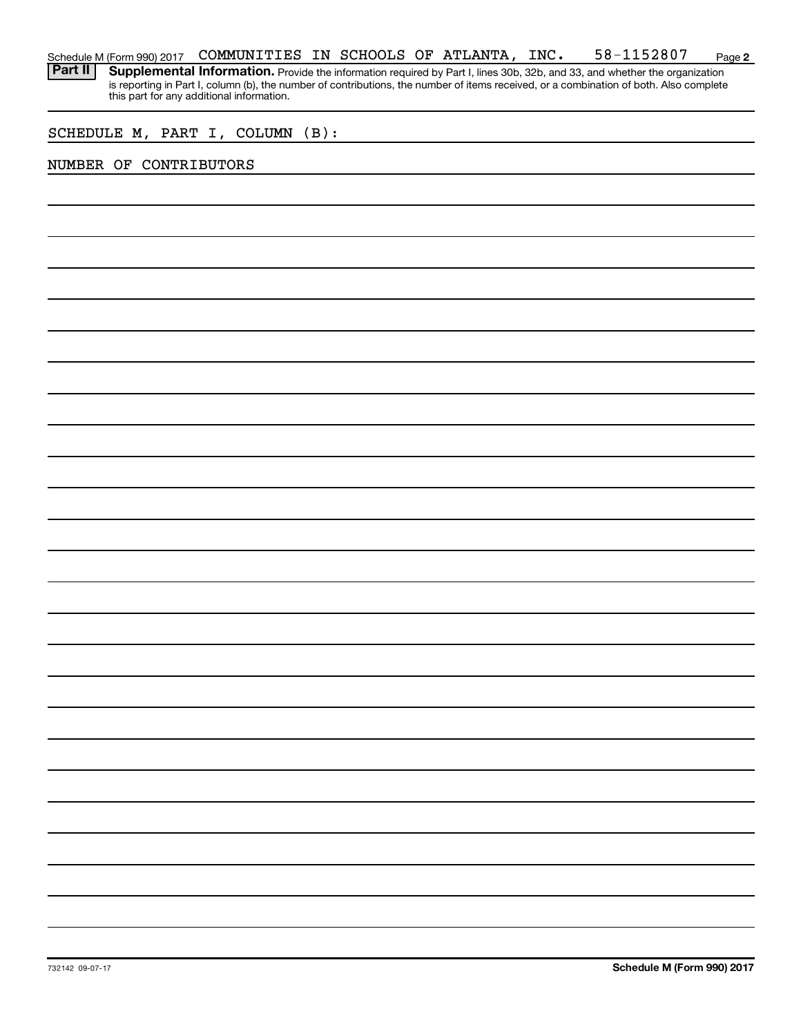#### **2** Schedule M (Form 990) 2017 Page COMMUNITIES IN SCHOOLS OF ATLANTA, INC. 58-1152807

Part II | Supplemental Information. Provide the information required by Part I, lines 30b, 32b, and 33, and whether the organization is reporting in Part I, column (b), the number of contributions, the number of items received, or a combination of both. Also complete this part for any additional information.

### SCHEDULE M, PART I, COLUMN (B):

### NUMBER OF CONTRIBUTORS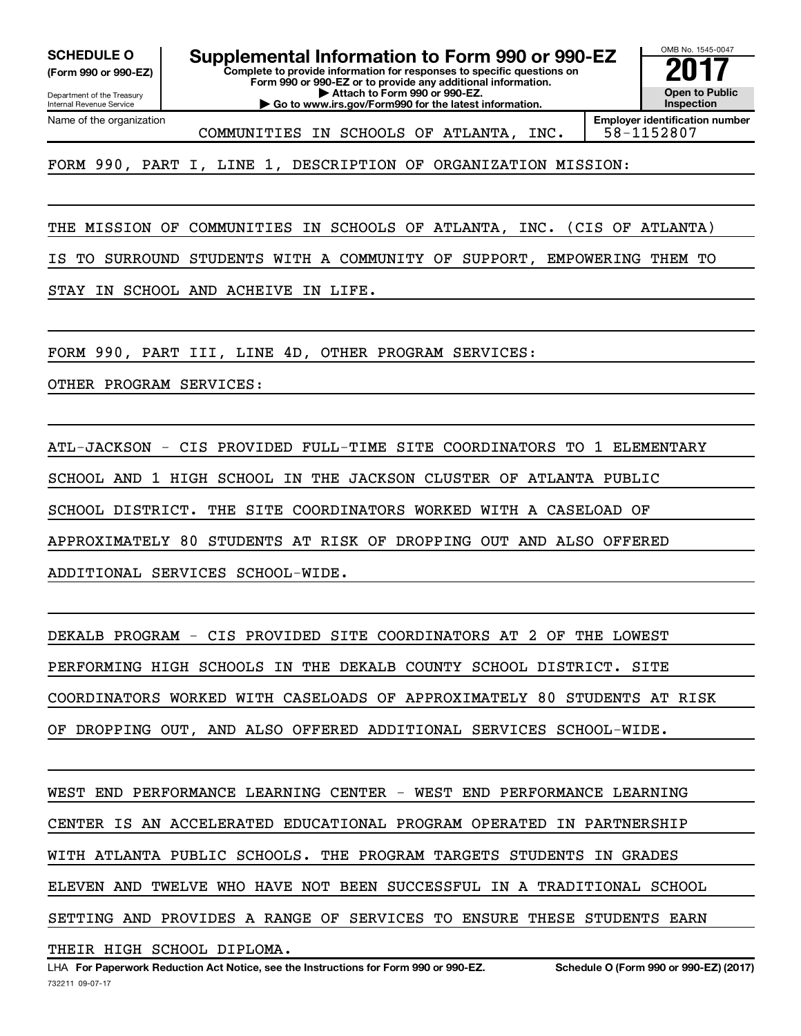**(Form 990 or 990-EZ)**

Department of the Treasury Internal Revenue Service Name of the organization

**Complete to provide information for responses to specific questions on Form 990 or 990-EZ or to provide any additional information. | Attach to Form 990 or 990-EZ. | Go to www.irs.gov/Form990 for the latest information. SCHEDULE O Supplemental Information to Form 990 or 990-EZ** <br>(Form 990 or 990-EZ) Complete to provide information for responses to specific questions on

OMB No. 1545-0047 **Open to Public Inspection Employer identification number**

COMMUNITIES IN SCHOOLS OF ATLANTA, INC. 58-1152807

FORM 990, PART I, LINE 1, DESCRIPTION OF ORGANIZATION MISSION:

THE MISSION OF COMMUNITIES IN SCHOOLS OF ATLANTA, INC. (CIS OF ATLANTA)

IS TO SURROUND STUDENTS WITH A COMMUNITY OF SUPPORT, EMPOWERING THEM TO

STAY IN SCHOOL AND ACHEIVE IN LIFE.

FORM 990, PART III, LINE 4D, OTHER PROGRAM SERVICES:

OTHER PROGRAM SERVICES:

ATL-JACKSON - CIS PROVIDED FULL-TIME SITE COORDINATORS TO 1 ELEMENTARY SCHOOL AND 1 HIGH SCHOOL IN THE JACKSON CLUSTER OF ATLANTA PUBLIC SCHOOL DISTRICT. THE SITE COORDINATORS WORKED WITH A CASELOAD OF APPROXIMATELY 80 STUDENTS AT RISK OF DROPPING OUT AND ALSO OFFERED ADDITIONAL SERVICES SCHOOL-WIDE.

DEKALB PROGRAM - CIS PROVIDED SITE COORDINATORS AT 2 OF THE LOWEST PERFORMING HIGH SCHOOLS IN THE DEKALB COUNTY SCHOOL DISTRICT. SITE COORDINATORS WORKED WITH CASELOADS OF APPROXIMATELY 80 STUDENTS AT RISK OF DROPPING OUT, AND ALSO OFFERED ADDITIONAL SERVICES SCHOOL-WIDE.

WEST END PERFORMANCE LEARNING CENTER - WEST END PERFORMANCE LEARNING CENTER IS AN ACCELERATED EDUCATIONAL PROGRAM OPERATED IN PARTNERSHIP WITH ATLANTA PUBLIC SCHOOLS. THE PROGRAM TARGETS STUDENTS IN GRADES ELEVEN AND TWELVE WHO HAVE NOT BEEN SUCCESSFUL IN A TRADITIONAL SCHOOL SETTING AND PROVIDES A RANGE OF SERVICES TO ENSURE THESE STUDENTS EARN

THEIR HIGH SCHOOL DIPLOMA.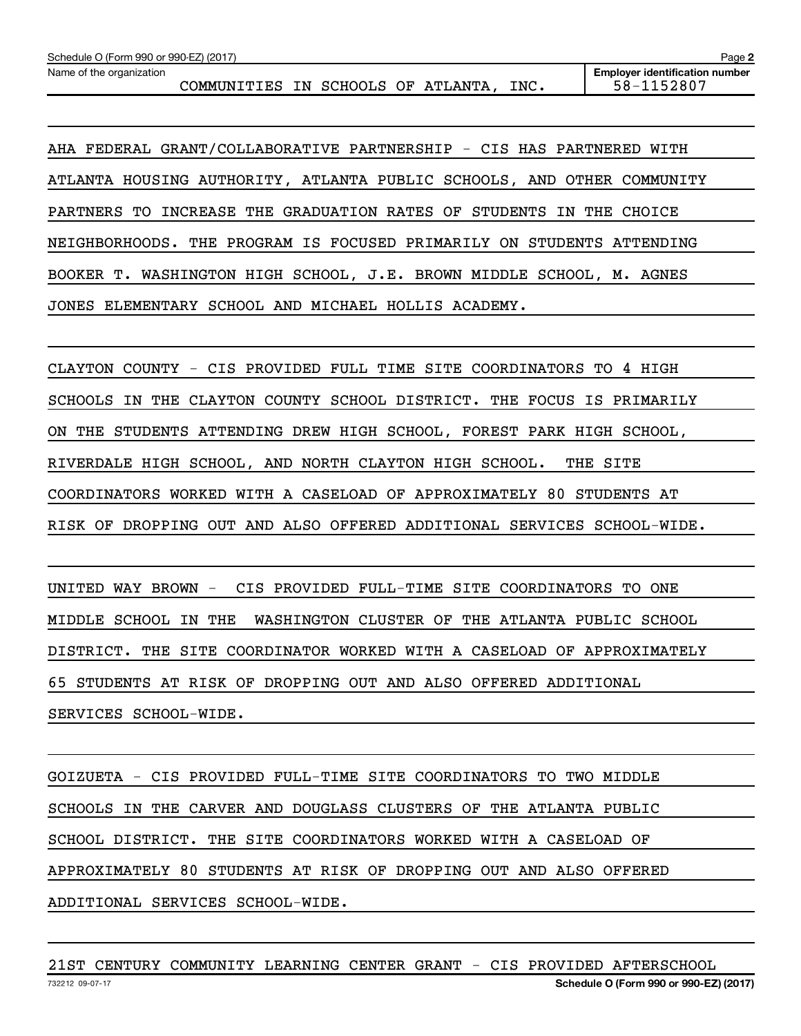Name of the organization

COMMUNITIES IN SCHOOLS OF ATLANTA, INC. 58-1152807

**Employer identification number**

AHA FEDERAL GRANT/COLLABORATIVE PARTNERSHIP - CIS HAS PARTNERED WITH ATLANTA HOUSING AUTHORITY, ATLANTA PUBLIC SCHOOLS, AND OTHER COMMUNITY PARTNERS TO INCREASE THE GRADUATION RATES OF STUDENTS IN THE CHOICE NEIGHBORHOODS. THE PROGRAM IS FOCUSED PRIMARILY ON STUDENTS ATTENDING BOOKER T. WASHINGTON HIGH SCHOOL, J.E. BROWN MIDDLE SCHOOL, M. AGNES JONES ELEMENTARY SCHOOL AND MICHAEL HOLLIS ACADEMY.

CLAYTON COUNTY - CIS PROVIDED FULL TIME SITE COORDINATORS TO 4 HIGH SCHOOLS IN THE CLAYTON COUNTY SCHOOL DISTRICT. THE FOCUS IS PRIMARILY ON THE STUDENTS ATTENDING DREW HIGH SCHOOL, FOREST PARK HIGH SCHOOL, RIVERDALE HIGH SCHOOL, AND NORTH CLAYTON HIGH SCHOOL. THE SITE COORDINATORS WORKED WITH A CASELOAD OF APPROXIMATELY 80 STUDENTS AT RISK OF DROPPING OUT AND ALSO OFFERED ADDITIONAL SERVICES SCHOOL-WIDE.

UNITED WAY BROWN - CIS PROVIDED FULL-TIME SITE COORDINATORS TO ONE MIDDLE SCHOOL IN THE WASHINGTON CLUSTER OF THE ATLANTA PUBLIC SCHOOL DISTRICT. THE SITE COORDINATOR WORKED WITH A CASELOAD OF APPROXIMATELY 65 STUDENTS AT RISK OF DROPPING OUT AND ALSO OFFERED ADDITIONAL SERVICES SCHOOL-WIDE.

GOIZUETA - CIS PROVIDED FULL-TIME SITE COORDINATORS TO TWO MIDDLE SCHOOLS IN THE CARVER AND DOUGLASS CLUSTERS OF THE ATLANTA PUBLIC SCHOOL DISTRICT. THE SITE COORDINATORS WORKED WITH A CASELOAD OF APPROXIMATELY 80 STUDENTS AT RISK OF DROPPING OUT AND ALSO OFFERED ADDITIONAL SERVICES SCHOOL-WIDE.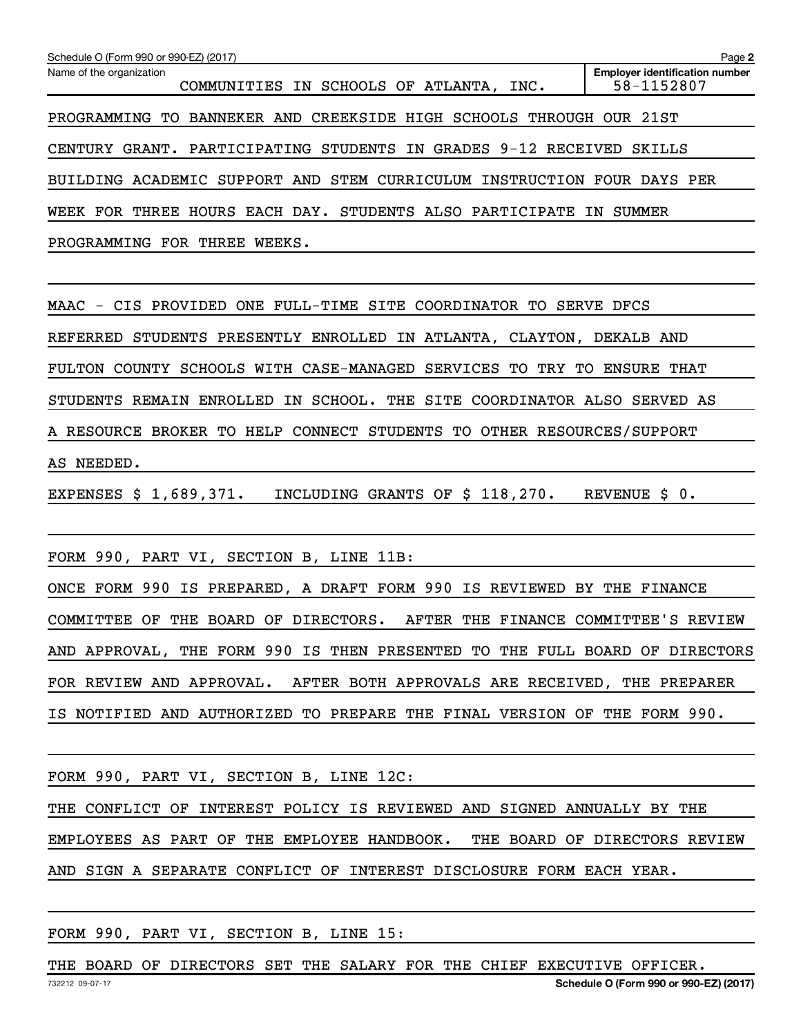| Schedule O (Form 990 or 990-EZ) (2017)                                  | Page 2                                              |  |  |  |  |  |  |  |  |
|-------------------------------------------------------------------------|-----------------------------------------------------|--|--|--|--|--|--|--|--|
| Name of the organization<br>COMMUNITIES IN SCHOOLS OF ATLANTA, INC.     | <b>Employer identification number</b><br>58-1152807 |  |  |  |  |  |  |  |  |
| PROGRAMMING TO BANNEKER AND CREEKSIDE HIGH SCHOOLS THROUGH OUR 21ST     |                                                     |  |  |  |  |  |  |  |  |
| CENTURY GRANT. PARTICIPATING STUDENTS<br>IN GRADES 9-12 RECEIVED SKILLS |                                                     |  |  |  |  |  |  |  |  |
| BUILDING ACADEMIC SUPPORT AND STEM CURRICULUM INSTRUCTION FOUR DAYS PER |                                                     |  |  |  |  |  |  |  |  |
| WEEK FOR THREE HOURS EACH DAY. STUDENTS ALSO PARTICIPATE IN SUMMER      |                                                     |  |  |  |  |  |  |  |  |
| PROGRAMMING FOR THREE WEEKS.                                            |                                                     |  |  |  |  |  |  |  |  |
|                                                                         |                                                     |  |  |  |  |  |  |  |  |
| MAAC - CIS PROVIDED ONE FULL-TIME SITE COORDINATOR TO SERVE DFCS        |                                                     |  |  |  |  |  |  |  |  |
| REFERRED STUDENTS PRESENTLY ENROLLED IN ATLANTA, CLAYTON, DEKALB AND    |                                                     |  |  |  |  |  |  |  |  |
| FULTON COUNTY SCHOOLS WITH CASE-MANAGED SERVICES TO TRY TO ENSURE THAT  |                                                     |  |  |  |  |  |  |  |  |
| STUDENTS REMAIN ENROLLED IN SCHOOL. THE SITE COORDINATOR ALSO SERVED AS |                                                     |  |  |  |  |  |  |  |  |
| A RESOURCE BROKER TO HELP CONNECT STUDENTS TO OTHER RESOURCES/SUPPORT   |                                                     |  |  |  |  |  |  |  |  |
| AS NEEDED.                                                              |                                                     |  |  |  |  |  |  |  |  |
| EXPENSES $$1,689,371$ .<br>INCLUDING GRANTS OF \$ 118,270.              | REVENUE \$ 0.                                       |  |  |  |  |  |  |  |  |
| FORM 990, PART VI, SECTION B, LINE 11B:                                 |                                                     |  |  |  |  |  |  |  |  |

ONCE FORM 990 IS PREPARED, A DRAFT FORM 990 IS REVIEWED BY THE FINANCE COMMITTEE OF THE BOARD OF DIRECTORS. AFTER THE FINANCE COMMITTEE'S REVIEW AND APPROVAL, THE FORM 990 IS THEN PRESENTED TO THE FULL BOARD OF DIRECTORS FOR REVIEW AND APPROVAL. AFTER BOTH APPROVALS ARE RECEIVED, THE PREPARER IS NOTIFIED AND AUTHORIZED TO PREPARE THE FINAL VERSION OF THE FORM 990.

|  |  |  | FORM 990, PART VI, SECTION B, LINE 12C: |                                                                        |  |  |                               |
|--|--|--|-----------------------------------------|------------------------------------------------------------------------|--|--|-------------------------------|
|  |  |  |                                         | THE CONFLICT OF INTEREST POLICY IS REVIEWED AND SIGNED ANNUALLY BY THE |  |  |                               |
|  |  |  |                                         | EMPLOYEES AS PART OF THE EMPLOYEE HANDBOOK.                            |  |  | THE BOARD OF DIRECTORS REVIEW |

AND SIGN A SEPARATE CONFLICT OF INTEREST DISCLOSURE FORM EACH YEAR.

FORM 990, PART VI, SECTION B, LINE 15:

732212 09-07-17 **Schedule O (Form 990 or 990-EZ) (2017)** THE BOARD OF DIRECTORS SET THE SALARY FOR THE CHIEF EXECUTIVE OFFICER.